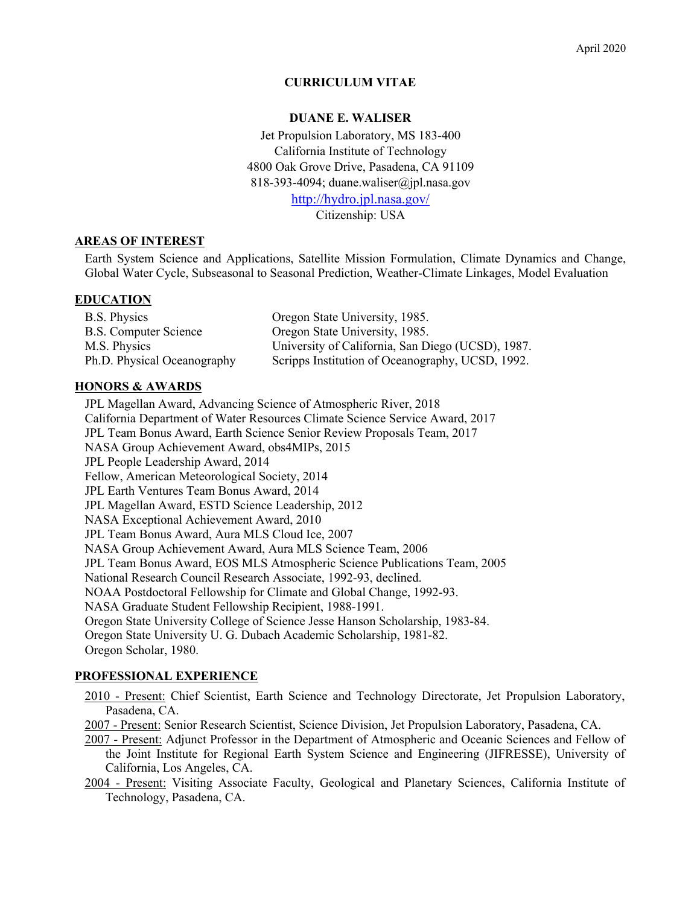### **CURRICULUM VITAE**

#### **DUANE E. WALISER**

Jet Propulsion Laboratory, MS 183-400 California Institute of Technology 4800 Oak Grove Drive, Pasadena, CA 91109 818-393-4094; duane.waliser@jpl.nasa.gov http://hydro.jpl.nasa.gov/ Citizenship: USA

#### **AREAS OF INTEREST**

Earth System Science and Applications, Satellite Mission Formulation, Climate Dynamics and Change, Global Water Cycle, Subseasonal to Seasonal Prediction, Weather-Climate Linkages, Model Evaluation

#### **EDUCATION**

| B.S. Physics                | Oregon State University, 1985.                    |
|-----------------------------|---------------------------------------------------|
| B.S. Computer Science       | Oregon State University, 1985.                    |
| M.S. Physics                | University of California, San Diego (UCSD), 1987. |
| Ph.D. Physical Oceanography | Scripps Institution of Oceanography, UCSD, 1992.  |

#### **HONORS & AWARDS**

JPL Magellan Award, Advancing Science of Atmospheric River, 2018 California Department of Water Resources Climate Science Service Award, 2017 JPL Team Bonus Award, Earth Science Senior Review Proposals Team, 2017 NASA Group Achievement Award, obs4MIPs, 2015 JPL People Leadership Award, 2014 Fellow, American Meteorological Society, 2014 JPL Earth Ventures Team Bonus Award, 2014 JPL Magellan Award, ESTD Science Leadership, 2012 NASA Exceptional Achievement Award, 2010 JPL Team Bonus Award, Aura MLS Cloud Ice, 2007 NASA Group Achievement Award, Aura MLS Science Team, 2006 JPL Team Bonus Award, EOS MLS Atmospheric Science Publications Team, 2005 National Research Council Research Associate, 1992-93, declined. NOAA Postdoctoral Fellowship for Climate and Global Change, 1992-93. NASA Graduate Student Fellowship Recipient, 1988-1991. Oregon State University College of Science Jesse Hanson Scholarship, 1983-84. Oregon State University U. G. Dubach Academic Scholarship, 1981-82. Oregon Scholar, 1980.

#### **PROFESSIONAL EXPERIENCE**

2010 - Present: Chief Scientist, Earth Science and Technology Directorate, Jet Propulsion Laboratory, Pasadena, CA.

2007 - Present: Senior Research Scientist, Science Division, Jet Propulsion Laboratory, Pasadena, CA.

- 2007 Present: Adjunct Professor in the Department of Atmospheric and Oceanic Sciences and Fellow of the Joint Institute for Regional Earth System Science and Engineering (JIFRESSE), University of California, Los Angeles, CA.
- 2004 Present: Visiting Associate Faculty, Geological and Planetary Sciences, California Institute of Technology, Pasadena, CA.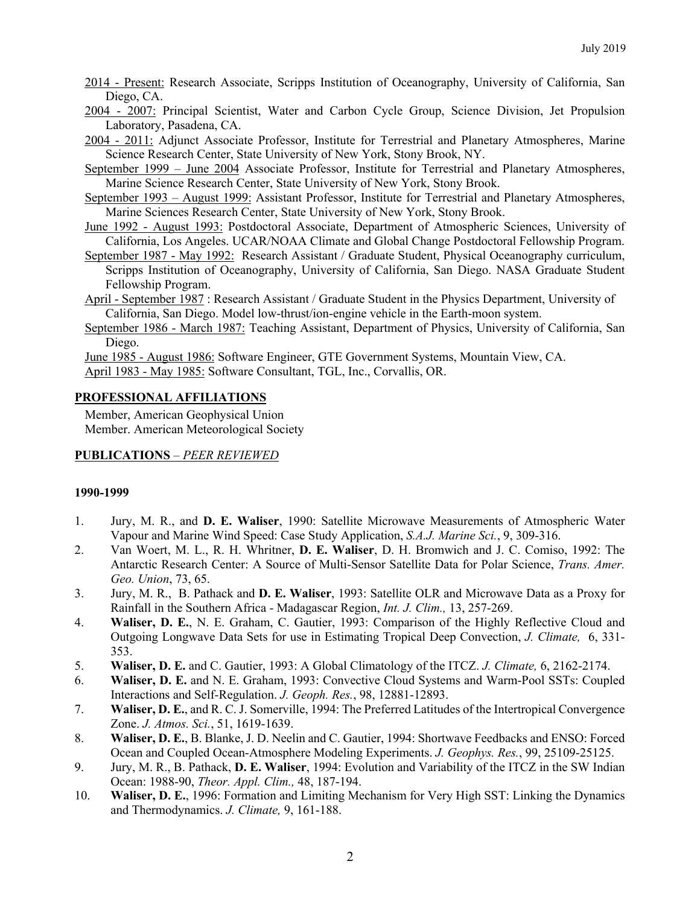2014 - Present: Research Associate, Scripps Institution of Oceanography, University of California, San Diego, CA.

- 2004 2007: Principal Scientist, Water and Carbon Cycle Group, Science Division, Jet Propulsion Laboratory, Pasadena, CA.
- 2004 2011: Adjunct Associate Professor, Institute for Terrestrial and Planetary Atmospheres, Marine Science Research Center, State University of New York, Stony Brook, NY.
- September 1999 June 2004 Associate Professor, Institute for Terrestrial and Planetary Atmospheres, Marine Science Research Center, State University of New York, Stony Brook.
- September 1993 August 1999: Assistant Professor, Institute for Terrestrial and Planetary Atmospheres, Marine Sciences Research Center, State University of New York, Stony Brook.
- June 1992 August 1993: Postdoctoral Associate, Department of Atmospheric Sciences, University of California, Los Angeles. UCAR/NOAA Climate and Global Change Postdoctoral Fellowship Program.
- September 1987 May 1992: Research Assistant / Graduate Student, Physical Oceanography curriculum, Scripps Institution of Oceanography, University of California, San Diego. NASA Graduate Student Fellowship Program.

April - September 1987 : Research Assistant / Graduate Student in the Physics Department, University of California, San Diego. Model low-thrust/ion-engine vehicle in the Earth-moon system.

September 1986 - March 1987: Teaching Assistant, Department of Physics, University of California, San Diego.

June 1985 - August 1986: Software Engineer, GTE Government Systems, Mountain View, CA. April 1983 - May 1985: Software Consultant, TGL, Inc., Corvallis, OR.

## **PROFESSIONAL AFFILIATIONS**

Member, American Geophysical Union Member. American Meteorological Society

### **PUBLICATIONS** – *PEER REVIEWED*

### **1990-1999**

- 1. Jury, M. R., and **D. E. Waliser**, 1990: Satellite Microwave Measurements of Atmospheric Water Vapour and Marine Wind Speed: Case Study Application, *S.A.J. Marine Sci.*, 9, 309-316.
- 2. Van Woert, M. L., R. H. Whritner, **D. E. Waliser**, D. H. Bromwich and J. C. Comiso, 1992: The Antarctic Research Center: A Source of Multi-Sensor Satellite Data for Polar Science, *Trans. Amer. Geo. Union*, 73, 65.
- 3. Jury, M. R., B. Pathack and **D. E. Waliser**, 1993: Satellite OLR and Microwave Data as a Proxy for Rainfall in the Southern Africa - Madagascar Region, *Int. J. Clim.,* 13, 257-269.
- 4. **Waliser, D. E.**, N. E. Graham, C. Gautier, 1993: Comparison of the Highly Reflective Cloud and Outgoing Longwave Data Sets for use in Estimating Tropical Deep Convection, *J. Climate,* 6, 331- 353.
- 5. **Waliser, D. E.** and C. Gautier, 1993: A Global Climatology of the ITCZ. *J. Climate,* 6, 2162-2174.
- 6. **Waliser, D. E.** and N. E. Graham, 1993: Convective Cloud Systems and Warm-Pool SSTs: Coupled Interactions and Self-Regulation. *J. Geoph. Res.*, 98, 12881-12893.
- 7. **Waliser, D. E.**, and R. C. J. Somerville, 1994: The Preferred Latitudes of the Intertropical Convergence Zone. *J. Atmos. Sci.*, 51, 1619-1639.
- 8. **Waliser, D. E.**, B. Blanke, J. D. Neelin and C. Gautier, 1994: Shortwave Feedbacks and ENSO: Forced Ocean and Coupled Ocean-Atmosphere Modeling Experiments. *J. Geophys. Res.*, 99, 25109-25125.
- 9. Jury, M. R., B. Pathack, **D. E. Waliser**, 1994: Evolution and Variability of the ITCZ in the SW Indian Ocean: 1988-90, *Theor. Appl. Clim.,* 48, 187-194.
- 10. **Waliser, D. E.**, 1996: Formation and Limiting Mechanism for Very High SST: Linking the Dynamics and Thermodynamics. *J. Climate,* 9, 161-188.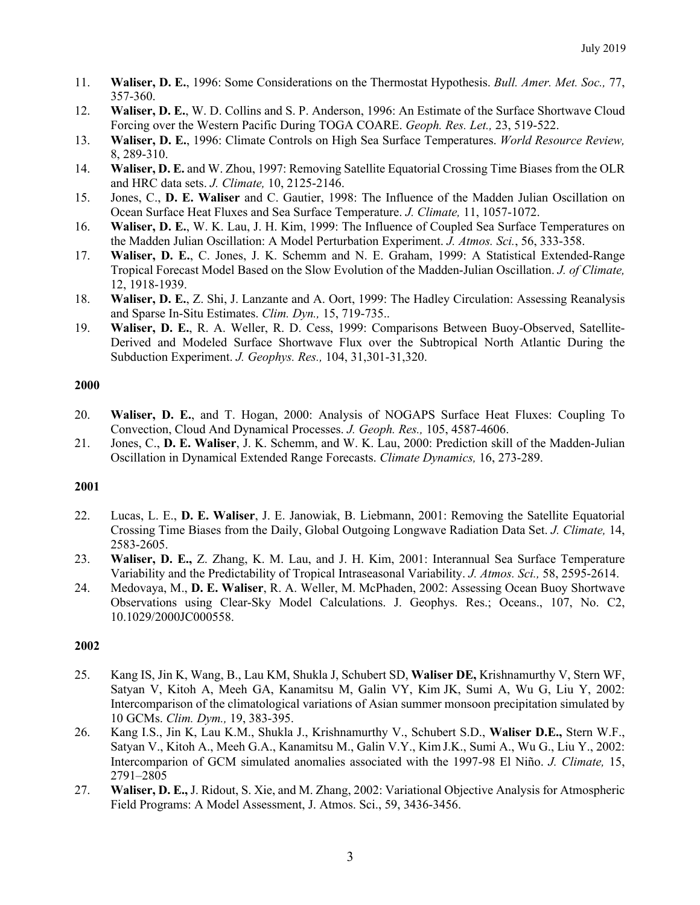- 11. **Waliser, D. E.**, 1996: Some Considerations on the Thermostat Hypothesis. *Bull. Amer. Met. Soc.,* 77, 357-360.
- 12. **Waliser, D. E.**, W. D. Collins and S. P. Anderson, 1996: An Estimate of the Surface Shortwave Cloud Forcing over the Western Pacific During TOGA COARE. *Geoph. Res. Let.,* 23, 519-522.
- 13. **Waliser, D. E.**, 1996: Climate Controls on High Sea Surface Temperatures. *World Resource Review,*  8, 289-310.
- 14. **Waliser, D. E.** and W. Zhou, 1997: Removing Satellite Equatorial Crossing Time Biases from the OLR and HRC data sets. *J. Climate,* 10, 2125-2146.
- 15. Jones, C., **D. E. Waliser** and C. Gautier, 1998: The Influence of the Madden Julian Oscillation on Ocean Surface Heat Fluxes and Sea Surface Temperature. *J. Climate,* 11, 1057-1072.
- 16. **Waliser, D. E.**, W. K. Lau, J. H. Kim, 1999: The Influence of Coupled Sea Surface Temperatures on the Madden Julian Oscillation: A Model Perturbation Experiment. *J. Atmos. Sci.*, 56, 333-358.
- 17. **Waliser, D. E.**, C. Jones, J. K. Schemm and N. E. Graham, 1999: A Statistical Extended-Range Tropical Forecast Model Based on the Slow Evolution of the Madden-Julian Oscillation. *J. of Climate,* 12, 1918-1939.
- 18. **Waliser, D. E.**, Z. Shi, J. Lanzante and A. Oort, 1999: The Hadley Circulation: Assessing Reanalysis and Sparse In-Situ Estimates. *Clim. Dyn.,* 15, 719-735..
- 19. **Waliser, D. E.**, R. A. Weller, R. D. Cess, 1999: Comparisons Between Buoy-Observed, Satellite-Derived and Modeled Surface Shortwave Flux over the Subtropical North Atlantic During the Subduction Experiment. *J. Geophys. Res.,* 104, 31,301-31,320.

- 20. **Waliser, D. E.**, and T. Hogan, 2000: Analysis of NOGAPS Surface Heat Fluxes: Coupling To Convection, Cloud And Dynamical Processes. *J. Geoph. Res.,* 105, 4587-4606.
- 21. Jones, C., **D. E. Waliser**, J. K. Schemm, and W. K. Lau, 2000: Prediction skill of the Madden-Julian Oscillation in Dynamical Extended Range Forecasts. *Climate Dynamics,* 16, 273-289.

### **2001**

- 22. Lucas, L. E., **D. E. Waliser**, J. E. Janowiak, B. Liebmann, 2001: Removing the Satellite Equatorial Crossing Time Biases from the Daily, Global Outgoing Longwave Radiation Data Set. *J. Climate,* 14, 2583-2605.
- 23. **Waliser, D. E.,** Z. Zhang, K. M. Lau, and J. H. Kim, 2001: Interannual Sea Surface Temperature Variability and the Predictability of Tropical Intraseasonal Variability. *J. Atmos. Sci.,* 58, 2595-2614.
- 24. Medovaya, M., **D. E. Waliser**, R. A. Weller, M. McPhaden, 2002: Assessing Ocean Buoy Shortwave Observations using Clear-Sky Model Calculations. J. Geophys. Res.; Oceans., 107, No. C2, 10.1029/2000JC000558.

- 25. Kang IS, Jin K, Wang, B., Lau KM, Shukla J, Schubert SD, **Waliser DE,** Krishnamurthy V, Stern WF, Satyan V, Kitoh A, Meeh GA, Kanamitsu M, Galin VY, Kim JK, Sumi A, Wu G, Liu Y, 2002: Intercomparison of the climatological variations of Asian summer monsoon precipitation simulated by 10 GCMs. *Clim. Dym.,* 19, 383-395.
- 26. Kang I.S., Jin K, Lau K.M., Shukla J., Krishnamurthy V., Schubert S.D., **Waliser D.E.,** Stern W.F., Satyan V., Kitoh A., Meeh G.A., Kanamitsu M., Galin V.Y., Kim J.K., Sumi A., Wu G., Liu Y., 2002: Intercomparion of GCM simulated anomalies associated with the 1997-98 El Niño. *J. Climate,* 15, 2791–2805
- 27. **Waliser, D. E.,** J. Ridout, S. Xie, and M. Zhang, 2002: Variational Objective Analysis for Atmospheric Field Programs: A Model Assessment, J. Atmos. Sci., 59, 3436-3456.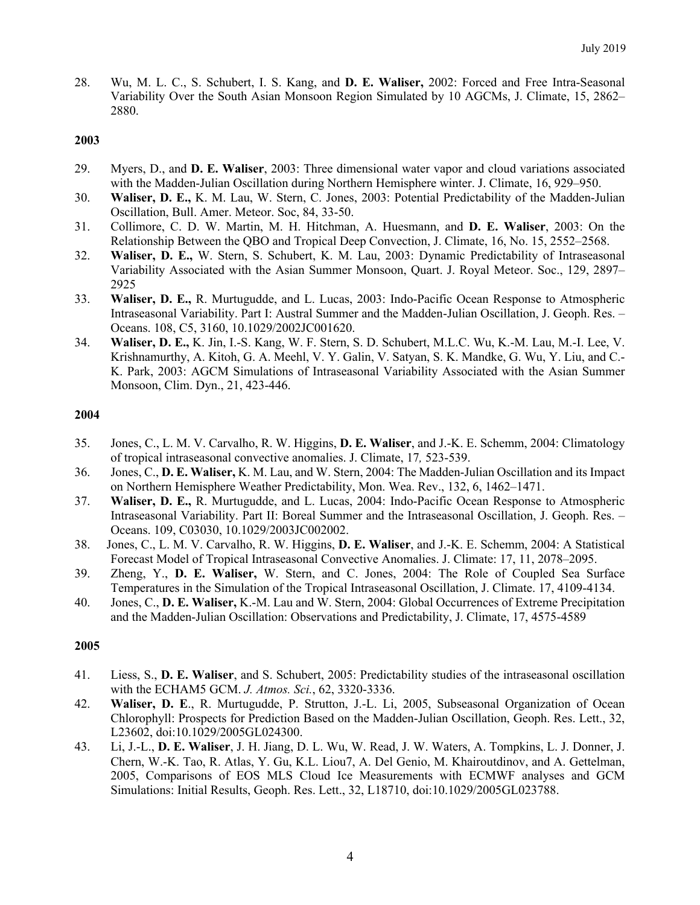28. Wu, M. L. C., S. Schubert, I. S. Kang, and **D. E. Waliser,** 2002: Forced and Free Intra-Seasonal Variability Over the South Asian Monsoon Region Simulated by 10 AGCMs, J. Climate, 15, 2862– 2880.

### **2003**

- 29. Myers, D., and **D. E. Waliser**, 2003: Three dimensional water vapor and cloud variations associated with the Madden-Julian Oscillation during Northern Hemisphere winter. J. Climate, 16, 929–950.
- 30. **Waliser, D. E.,** K. M. Lau, W. Stern, C. Jones, 2003: Potential Predictability of the Madden-Julian Oscillation, Bull. Amer. Meteor. Soc, 84, 33-50.
- 31. Collimore, C. D. W. Martin, M. H. Hitchman, A. Huesmann, and **D. E. Waliser**, 2003: On the Relationship Between the QBO and Tropical Deep Convection, J. Climate, 16, No. 15, 2552–2568.
- 32. **Waliser, D. E.,** W. Stern, S. Schubert, K. M. Lau, 2003: Dynamic Predictability of Intraseasonal Variability Associated with the Asian Summer Monsoon, Quart. J. Royal Meteor. Soc., 129, 2897– 2925
- 33. **Waliser, D. E.,** R. Murtugudde, and L. Lucas, 2003: Indo-Pacific Ocean Response to Atmospheric Intraseasonal Variability. Part I: Austral Summer and the Madden-Julian Oscillation, J. Geoph. Res. – Oceans. 108, C5, 3160, 10.1029/2002JC001620.
- 34. **Waliser, D. E.,** K. Jin, I.-S. Kang, W. F. Stern, S. D. Schubert, M.L.C. Wu, K.-M. Lau, M.-I. Lee, V. Krishnamurthy, A. Kitoh, G. A. Meehl, V. Y. Galin, V. Satyan, S. K. Mandke, G. Wu, Y. Liu, and C.- K. Park, 2003: AGCM Simulations of Intraseasonal Variability Associated with the Asian Summer Monsoon, Clim. Dyn., 21, 423-446.

#### **2004**

- 35. Jones, C., L. M. V. Carvalho, R. W. Higgins, **D. E. Waliser**, and J.-K. E. Schemm, 2004: Climatology of tropical intraseasonal convective anomalies. J. Climate, 17*,* 523-539.
- 36. Jones, C., **D. E. Waliser,** K. M. Lau, and W. Stern, 2004: The Madden-Julian Oscillation and its Impact on Northern Hemisphere Weather Predictability, Mon. Wea. Rev., 132, 6, 1462–1471.
- 37. **Waliser, D. E.,** R. Murtugudde, and L. Lucas, 2004: Indo-Pacific Ocean Response to Atmospheric Intraseasonal Variability. Part II: Boreal Summer and the Intraseasonal Oscillation, J. Geoph. Res. – Oceans. 109, C03030, 10.1029/2003JC002002.
- 38. Jones, C., L. M. V. Carvalho, R. W. Higgins, **D. E. Waliser**, and J.-K. E. Schemm, 2004: A Statistical Forecast Model of Tropical Intraseasonal Convective Anomalies. J. Climate: 17, 11, 2078–2095.
- 39. Zheng, Y., **D. E. Waliser,** W. Stern, and C. Jones, 2004: The Role of Coupled Sea Surface Temperatures in the Simulation of the Tropical Intraseasonal Oscillation, J. Climate. 17, 4109-4134.
- 40. Jones, C., **D. E. Waliser,** K.-M. Lau and W. Stern, 2004: Global Occurrences of Extreme Precipitation and the Madden-Julian Oscillation: Observations and Predictability, J. Climate, 17, 4575-4589

- 41. Liess, S., **D. E. Waliser**, and S. Schubert, 2005: Predictability studies of the intraseasonal oscillation with the ECHAM5 GCM. *J. Atmos. Sci.*, 62, 3320-3336.
- 42. **Waliser, D. E**., R. Murtugudde, P. Strutton, J.-L. Li, 2005, Subseasonal Organization of Ocean Chlorophyll: Prospects for Prediction Based on the Madden-Julian Oscillation, Geoph. Res. Lett., 32, L23602, doi:10.1029/2005GL024300.
- 43. Li, J.-L., **D. E. Waliser**, J. H. Jiang, D. L. Wu, W. Read, J. W. Waters, A. Tompkins, L. J. Donner, J. Chern, W.-K. Tao, R. Atlas, Y. Gu, K.L. Liou7, A. Del Genio, M. Khairoutdinov, and A. Gettelman, 2005, Comparisons of EOS MLS Cloud Ice Measurements with ECMWF analyses and GCM Simulations: Initial Results, Geoph. Res. Lett., 32, L18710, doi:10.1029/2005GL023788.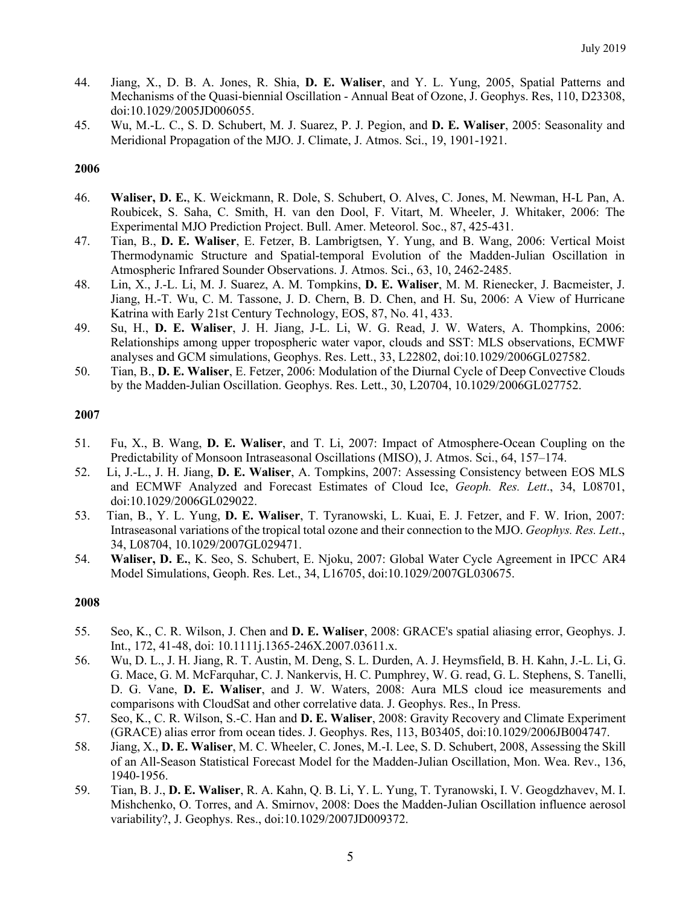- 44. Jiang, X., D. B. A. Jones, R. Shia, **D. E. Waliser**, and Y. L. Yung, 2005, Spatial Patterns and Mechanisms of the Quasi-biennial Oscillation - Annual Beat of Ozone, J. Geophys. Res, 110, D23308, doi:10.1029/2005JD006055.
- 45. Wu, M.-L. C., S. D. Schubert, M. J. Suarez, P. J. Pegion, and **D. E. Waliser**, 2005: Seasonality and Meridional Propagation of the MJO. J. Climate, J. Atmos. Sci., 19, 1901-1921.

- 46. **Waliser, D. E.**, K. Weickmann, R. Dole, S. Schubert, O. Alves, C. Jones, M. Newman, H-L Pan, A. Roubicek, S. Saha, C. Smith, H. van den Dool, F. Vitart, M. Wheeler, J. Whitaker, 2006: The Experimental MJO Prediction Project. Bull. Amer. Meteorol. Soc., 87, 425-431.
- 47. Tian, B., **D. E. Waliser**, E. Fetzer, B. Lambrigtsen, Y. Yung, and B. Wang, 2006: Vertical Moist Thermodynamic Structure and Spatial-temporal Evolution of the Madden-Julian Oscillation in Atmospheric Infrared Sounder Observations. J. Atmos. Sci., 63, 10, 2462-2485.
- 48. Lin, X., J.-L. Li, M. J. Suarez, A. M. Tompkins, **D. E. Waliser**, M. M. Rienecker, J. Bacmeister, J. Jiang, H.-T. Wu, C. M. Tassone, J. D. Chern, B. D. Chen, and H. Su, 2006: A View of Hurricane Katrina with Early 21st Century Technology, EOS, 87, No. 41, 433.
- 49. Su, H., **D. E. Waliser**, J. H. Jiang, J-L. Li, W. G. Read, J. W. Waters, A. Thompkins, 2006: Relationships among upper tropospheric water vapor, clouds and SST: MLS observations, ECMWF analyses and GCM simulations, Geophys. Res. Lett., 33, L22802, doi:10.1029/2006GL027582.
- 50. Tian, B., **D. E. Waliser**, E. Fetzer, 2006: Modulation of the Diurnal Cycle of Deep Convective Clouds by the Madden-Julian Oscillation. Geophys. Res. Lett., 30, L20704, 10.1029/2006GL027752.

#### **2007**

- 51. Fu, X., B. Wang, **D. E. Waliser**, and T. Li, 2007: Impact of Atmosphere-Ocean Coupling on the Predictability of Monsoon Intraseasonal Oscillations (MISO), J. Atmos. Sci., 64, 157–174.
- 52. Li, J.-L., J. H. Jiang, **D. E. Waliser**, A. Tompkins, 2007: Assessing Consistency between EOS MLS and ECMWF Analyzed and Forecast Estimates of Cloud Ice, *Geoph. Res. Lett*., 34, L08701, doi:10.1029/2006GL029022.
- 53. Tian, B., Y. L. Yung, **D. E. Waliser**, T. Tyranowski, L. Kuai, E. J. Fetzer, and F. W. Irion, 2007: Intraseasonal variations of the tropical total ozone and their connection to the MJO. *Geophys. Res. Lett*., 34, L08704, 10.1029/2007GL029471.
- 54. **Waliser, D. E.**, K. Seo, S. Schubert, E. Njoku, 2007: Global Water Cycle Agreement in IPCC AR4 Model Simulations, Geoph. Res. Let., 34, L16705, doi:10.1029/2007GL030675.

- 55. Seo, K., C. R. Wilson, J. Chen and **D. E. Waliser**, 2008: GRACE's spatial aliasing error, Geophys. J. Int., 172, 41-48, doi: 10.1111j.1365-246X.2007.03611.x.
- 56. Wu, D. L., J. H. Jiang, R. T. Austin, M. Deng, S. L. Durden, A. J. Heymsfield, B. H. Kahn, J.-L. Li, G. G. Mace, G. M. McFarquhar, C. J. Nankervis, H. C. Pumphrey, W. G. read, G. L. Stephens, S. Tanelli, D. G. Vane, **D. E. Waliser**, and J. W. Waters, 2008: Aura MLS cloud ice measurements and comparisons with CloudSat and other correlative data. J. Geophys. Res., In Press.
- 57. Seo, K., C. R. Wilson, S.-C. Han and **D. E. Waliser**, 2008: Gravity Recovery and Climate Experiment (GRACE) alias error from ocean tides. J. Geophys. Res, 113, B03405, doi:10.1029/2006JB004747.
- 58. Jiang, X., **D. E. Waliser**, M. C. Wheeler, C. Jones, M.-I. Lee, S. D. Schubert, 2008, Assessing the Skill of an All-Season Statistical Forecast Model for the Madden-Julian Oscillation, Mon. Wea. Rev., 136, 1940-1956.
- 59. Tian, B. J., **D. E. Waliser**, R. A. Kahn, Q. B. Li, Y. L. Yung, T. Tyranowski, I. V. Geogdzhavev, M. I. Mishchenko, O. Torres, and A. Smirnov, 2008: Does the Madden-Julian Oscillation influence aerosol variability?, J. Geophys. Res., doi:10.1029/2007JD009372.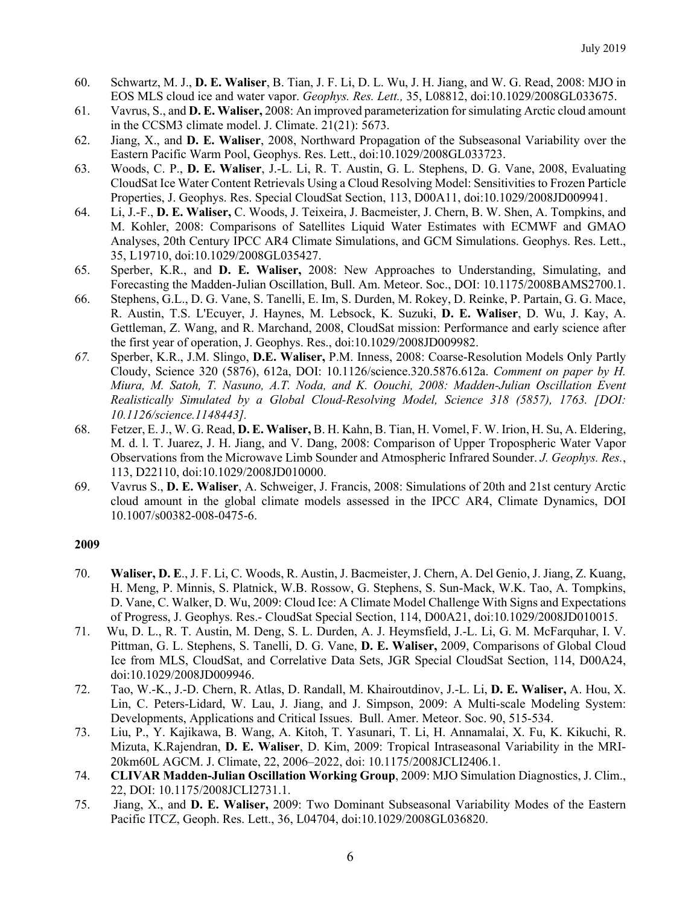- 60. Schwartz, M. J., **D. E. Waliser**, B. Tian, J. F. Li, D. L. Wu, J. H. Jiang, and W. G. Read, 2008: MJO in EOS MLS cloud ice and water vapor. *Geophys. Res. Lett.,* 35, L08812, doi:10.1029/2008GL033675.
- 61. Vavrus, S., and **D. E. Waliser,** 2008: An improved parameterization for simulating Arctic cloud amount in the CCSM3 climate model. J. Climate. 21(21): 5673.
- 62. Jiang, X., and **D. E. Waliser**, 2008, Northward Propagation of the Subseasonal Variability over the Eastern Pacific Warm Pool, Geophys. Res. Lett., doi:10.1029/2008GL033723.
- 63. Woods, C. P., **D. E. Waliser**, J.-L. Li, R. T. Austin, G. L. Stephens, D. G. Vane, 2008, Evaluating CloudSat Ice Water Content Retrievals Using a Cloud Resolving Model: Sensitivities to Frozen Particle Properties, J. Geophys. Res. Special CloudSat Section, 113, D00A11, doi:10.1029/2008JD009941.
- 64. Li, J.-F., **D. E. Waliser,** C. Woods, J. Teixeira, J. Bacmeister, J. Chern, B. W. Shen, A. Tompkins, and M. Kohler, 2008: Comparisons of Satellites Liquid Water Estimates with ECMWF and GMAO Analyses, 20th Century IPCC AR4 Climate Simulations, and GCM Simulations. Geophys. Res. Lett., 35, L19710, doi:10.1029/2008GL035427.
- 65. Sperber, K.R., and **D. E. Waliser,** 2008: New Approaches to Understanding, Simulating, and Forecasting the Madden-Julian Oscillation, Bull. Am. Meteor. Soc., DOI: 10.1175/2008BAMS2700.1.
- 66. Stephens, G.L., D. G. Vane, S. Tanelli, E. Im, S. Durden, M. Rokey, D. Reinke, P. Partain, G. G. Mace, R. Austin, T.S. L'Ecuyer, J. Haynes, M. Lebsock, K. Suzuki, **D. E. Waliser**, D. Wu, J. Kay, A. Gettleman, Z. Wang, and R. Marchand, 2008, CloudSat mission: Performance and early science after the first year of operation, J. Geophys. Res., doi:10.1029/2008JD009982.
- *67.* Sperber, K.R., J.M. Slingo, **D.E. Waliser,** P.M. Inness, 2008: Coarse-Resolution Models Only Partly Cloudy, Science 320 (5876), 612a, DOI: 10.1126/science.320.5876.612a. *Comment on paper by H. Miura, M. Satoh, T. Nasuno, A.T. Noda, and K. Oouchi, 2008: Madden-Julian Oscillation Event Realistically Simulated by a Global Cloud-Resolving Model, Science 318 (5857), 1763. [DOI: 10.1126/science.1148443].*
- 68. Fetzer, E. J., W. G. Read, **D. E. Waliser,** B. H. Kahn, B. Tian, H. Vomel, F. W. Irion, H. Su, A. Eldering, M. d. l. T. Juarez, J. H. Jiang, and V. Dang, 2008: Comparison of Upper Tropospheric Water Vapor Observations from the Microwave Limb Sounder and Atmospheric Infrared Sounder. *J. Geophys. Res.*, 113, D22110, doi:10.1029/2008JD010000.
- 69. Vavrus S., **D. E. Waliser**, A. Schweiger, J. Francis, 2008: Simulations of 20th and 21st century Arctic cloud amount in the global climate models assessed in the IPCC AR4, Climate Dynamics, DOI 10.1007/s00382-008-0475-6.

- 70. **Waliser, D. E**., J. F. Li, C. Woods, R. Austin, J. Bacmeister, J. Chern, A. Del Genio, J. Jiang, Z. Kuang, H. Meng, P. Minnis, S. Platnick, W.B. Rossow, G. Stephens, S. Sun-Mack, W.K. Tao, A. Tompkins, D. Vane, C. Walker, D. Wu, 2009: Cloud Ice: A Climate Model Challenge With Signs and Expectations of Progress, J. Geophys. Res.- CloudSat Special Section, 114, D00A21, doi:10.1029/2008JD010015.
- 71. Wu, D. L., R. T. Austin, M. Deng, S. L. Durden, A. J. Heymsfield, J.-L. Li, G. M. McFarquhar, I. V. Pittman, G. L. Stephens, S. Tanelli, D. G. Vane, **D. E. Waliser,** 2009, Comparisons of Global Cloud Ice from MLS, CloudSat, and Correlative Data Sets, JGR Special CloudSat Section, 114, D00A24, doi:10.1029/2008JD009946.
- 72. Tao, W.-K., J.-D. Chern, R. Atlas, D. Randall, M. Khairoutdinov, J.-L. Li, **D. E. Waliser,** A. Hou, X. Lin, C. Peters-Lidard, W. Lau, J. Jiang, and J. Simpson, 2009: A Multi-scale Modeling System: Developments, Applications and Critical Issues. Bull. Amer. Meteor. Soc. 90, 515-534.
- 73. Liu, P., Y. Kajikawa, B. Wang, A. Kitoh, T. Yasunari, T. Li, H. Annamalai, X. Fu, K. Kikuchi, R. Mizuta, K.Rajendran, **D. E. Waliser**, D. Kim, 2009: Tropical Intraseasonal Variability in the MRI-20km60L AGCM. J. Climate, 22, 2006–2022, doi: 10.1175/2008JCLI2406.1.
- 74. **CLIVAR Madden-Julian Oscillation Working Group**, 2009: MJO Simulation Diagnostics, J. Clim., 22, DOI: 10.1175/2008JCLI2731.1.
- 75. Jiang, X., and **D. E. Waliser,** 2009: Two Dominant Subseasonal Variability Modes of the Eastern Pacific ITCZ, Geoph. Res. Lett., 36, L04704, doi:10.1029/2008GL036820.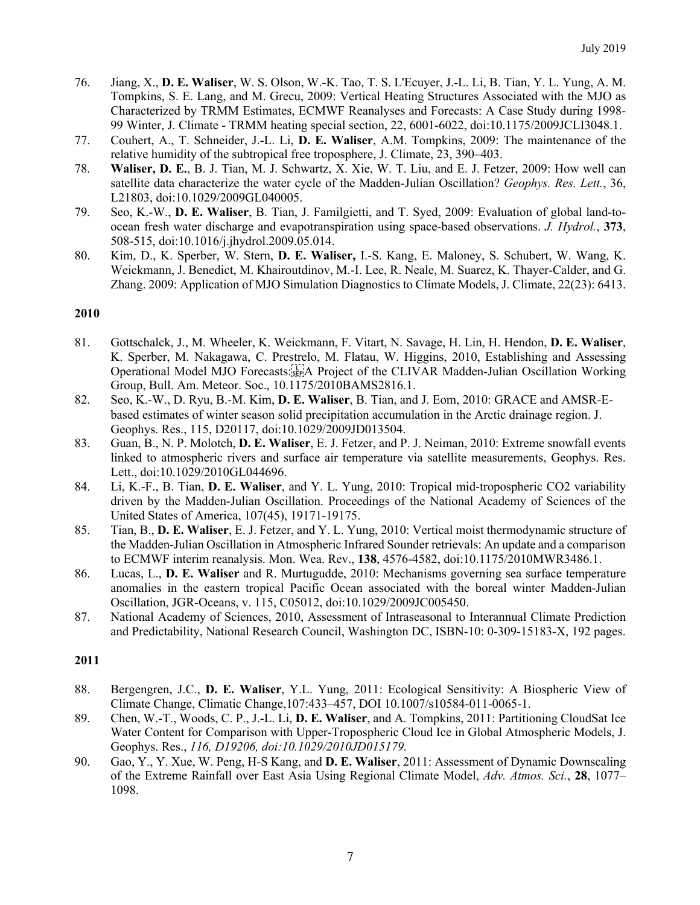- 76. Jiang, X., **D. E. Waliser**, W. S. Olson, W.-K. Tao, T. S. L'Ecuyer, J.-L. Li, B. Tian, Y. L. Yung, A. M. Tompkins, S. E. Lang, and M. Grecu, 2009: Vertical Heating Structures Associated with the MJO as Characterized by TRMM Estimates, ECMWF Reanalyses and Forecasts: A Case Study during 1998- 99 Winter, J. Climate - TRMM heating special section, 22, 6001-6022, doi:10.1175/2009JCLI3048.1.
- 77. Couhert, A., T. Schneider, J.-L. Li, **D. E. Waliser**, A.M. Tompkins, 2009: The maintenance of the relative humidity of the subtropical free troposphere, J. Climate, 23, 390–403.
- 78. **Waliser, D. E.**, B. J. Tian, M. J. Schwartz, X. Xie, W. T. Liu, and E. J. Fetzer, 2009: How well can satellite data characterize the water cycle of the Madden-Julian Oscillation? *Geophys. Res. Lett.*, 36, L21803, doi:10.1029/2009GL040005.
- 79. Seo, K.-W., **D. E. Waliser**, B. Tian, J. Familgietti, and T. Syed, 2009: Evaluation of global land-toocean fresh water discharge and evapotranspiration using space-based observations. *J. Hydrol.*, **373**, 508-515, doi:10.1016/j.jhydrol.2009.05.014.
- 80. Kim, D., K. Sperber, W. Stern, **D. E. Waliser,** I.-S. Kang, E. Maloney, S. Schubert, W. Wang, K. Weickmann, J. Benedict, M. Khairoutdinov, M.-I. Lee, R. Neale, M. Suarez, K. Thayer-Calder, and G. Zhang. 2009: Application of MJO Simulation Diagnostics to Climate Models, J. Climate, 22(23): 6413.

- 81. Gottschalck, J., M. Wheeler, K. Weickmann, F. Vitart, N. Savage, H. Lin, H. Hendon, **D. E. Waliser**, K. Sperber, M. Nakagawa, C. Prestrelo, M. Flatau, W. Higgins, 2010, Establishing and Assessing Operational Model MJO Forecasts:
A Project of the CLIVAR Madden-Julian Oscillation Working Group, Bull. Am. Meteor. Soc., 10.1175/2010BAMS2816.1.
- 82. Seo, K.-W., D. Ryu, B.-M. Kim, **D. E. Waliser**, B. Tian, and J. Eom, 2010: GRACE and AMSR-Ebased estimates of winter season solid precipitation accumulation in the Arctic drainage region. J. Geophys. Res., 115, D20117, doi:10.1029/2009JD013504.
- 83. Guan, B., N. P. Molotch, **D. E. Waliser**, E. J. Fetzer, and P. J. Neiman, 2010: Extreme snowfall events linked to atmospheric rivers and surface air temperature via satellite measurements, Geophys. Res. Lett., doi:10.1029/2010GL044696.
- 84. Li, K.-F., B. Tian, **D. E. Waliser**, and Y. L. Yung, 2010: Tropical mid-tropospheric CO2 variability driven by the Madden-Julian Oscillation. Proceedings of the National Academy of Sciences of the United States of America, 107(45), 19171-19175.
- 85. Tian, B., **D. E. Waliser**, E. J. Fetzer, and Y. L. Yung, 2010: Vertical moist thermodynamic structure of the Madden-Julian Oscillation in Atmospheric Infrared Sounder retrievals: An update and a comparison to ECMWF interim reanalysis. Mon. Wea. Rev., **138**, 4576-4582, doi:10.1175/2010MWR3486.1.
- 86. Lucas, L., **D. E. Waliser** and R. Murtugudde, 2010: Mechanisms governing sea surface temperature anomalies in the eastern tropical Pacific Ocean associated with the boreal winter Madden-Julian Oscillation, JGR-Oceans, v. 115, C05012, doi:10.1029/2009JC005450.
- 87. National Academy of Sciences, 2010, Assessment of Intraseasonal to Interannual Climate Prediction and Predictability, National Research Council, Washington DC, ISBN-10: 0-309-15183-X, 192 pages.

- 88. Bergengren, J.C., **D. E. Waliser**, Y.L. Yung, 2011: Ecological Sensitivity: A Biospheric View of Climate Change, Climatic Change,107:433–457, DOI 10.1007/s10584-011-0065-1.
- 89. Chen, W.-T., Woods, C. P., J.-L. Li, **D. E. Waliser**, and A. Tompkins, 2011: Partitioning CloudSat Ice Water Content for Comparison with Upper-Tropospheric Cloud Ice in Global Atmospheric Models, J. Geophys. Res., *116, D19206, doi:10.1029/2010JD015179.*
- 90. Gao, Y., Y. Xue, W. Peng, H-S Kang, and **D. E. Waliser**, 2011: Assessment of Dynamic Downscaling of the Extreme Rainfall over East Asia Using Regional Climate Model, *Adv. Atmos. Sci.*, **28**, 1077– 1098.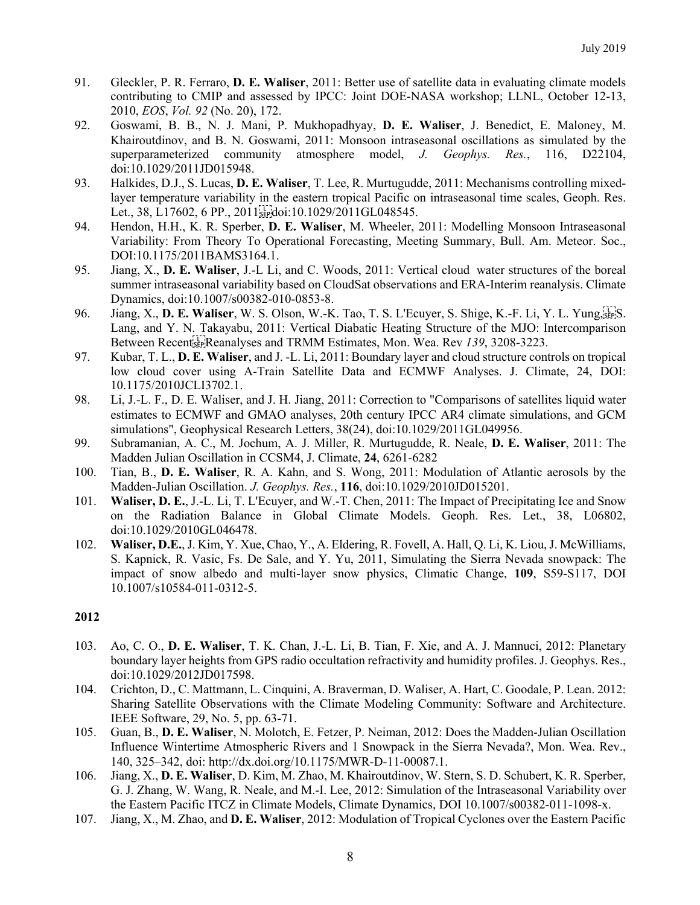- 91. Gleckler, P. R. Ferraro, **D. E. Waliser**, 2011: Better use of satellite data in evaluating climate models contributing to CMIP and assessed by IPCC: Joint DOE-NASA workshop; LLNL, October 12-13, 2010, *EOS*, *Vol. 92* (No. 20), 172.
- 92. Goswami, B. B., N. J. Mani, P. Mukhopadhyay, **D. E. Waliser**, J. Benedict, E. Maloney, M. Khairoutdinov, and B. N. Goswami, 2011: Monsoon intraseasonal oscillations as simulated by the superparameterized community atmosphere model, *J. Geophys. Res.*, 116, D22104, doi:10.1029/2011JD015948.
- 93. Halkides, D.J., S. Lucas, **D. E. Waliser**, T. Lee, R. Murtugudde, 2011: Mechanisms controlling mixedlayer temperature variability in the eastern tropical Pacific on intraseasonal time scales, Geoph. Res. Let., 38, L17602, 6 PP., 2011 $\frac{[1 \text{ }}{[25 \text{ }}$  doi:10.1029/2011GL048545.
- 94. Hendon, H.H., K. R. Sperber, **D. E. Waliser**, M. Wheeler, 2011: Modelling Monsoon Intraseasonal Variability: From Theory To Operational Forecasting, Meeting Summary, Bull. Am. Meteor. Soc., DOI:10.1175/2011BAMS3164.1.
- 95. Jiang, X., **D. E. Waliser**, J.-L Li, and C. Woods, 2011: Vertical cloud water structures of the boreal summer intraseasonal variability based on CloudSat observations and ERA-Interim reanalysis. Climate Dynamics, doi:10.1007/s00382-010-0853-8.
- 96. Jiang, X., **D. E. Waliser**, W. S. Olson, W.-K. Tao, T. S. L'Ecuyer, S. Shige, K.-F. Li, Y. L. Yung,
S. Lang, and Y. N. Takayabu, 2011: Vertical Diabatic Heating Structure of the MJO: Intercomparison Between Recent<sub>ist</sub>, Reanalyses and TRMM Estimates, Mon. Wea. Rev 139, 3208-3223.
- 97. Kubar, T. L., **D. E. Waliser**, and J. -L. Li, 2011: Boundary layer and cloud structure controls on tropical low cloud cover using A-Train Satellite Data and ECMWF Analyses. J. Climate, 24, DOI: 10.1175/2010JCLI3702.1.
- 98. Li, J.-L. F., D. E. Waliser, and J. H. Jiang, 2011: Correction to "Comparisons of satellites liquid water estimates to ECMWF and GMAO analyses, 20th century IPCC AR4 climate simulations, and GCM simulations", Geophysical Research Letters, 38(24), doi:10.1029/2011GL049956.
- 99. Subramanian, A. C., M. Jochum, A. J. Miller, R. Murtugudde, R. Neale, **D. E. Waliser**, 2011: The Madden Julian Oscillation in CCSM4, J. Climate, **24**, 6261-6282
- 100. Tian, B., **D. E. Waliser**, R. A. Kahn, and S. Wong, 2011: Modulation of Atlantic aerosols by the Madden-Julian Oscillation. *J. Geophys. Res.*, **116**, doi:10.1029/2010JD015201.
- 101. **Waliser, D. E.**, J.-L. Li, T. L'Ecuyer, and W.-T. Chen, 2011: The Impact of Precipitating Ice and Snow on the Radiation Balance in Global Climate Models. Geoph. Res. Let., 38, L06802, doi:10.1029/2010GL046478.
- 102. **Waliser, D.E.**, J. Kim, Y. Xue, Chao, Y., A. Eldering, R. Fovell, A. Hall, Q. Li, K. Liou, J. McWilliams, S. Kapnick, R. Vasic, Fs. De Sale, and Y. Yu, 2011, Simulating the Sierra Nevada snowpack: The impact of snow albedo and multi-layer snow physics, Climatic Change, **109**, S59-S117, DOI 10.1007/s10584-011-0312-5.

- 103. Ao, C. O., **D. E. Waliser**, T. K. Chan, J.-L. Li, B. Tian, F. Xie, and A. J. Mannuci, 2012: Planetary boundary layer heights from GPS radio occultation refractivity and humidity profiles. J. Geophys. Res., doi:10.1029/2012JD017598.
- 104. Crichton, D., C. Mattmann, L. Cinquini, A. Braverman, D. Waliser, A. Hart, C. Goodale, P. Lean. 2012: Sharing Satellite Observations with the Climate Modeling Community: Software and Architecture. IEEE Software, 29, No. 5, pp. 63-71.
- 105. Guan, B., **D. E. Waliser**, N. Molotch, E. Fetzer, P. Neiman, 2012: Does the Madden-Julian Oscillation Influence Wintertime Atmospheric Rivers and 1 Snowpack in the Sierra Nevada?, Mon. Wea. Rev., 140, 325–342, doi: http://dx.doi.org/10.1175/MWR-D-11-00087.1.
- 106. Jiang, X., **D. E. Waliser**, D. Kim, M. Zhao, M. Khairoutdinov, W. Stern, S. D. Schubert, K. R. Sperber, G. J. Zhang, W. Wang, R. Neale, and M.-I. Lee, 2012: Simulation of the Intraseasonal Variability over the Eastern Pacific ITCZ in Climate Models, Climate Dynamics, DOI 10.1007/s00382-011-1098-x.
- 107. Jiang, X., M. Zhao, and **D. E. Waliser**, 2012: Modulation of Tropical Cyclones over the Eastern Pacific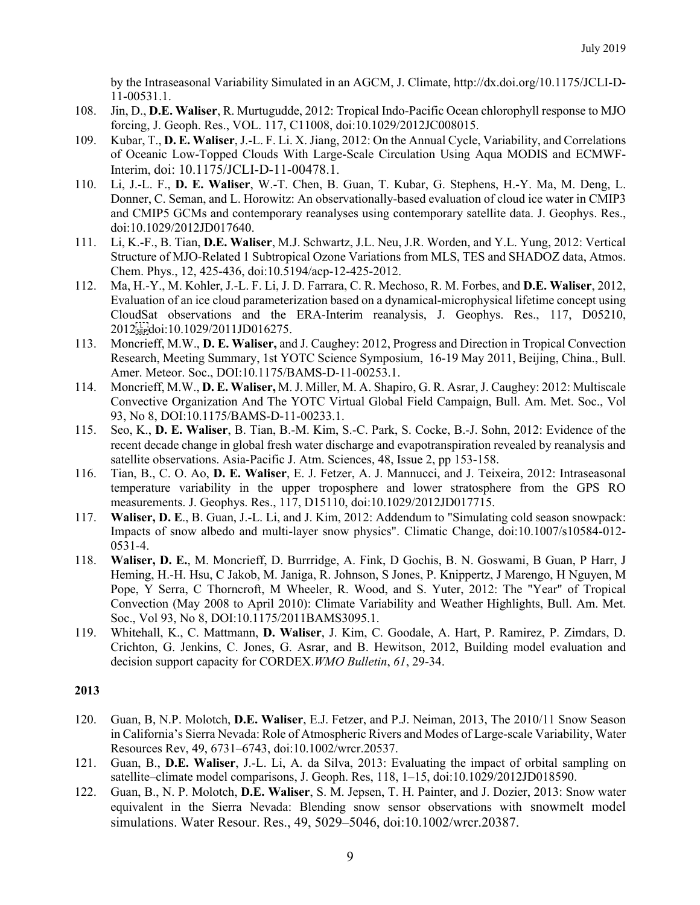by the Intraseasonal Variability Simulated in an AGCM, J. Climate, http://dx.doi.org/10.1175/JCLI-D-11-00531.1.

- 108. Jin, D., **D.E. Waliser**, R. Murtugudde, 2012: Tropical Indo-Pacific Ocean chlorophyll response to MJO forcing, J. Geoph. Res., VOL. 117, C11008, doi:10.1029/2012JC008015.
- 109. Kubar, T., **D. E. Waliser**, J.-L. F. Li. X. Jiang, 2012: On the Annual Cycle, Variability, and Correlations of Oceanic Low-Topped Clouds With Large-Scale Circulation Using Aqua MODIS and ECMWF-Interim, doi: 10.1175/JCLI-D-11-00478.1.
- 110. Li, J.-L. F., **D. E. Waliser**, W.-T. Chen, B. Guan, T. Kubar, G. Stephens, H.-Y. Ma, M. Deng, L. Donner, C. Seman, and L. Horowitz: An observationally-based evaluation of cloud ice water in CMIP3 and CMIP5 GCMs and contemporary reanalyses using contemporary satellite data. J. Geophys. Res., doi:10.1029/2012JD017640.
- 111. Li, K.-F., B. Tian, **D.E. Waliser**, M.J. Schwartz, J.L. Neu, J.R. Worden, and Y.L. Yung, 2012: Vertical Structure of MJO-Related 1 Subtropical Ozone Variations from MLS, TES and SHADOZ data, Atmos. Chem. Phys., 12, 425-436, doi:10.5194/acp-12-425-2012.
- 112. Ma, H.-Y., M. Kohler, J.-L. F. Li, J. D. Farrara, C. R. Mechoso, R. M. Forbes, and **D.E. Waliser**, 2012, Evaluation of an ice cloud parameterization based on a dynamical-microphysical lifetime concept using CloudSat observations and the ERA-Interim reanalysis, J. Geophys. Res., 117, D05210, 2012<sup>[1</sup><sub>2</sub> c<sub>2</sub> c<sub>2</sub><sup>[2</sup>] doi:10.1029/2011JD016275.
- 113. Moncrieff, M.W., **D. E. Waliser,** and J. Caughey: 2012, Progress and Direction in Tropical Convection Research, Meeting Summary, 1st YOTC Science Symposium, 16-19 May 2011, Beijing, China., Bull. Amer. Meteor. Soc., DOI:10.1175/BAMS-D-11-00253.1.
- 114. Moncrieff, M.W., **D. E. Waliser,** M. J. Miller, M. A. Shapiro, G. R. Asrar, J. Caughey: 2012: Multiscale Convective Organization And The YOTC Virtual Global Field Campaign, Bull. Am. Met. Soc., Vol 93, No 8, DOI:10.1175/BAMS-D-11-00233.1.
- 115. Seo, K., **D. E. Waliser**, B. Tian, B.-M. Kim, S.-C. Park, S. Cocke, B.-J. Sohn, 2012: Evidence of the recent decade change in global fresh water discharge and evapotranspiration revealed by reanalysis and satellite observations. Asia-Pacific J. Atm. Sciences, 48, Issue 2, pp 153-158.
- 116. Tian, B., C. O. Ao, **D. E. Waliser**, E. J. Fetzer, A. J. Mannucci, and J. Teixeira, 2012: Intraseasonal temperature variability in the upper troposphere and lower stratosphere from the GPS RO measurements. J. Geophys. Res., 117, D15110, doi:10.1029/2012JD017715.
- 117. **Waliser, D. E**., B. Guan, J.-L. Li, and J. Kim, 2012: Addendum to "Simulating cold season snowpack: Impacts of snow albedo and multi-layer snow physics". Climatic Change, doi:10.1007/s10584-012- 0531-4.
- 118. **Waliser, D. E.**, M. Moncrieff, D. Burrridge, A. Fink, D Gochis, B. N. Goswami, B Guan, P Harr, J Heming, H.-H. Hsu, C Jakob, M. Janiga, R. Johnson, S Jones, P. Knippertz, J Marengo, H Nguyen, M Pope, Y Serra, C Thorncroft, M Wheeler, R. Wood, and S. Yuter, 2012: The "Year" of Tropical Convection (May 2008 to April 2010): Climate Variability and Weather Highlights, Bull. Am. Met. Soc., Vol 93, No 8, DOI:10.1175/2011BAMS3095.1.
- 119. Whitehall, K., C. Mattmann, **D. Waliser**, J. Kim, C. Goodale, A. Hart, P. Ramirez, P. Zimdars, D. Crichton, G. Jenkins, C. Jones, G. Asrar, and B. Hewitson, 2012, Building model evaluation and decision support capacity for CORDEX.*WMO Bulletin*, *61*, 29-34.

- 120. Guan, B, N.P. Molotch, **D.E. Waliser**, E.J. Fetzer, and P.J. Neiman, 2013, The 2010/11 Snow Season in California's Sierra Nevada: Role of Atmospheric Rivers and Modes of Large-scale Variability, Water Resources Rev, 49, 6731–6743, doi:10.1002/wrcr.20537.
- 121. Guan, B., **D.E. Waliser**, J.-L. Li, A. da Silva, 2013: Evaluating the impact of orbital sampling on satellite–climate model comparisons, J. Geoph. Res, 118, 1–15, doi:10.1029/2012JD018590.
- 122. Guan, B., N. P. Molotch, **D.E. Waliser**, S. M. Jepsen, T. H. Painter, and J. Dozier, 2013: Snow water equivalent in the Sierra Nevada: Blending snow sensor observations with snowmelt model simulations. Water Resour. Res., 49, 5029–5046, doi:10.1002/wrcr.20387.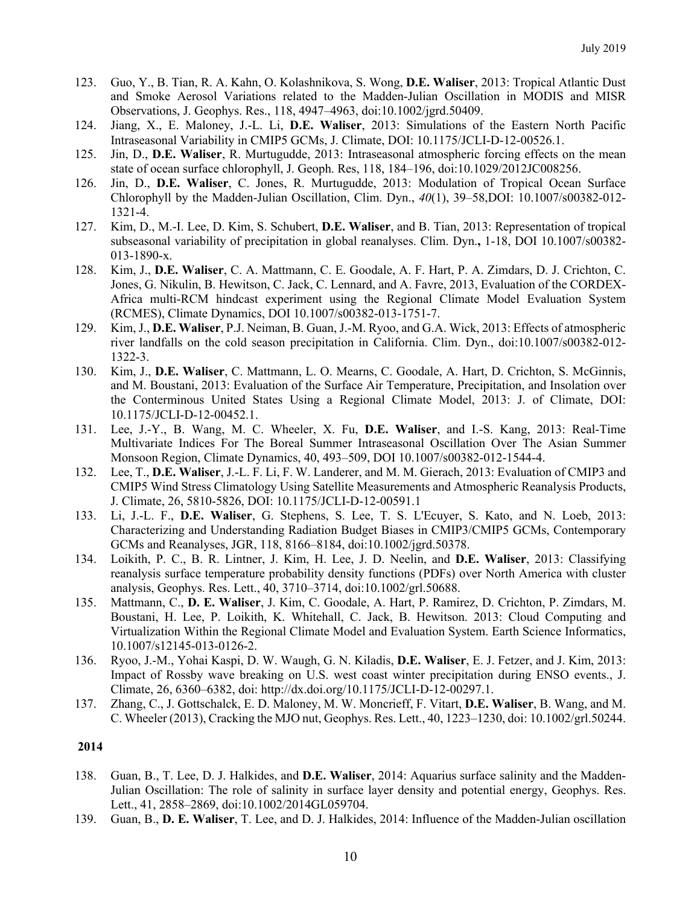- 123. Guo, Y., B. Tian, R. A. Kahn, O. Kolashnikova, S. Wong, **D.E. Waliser**, 2013: Tropical Atlantic Dust and Smoke Aerosol Variations related to the Madden-Julian Oscillation in MODIS and MISR Observations, J. Geophys. Res., 118, 4947–4963, doi:10.1002/jgrd.50409.
- 124. Jiang, X., E. Maloney, J.-L. Li, **D.E. Waliser**, 2013: Simulations of the Eastern North Pacific Intraseasonal Variability in CMIP5 GCMs, J. Climate, DOI: 10.1175/JCLI-D-12-00526.1.
- 125. Jin, D., **D.E. Waliser**, R. Murtugudde, 2013: Intraseasonal atmospheric forcing effects on the mean state of ocean surface chlorophyll, J. Geoph. Res, 118, 184–196, doi:10.1029/2012JC008256.
- 126. Jin, D., **D.E. Waliser**, C. Jones, R. Murtugudde, 2013: Modulation of Tropical Ocean Surface Chlorophyll by the Madden-Julian Oscillation, Clim. Dyn., *40*(1), 39–58,DOI: 10.1007/s00382-012- 1321-4.
- 127. Kim, D., M.-I. Lee, D. Kim, S. Schubert, **D.E. Waliser**, and B. Tian, 2013: Representation of tropical subseasonal variability of precipitation in global reanalyses. Clim. Dyn.**,** 1-18, DOI 10.1007/s00382- 013-1890-x.
- 128. Kim, J., **D.E. Waliser**, C. A. Mattmann, C. E. Goodale, A. F. Hart, P. A. Zimdars, D. J. Crichton, C. Jones, G. Nikulin, B. Hewitson, C. Jack, C. Lennard, and A. Favre, 2013, Evaluation of the CORDEX-Africa multi-RCM hindcast experiment using the Regional Climate Model Evaluation System (RCMES), Climate Dynamics, DOI 10.1007/s00382-013-1751-7.
- 129. Kim, J., **D.E. Waliser**, P.J. Neiman, B. Guan, J.-M. Ryoo, and G.A. Wick, 2013: Effects of atmospheric river landfalls on the cold season precipitation in California. Clim. Dyn., doi:10.1007/s00382-012- 1322-3.
- 130. Kim, J., **D.E. Waliser**, C. Mattmann, L. O. Mearns, C. Goodale, A. Hart, D. Crichton, S. McGinnis, and M. Boustani, 2013: Evaluation of the Surface Air Temperature, Precipitation, and Insolation over the Conterminous United States Using a Regional Climate Model, 2013: J. of Climate, DOI: 10.1175/JCLI-D-12-00452.1.
- 131. Lee, J.-Y., B. Wang, M. C. Wheeler, X. Fu, **D.E. Waliser**, and I.-S. Kang, 2013: Real-Time Multivariate Indices For The Boreal Summer Intraseasonal Oscillation Over The Asian Summer Monsoon Region, Climate Dynamics, 40, 493–509, DOI 10.1007/s00382-012-1544-4.
- 132. Lee, T., **D.E. Waliser**, J.-L. F. Li, F. W. Landerer, and M. M. Gierach, 2013: Evaluation of CMIP3 and CMIP5 Wind Stress Climatology Using Satellite Measurements and Atmospheric Reanalysis Products, J. Climate, 26, 5810-5826, DOI: 10.1175/JCLI-D-12-00591.1
- 133. Li, J.-L. F., **D.E. Waliser**, G. Stephens, S. Lee, T. S. L'Ecuyer, S. Kato, and N. Loeb, 2013: Characterizing and Understanding Radiation Budget Biases in CMIP3/CMIP5 GCMs, Contemporary GCMs and Reanalyses, JGR, 118, 8166–8184, doi:10.1002/jgrd.50378.
- 134. Loikith, P. C., B. R. Lintner, J. Kim, H. Lee, J. D. Neelin, and **D.E. Waliser**, 2013: Classifying reanalysis surface temperature probability density functions (PDFs) over North America with cluster analysis, Geophys. Res. Lett., 40, 3710–3714, doi:10.1002/grl.50688.
- 135. Mattmann, C., **D. E. Waliser**, J. Kim, C. Goodale, A. Hart, P. Ramirez, D. Crichton, P. Zimdars, M. Boustani, H. Lee, P. Loikith, K. Whitehall, C. Jack, B. Hewitson. 2013: Cloud Computing and Virtualization Within the Regional Climate Model and Evaluation System. Earth Science Informatics, 10.1007/s12145-013-0126-2.
- 136. Ryoo, J.-M., Yohai Kaspi, D. W. Waugh, G. N. Kiladis, **D.E. Waliser**, E. J. Fetzer, and J. Kim, 2013: Impact of Rossby wave breaking on U.S. west coast winter precipitation during ENSO events., J. Climate, 26, 6360–6382, doi: http://dx.doi.org/10.1175/JCLI-D-12-00297.1.
- 137. Zhang, C., J. Gottschalck, E. D. Maloney, M. W. Moncrieff, F. Vitart, **D.E. Waliser**, B. Wang, and M. C. Wheeler (2013), Cracking the MJO nut, Geophys. Res. Lett., 40, 1223–1230, doi: 10.1002/grl.50244.

- 138. Guan, B., T. Lee, D. J. Halkides, and **D.E. Waliser**, 2014: Aquarius surface salinity and the Madden-Julian Oscillation: The role of salinity in surface layer density and potential energy, Geophys. Res. Lett., 41, 2858–2869, doi:10.1002/2014GL059704.
- 139. Guan, B., **D. E. Waliser**, T. Lee, and D. J. Halkides, 2014: Influence of the Madden-Julian oscillation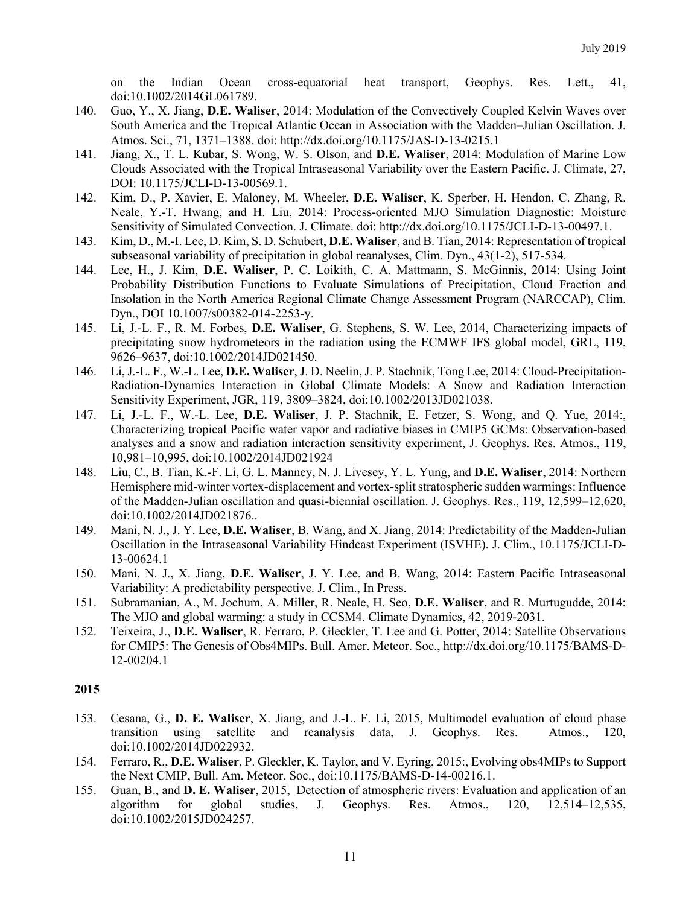on the Indian Ocean cross-equatorial heat transport, Geophys. Res. Lett., 41, doi:10.1002/2014GL061789.

- 140. Guo, Y., X. Jiang, **D.E. Waliser**, 2014: Modulation of the Convectively Coupled Kelvin Waves over South America and the Tropical Atlantic Ocean in Association with the Madden–Julian Oscillation. J. Atmos. Sci., 71, 1371–1388. doi: http://dx.doi.org/10.1175/JAS-D-13-0215.1
- 141. Jiang, X., T. L. Kubar, S. Wong, W. S. Olson, and **D.E. Waliser**, 2014: Modulation of Marine Low Clouds Associated with the Tropical Intraseasonal Variability over the Eastern Pacific. J. Climate, 27, DOI: 10.1175/JCLI-D-13-00569.1.
- 142. Kim, D., P. Xavier, E. Maloney, M. Wheeler, **D.E. Waliser**, K. Sperber, H. Hendon, C. Zhang, R. Neale, Y.-T. Hwang, and H. Liu, 2014: Process-oriented MJO Simulation Diagnostic: Moisture Sensitivity of Simulated Convection. J. Climate. doi: http://dx.doi.org/10.1175/JCLI-D-13-00497.1.
- 143. Kim, D., M.-I. Lee, D. Kim, S. D. Schubert, **D.E. Waliser**, and B. Tian, 2014: Representation of tropical subseasonal variability of precipitation in global reanalyses, Clim. Dyn., 43(1-2), 517-534.
- 144. Lee, H., J. Kim, **D.E. Waliser**, P. C. Loikith, C. A. Mattmann, S. McGinnis, 2014: Using Joint Probability Distribution Functions to Evaluate Simulations of Precipitation, Cloud Fraction and Insolation in the North America Regional Climate Change Assessment Program (NARCCAP), Clim. Dyn., DOI 10.1007/s00382-014-2253-y.
- 145. Li, J.-L. F., R. M. Forbes, **D.E. Waliser**, G. Stephens, S. W. Lee, 2014, Characterizing impacts of precipitating snow hydrometeors in the radiation using the ECMWF IFS global model, GRL, 119, 9626–9637, doi:10.1002/2014JD021450.
- 146. Li, J.-L. F., W.-L. Lee, **D.E. Waliser**, J. D. Neelin, J. P. Stachnik, Tong Lee, 2014: Cloud-Precipitation-Radiation-Dynamics Interaction in Global Climate Models: A Snow and Radiation Interaction Sensitivity Experiment, JGR, 119, 3809–3824, doi:10.1002/2013JD021038.
- 147. Li, J.-L. F., W.-L. Lee, **D.E. Waliser**, J. P. Stachnik, E. Fetzer, S. Wong, and Q. Yue, 2014:, Characterizing tropical Pacific water vapor and radiative biases in CMIP5 GCMs: Observation-based analyses and a snow and radiation interaction sensitivity experiment, J. Geophys. Res. Atmos., 119, 10,981–10,995, doi:10.1002/2014JD021924
- 148. Liu, C., B. Tian, K.-F. Li, G. L. Manney, N. J. Livesey, Y. L. Yung, and **D.E. Waliser**, 2014: Northern Hemisphere mid-winter vortex-displacement and vortex-split stratospheric sudden warmings: Influence of the Madden-Julian oscillation and quasi-biennial oscillation. J. Geophys. Res., 119, 12,599–12,620, doi:10.1002/2014JD021876..
- 149. Mani, N. J., J. Y. Lee, **D.E. Waliser**, B. Wang, and X. Jiang, 2014: Predictability of the Madden-Julian Oscillation in the Intraseasonal Variability Hindcast Experiment (ISVHE). J. Clim., 10.1175/JCLI-D-13-00624.1
- 150. Mani, N. J., X. Jiang, **D.E. Waliser**, J. Y. Lee, and B. Wang, 2014: Eastern Pacific Intraseasonal Variability: A predictability perspective. J. Clim., In Press.
- 151. Subramanian, A., M. Jochum, A. Miller, R. Neale, H. Seo, **D.E. Waliser**, and R. Murtugudde, 2014: The MJO and global warming: a study in CCSM4. Climate Dynamics, 42, 2019-2031.
- 152. Teixeira, J., **D.E. Waliser**, R. Ferraro, P. Gleckler, T. Lee and G. Potter, 2014: Satellite Observations for CMIP5: The Genesis of Obs4MIPs. Bull. Amer. Meteor. Soc., http://dx.doi.org/10.1175/BAMS-D-12-00204.1

- 153. Cesana, G., **D. E. Waliser**, X. Jiang, and J.-L. F. Li, 2015, Multimodel evaluation of cloud phase transition using satellite and reanalysis data, J. Geophys. Res. Atmos., 120, doi:10.1002/2014JD022932.
- 154. Ferraro, R., **D.E. Waliser**, P. Gleckler, K. Taylor, and V. Eyring, 2015:, Evolving obs4MIPs to Support the Next CMIP, Bull. Am. Meteor. Soc., doi:10.1175/BAMS-D-14-00216.1.
- 155. Guan, B., and **D. E. Waliser**, 2015, Detection of atmospheric rivers: Evaluation and application of an algorithm for global studies, J. Geophys. Res. Atmos., 120, 12,514–12,535, doi:10.1002/2015JD024257.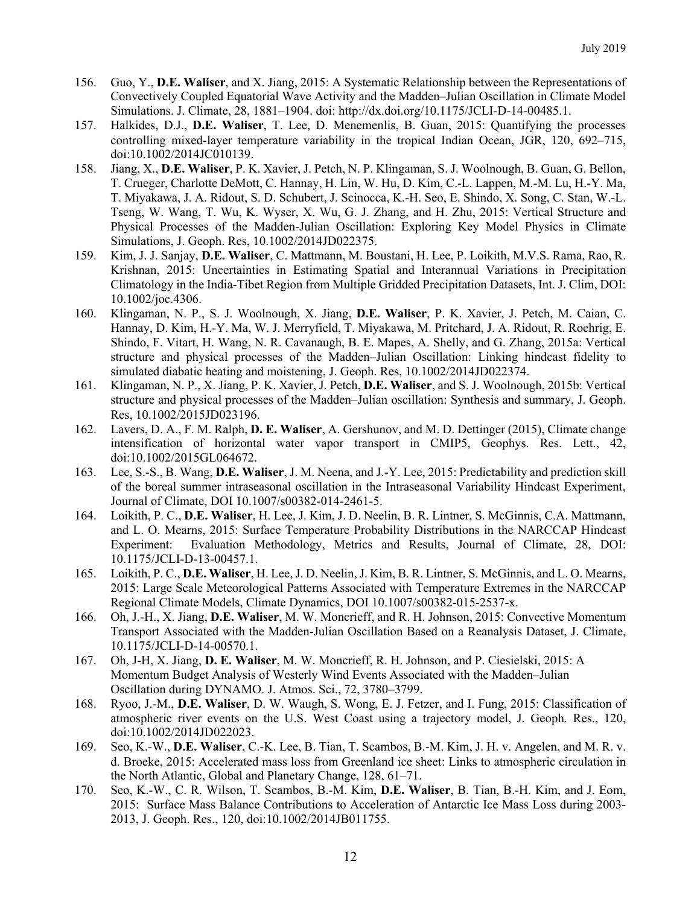- 156. Guo, Y., **D.E. Waliser**, and X. Jiang, 2015: A Systematic Relationship between the Representations of Convectively Coupled Equatorial Wave Activity and the Madden–Julian Oscillation in Climate Model Simulations. J. Climate, 28, 1881–1904. doi: http://dx.doi.org/10.1175/JCLI-D-14-00485.1.
- 157. Halkides, D.J., **D.E. Waliser**, T. Lee, D. Menemenlis, B. Guan, 2015: Quantifying the processes controlling mixed-layer temperature variability in the tropical Indian Ocean, JGR, 120, 692–715, doi:10.1002/2014JC010139.
- 158. Jiang, X., **D.E. Waliser**, P. K. Xavier, J. Petch, N. P. Klingaman, S. J. Woolnough, B. Guan, G. Bellon, T. Crueger, Charlotte DeMott, C. Hannay, H. Lin, W. Hu, D. Kim, C.-L. Lappen, M.-M. Lu, H.-Y. Ma, T. Miyakawa, J. A. Ridout, S. D. Schubert, J. Scinocca, K.-H. Seo, E. Shindo, X. Song, C. Stan, W.-L. Tseng, W. Wang, T. Wu, K. Wyser, X. Wu, G. J. Zhang, and H. Zhu, 2015: Vertical Structure and Physical Processes of the Madden-Julian Oscillation: Exploring Key Model Physics in Climate Simulations, J. Geoph. Res, 10.1002/2014JD022375.
- 159. Kim, J. J. Sanjay, **D.E. Waliser**, C. Mattmann, M. Boustani, H. Lee, P. Loikith, M.V.S. Rama, Rao, R. Krishnan, 2015: Uncertainties in Estimating Spatial and Interannual Variations in Precipitation Climatology in the India-Tibet Region from Multiple Gridded Precipitation Datasets, Int. J. Clim, DOI: 10.1002/joc.4306.
- 160. Klingaman, N. P., S. J. Woolnough, X. Jiang, **D.E. Waliser**, P. K. Xavier, J. Petch, M. Caian, C. Hannay, D. Kim, H.-Y. Ma, W. J. Merryfield, T. Miyakawa, M. Pritchard, J. A. Ridout, R. Roehrig, E. Shindo, F. Vitart, H. Wang, N. R. Cavanaugh, B. E. Mapes, A. Shelly, and G. Zhang, 2015a: Vertical structure and physical processes of the Madden–Julian Oscillation: Linking hindcast fidelity to simulated diabatic heating and moistening, J. Geoph. Res, 10.1002/2014JD022374.
- 161. Klingaman, N. P., X. Jiang, P. K. Xavier, J. Petch, **D.E. Waliser**, and S. J. Woolnough, 2015b: Vertical structure and physical processes of the Madden–Julian oscillation: Synthesis and summary, J. Geoph. Res, 10.1002/2015JD023196.
- 162. Lavers, D. A., F. M. Ralph, **D. E. Waliser**, A. Gershunov, and M. D. Dettinger (2015), Climate change intensification of horizontal water vapor transport in CMIP5, Geophys. Res. Lett., 42, doi:10.1002/2015GL064672.
- 163. Lee, S.-S., B. Wang, **D.E. Waliser**, J. M. Neena, and J.-Y. Lee, 2015: Predictability and prediction skill of the boreal summer intraseasonal oscillation in the Intraseasonal Variability Hindcast Experiment, Journal of Climate, DOI 10.1007/s00382-014-2461-5.
- 164. Loikith, P. C., **D.E. Waliser**, H. Lee, J. Kim, J. D. Neelin, B. R. Lintner, S. McGinnis, C.A. Mattmann, and L. O. Mearns, 2015: Surface Temperature Probability Distributions in the NARCCAP Hindcast Experiment: Evaluation Methodology, Metrics and Results, Journal of Climate, 28, DOI: 10.1175/JCLI-D-13-00457.1.
- 165. Loikith, P. C., **D.E. Waliser**, H. Lee, J. D. Neelin, J. Kim, B. R. Lintner, S. McGinnis, and L. O. Mearns, 2015: Large Scale Meteorological Patterns Associated with Temperature Extremes in the NARCCAP Regional Climate Models, Climate Dynamics, DOI 10.1007/s00382-015-2537-x.
- 166. Oh, J.-H., X. Jiang, **D.E. Waliser**, M. W. Moncrieff, and R. H. Johnson, 2015: Convective Momentum Transport Associated with the Madden-Julian Oscillation Based on a Reanalysis Dataset, J. Climate, 10.1175/JCLI-D-14-00570.1.
- 167. Oh, J-H, X. Jiang, **D. E. Waliser**, M. W. Moncrieff, R. H. Johnson, and P. Ciesielski, 2015: A Momentum Budget Analysis of Westerly Wind Events Associated with the Madden–Julian Oscillation during DYNAMO. J. Atmos. Sci., 72, 3780–3799.
- 168. Ryoo, J.-M., **D.E. Waliser**, D. W. Waugh, S. Wong, E. J. Fetzer, and I. Fung, 2015: Classification of atmospheric river events on the U.S. West Coast using a trajectory model, J. Geoph. Res., 120, doi:10.1002/2014JD022023.
- 169. Seo, K.-W., **D.E. Waliser**, C.-K. Lee, B. Tian, T. Scambos, B.-M. Kim, J. H. v. Angelen, and M. R. v. d. Broeke, 2015: Accelerated mass loss from Greenland ice sheet: Links to atmospheric circulation in the North Atlantic, Global and Planetary Change, 128, 61–71.
- 170. Seo, K.-W., C. R. Wilson, T. Scambos, B.-M. Kim, **D.E. Waliser**, B. Tian, B.-H. Kim, and J. Eom, 2015: Surface Mass Balance Contributions to Acceleration of Antarctic Ice Mass Loss during 2003- 2013, J. Geoph. Res., 120, doi:10.1002/2014JB011755.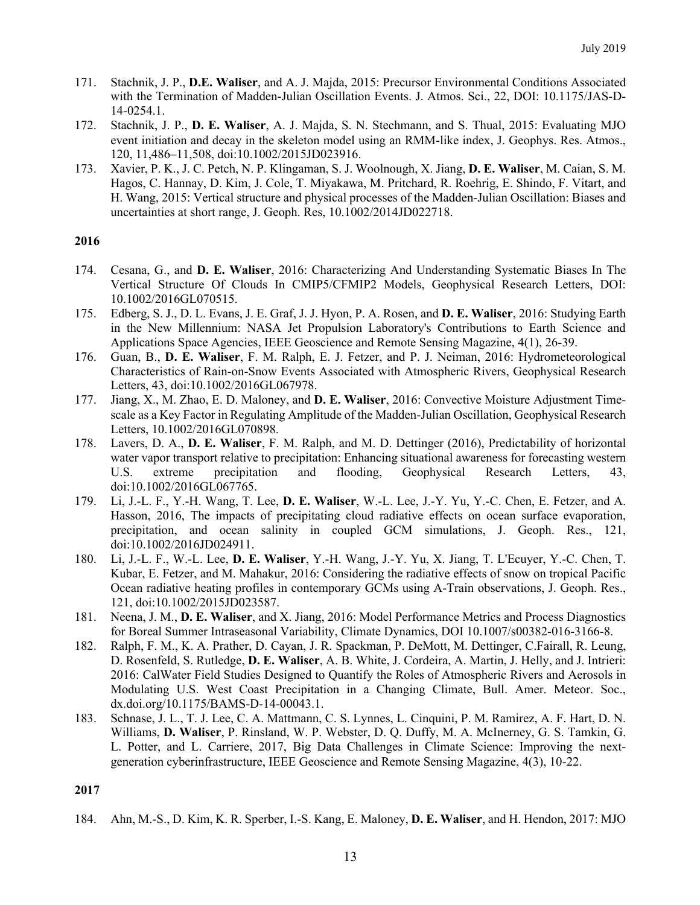- 171. Stachnik, J. P., **D.E. Waliser**, and A. J. Majda, 2015: Precursor Environmental Conditions Associated with the Termination of Madden-Julian Oscillation Events. J. Atmos. Sci., 22, DOI: 10.1175/JAS-D-14-0254.1.
- 172. Stachnik, J. P., **D. E. Waliser**, A. J. Majda, S. N. Stechmann, and S. Thual, 2015: Evaluating MJO event initiation and decay in the skeleton model using an RMM-like index, J. Geophys. Res. Atmos., 120, 11,486–11,508, doi:10.1002/2015JD023916.
- 173. Xavier, P. K., J. C. Petch, N. P. Klingaman, S. J. Woolnough, X. Jiang, **D. E. Waliser**, M. Caian, S. M. Hagos, C. Hannay, D. Kim, J. Cole, T. Miyakawa, M. Pritchard, R. Roehrig, E. Shindo, F. Vitart, and H. Wang, 2015: Vertical structure and physical processes of the Madden-Julian Oscillation: Biases and uncertainties at short range, J. Geoph. Res, 10.1002/2014JD022718.

- 174. Cesana, G., and **D. E. Waliser**, 2016: Characterizing And Understanding Systematic Biases In The Vertical Structure Of Clouds In CMIP5/CFMIP2 Models, Geophysical Research Letters, DOI: 10.1002/2016GL070515.
- 175. Edberg, S. J., D. L. Evans, J. E. Graf, J. J. Hyon, P. A. Rosen, and **D. E. Waliser**, 2016: Studying Earth in the New Millennium: NASA Jet Propulsion Laboratory's Contributions to Earth Science and Applications Space Agencies, IEEE Geoscience and Remote Sensing Magazine, 4(1), 26-39.
- 176. Guan, B., **D. E. Waliser**, F. M. Ralph, E. J. Fetzer, and P. J. Neiman, 2016: Hydrometeorological Characteristics of Rain-on-Snow Events Associated with Atmospheric Rivers, Geophysical Research Letters, 43, doi:10.1002/2016GL067978.
- 177. Jiang, X., M. Zhao, E. D. Maloney, and **D. E. Waliser**, 2016: Convective Moisture Adjustment Timescale as a Key Factor in Regulating Amplitude of the Madden-Julian Oscillation, Geophysical Research Letters, 10.1002/2016GL070898.
- 178. Lavers, D. A., **D. E. Waliser**, F. M. Ralph, and M. D. Dettinger (2016), Predictability of horizontal water vapor transport relative to precipitation: Enhancing situational awareness for forecasting western U.S. extreme precipitation and flooding, Geophysical Research Letters, 43, doi:10.1002/2016GL067765.
- 179. Li, J.-L. F., Y.-H. Wang, T. Lee, **D. E. Waliser**, W.-L. Lee, J.-Y. Yu, Y.-C. Chen, E. Fetzer, and A. Hasson, 2016, The impacts of precipitating cloud radiative effects on ocean surface evaporation, precipitation, and ocean salinity in coupled GCM simulations, J. Geoph. Res., 121, doi:10.1002/2016JD024911.
- 180. Li, J.-L. F., W.-L. Lee, **D. E. Waliser**, Y.-H. Wang, J.-Y. Yu, X. Jiang, T. L'Ecuyer, Y.-C. Chen, T. Kubar, E. Fetzer, and M. Mahakur, 2016: Considering the radiative effects of snow on tropical Pacific Ocean radiative heating profiles in contemporary GCMs using A-Train observations, J. Geoph. Res., 121, doi:10.1002/2015JD023587.
- 181. Neena, J. M., **D. E. Waliser**, and X. Jiang, 2016: Model Performance Metrics and Process Diagnostics for Boreal Summer Intraseasonal Variability, Climate Dynamics, DOI 10.1007/s00382-016-3166-8.
- 182. Ralph, F. M., K. A. Prather, D. Cayan, J. R. Spackman, P. DeMott, M. Dettinger, C.Fairall, R. Leung, D. Rosenfeld, S. Rutledge, **D. E. Waliser**, A. B. White, J. Cordeira, A. Martin, J. Helly, and J. Intrieri: 2016: CalWater Field Studies Designed to Quantify the Roles of Atmospheric Rivers and Aerosols in Modulating U.S. West Coast Precipitation in a Changing Climate, Bull. Amer. Meteor. Soc., dx.doi.org/10.1175/BAMS-D-14-00043.1.
- 183. Schnase, J. L., T. J. Lee, C. A. Mattmann, C. S. Lynnes, L. Cinquini, P. M. Ramirez, A. F. Hart, D. N. Williams, **D. Waliser**, P. Rinsland, W. P. Webster, D. Q. Duffy, M. A. McInerney, G. S. Tamkin, G. L. Potter, and L. Carriere, 2017, Big Data Challenges in Climate Science: Improving the nextgeneration cyberinfrastructure, IEEE Geoscience and Remote Sensing Magazine, 4(3), 10-22.

### **2017**

184. Ahn, M.-S., D. Kim, K. R. Sperber, I.-S. Kang, E. Maloney, **D. E. Waliser**, and H. Hendon, 2017: MJO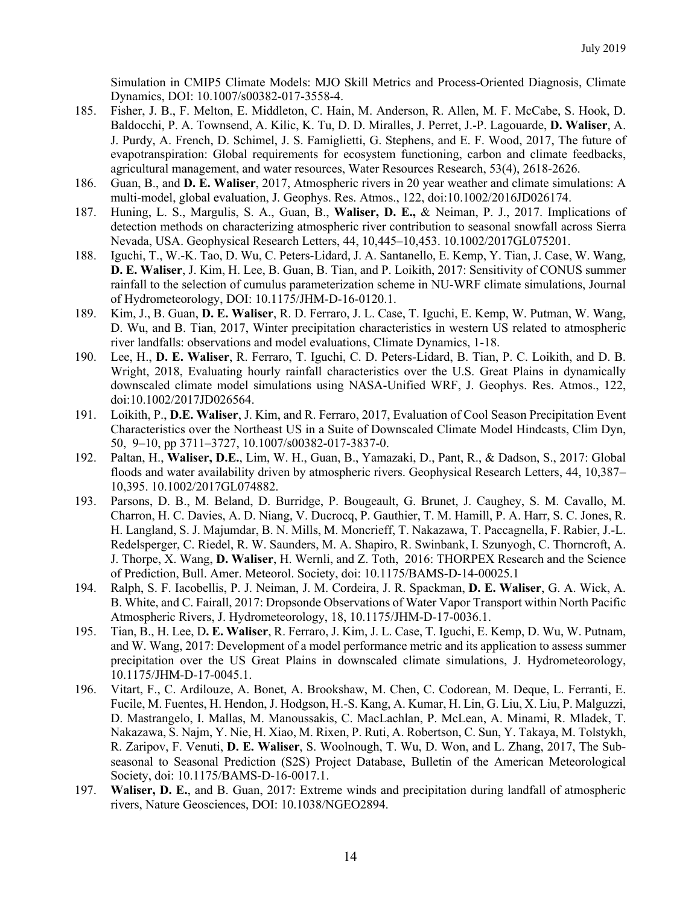Simulation in CMIP5 Climate Models: MJO Skill Metrics and Process-Oriented Diagnosis, Climate Dynamics, DOI: 10.1007/s00382-017-3558-4.

- 185. Fisher, J. B., F. Melton, E. Middleton, C. Hain, M. Anderson, R. Allen, M. F. McCabe, S. Hook, D. Baldocchi, P. A. Townsend, A. Kilic, K. Tu, D. D. Miralles, J. Perret, J.-P. Lagouarde, **D. Waliser**, A. J. Purdy, A. French, D. Schimel, J. S. Famiglietti, G. Stephens, and E. F. Wood, 2017, The future of evapotranspiration: Global requirements for ecosystem functioning, carbon and climate feedbacks, agricultural management, and water resources, Water Resources Research, 53(4), 2618-2626.
- 186. Guan, B., and **D. E. Waliser**, 2017, Atmospheric rivers in 20 year weather and climate simulations: A multi-model, global evaluation, J. Geophys. Res. Atmos., 122, doi:10.1002/2016JD026174.
- 187. Huning, L. S., Margulis, S. A., Guan, B., **Waliser, D. E.,** & Neiman, P. J., 2017. Implications of detection methods on characterizing atmospheric river contribution to seasonal snowfall across Sierra Nevada, USA. Geophysical Research Letters, 44, 10,445–10,453. 10.1002/2017GL075201.
- 188. Iguchi, T., W.-K. Tao, D. Wu, C. Peters-Lidard, J. A. Santanello, E. Kemp, Y. Tian, J. Case, W. Wang, **D. E. Waliser**, J. Kim, H. Lee, B. Guan, B. Tian, and P. Loikith, 2017: Sensitivity of CONUS summer rainfall to the selection of cumulus parameterization scheme in NU-WRF climate simulations, Journal of Hydrometeorology, DOI: 10.1175/JHM-D-16-0120.1.
- 189. Kim, J., B. Guan, **D. E. Waliser**, R. D. Ferraro, J. L. Case, T. Iguchi, E. Kemp, W. Putman, W. Wang, D. Wu, and B. Tian, 2017, Winter precipitation characteristics in western US related to atmospheric river landfalls: observations and model evaluations, Climate Dynamics, 1-18.
- 190. Lee, H., **D. E. Waliser**, R. Ferraro, T. Iguchi, C. D. Peters-Lidard, B. Tian, P. C. Loikith, and D. B. Wright, 2018, Evaluating hourly rainfall characteristics over the U.S. Great Plains in dynamically downscaled climate model simulations using NASA-Unified WRF, J. Geophys. Res. Atmos., 122, doi:10.1002/2017JD026564.
- 191. Loikith, P., **D.E. Waliser**, J. Kim, and R. Ferraro, 2017, Evaluation of Cool Season Precipitation Event Characteristics over the Northeast US in a Suite of Downscaled Climate Model Hindcasts, Clim Dyn, 50, 9–10, pp 3711–3727, 10.1007/s00382-017-3837-0.
- 192. Paltan, H., **Waliser, D.E.**, Lim, W. H., Guan, B., Yamazaki, D., Pant, R., & Dadson, S., 2017: Global floods and water availability driven by atmospheric rivers. Geophysical Research Letters, 44, 10,387– 10,395. 10.1002/2017GL074882.
- 193. Parsons, D. B., M. Beland, D. Burridge, P. Bougeault, G. Brunet, J. Caughey, S. M. Cavallo, M. Charron, H. C. Davies, A. D. Niang, V. Ducrocq, P. Gauthier, T. M. Hamill, P. A. Harr, S. C. Jones, R. H. Langland, S. J. Majumdar, B. N. Mills, M. Moncrieff, T. Nakazawa, T. Paccagnella, F. Rabier, J.-L. Redelsperger, C. Riedel, R. W. Saunders, M. A. Shapiro, R. Swinbank, I. Szunyogh, C. Thorncroft, A. J. Thorpe, X. Wang, **D. Waliser**, H. Wernli, and Z. Toth, 2016: THORPEX Research and the Science of Prediction, Bull. Amer. Meteorol. Society, doi: 10.1175/BAMS-D-14-00025.1
- 194. Ralph, S. F. Iacobellis, P. J. Neiman, J. M. Cordeira, J. R. Spackman, **D. E. Waliser**, G. A. Wick, A. B. White, and C. Fairall, 2017: Dropsonde Observations of Water Vapor Transport within North Pacific Atmospheric Rivers, J. Hydrometeorology, 18, 10.1175/JHM-D-17-0036.1.
- 195. Tian, B., H. Lee, D**. E. Waliser**, R. Ferraro, J. Kim, J. L. Case, T. Iguchi, E. Kemp, D. Wu, W. Putnam, and W. Wang, 2017: Development of a model performance metric and its application to assess summer precipitation over the US Great Plains in downscaled climate simulations, J. Hydrometeorology, 10.1175/JHM-D-17-0045.1.
- 196. Vitart, F., C. Ardilouze, A. Bonet, A. Brookshaw, M. Chen, C. Codorean, M. Deque, L. Ferranti, E. Fucile, M. Fuentes, H. Hendon, J. Hodgson, H.-S. Kang, A. Kumar, H. Lin, G. Liu, X. Liu, P. Malguzzi, D. Mastrangelo, I. Mallas, M. Manoussakis, C. MacLachlan, P. McLean, A. Minami, R. Mladek, T. Nakazawa, S. Najm, Y. Nie, H. Xiao, M. Rixen, P. Ruti, A. Robertson, C. Sun, Y. Takaya, M. Tolstykh, R. Zaripov, F. Venuti, **D. E. Waliser**, S. Woolnough, T. Wu, D. Won, and L. Zhang, 2017, The Subseasonal to Seasonal Prediction (S2S) Project Database, Bulletin of the American Meteorological Society, doi: 10.1175/BAMS-D-16-0017.1.
- 197. **Waliser, D. E.**, and B. Guan, 2017: Extreme winds and precipitation during landfall of atmospheric rivers, Nature Geosciences, DOI: 10.1038/NGEO2894.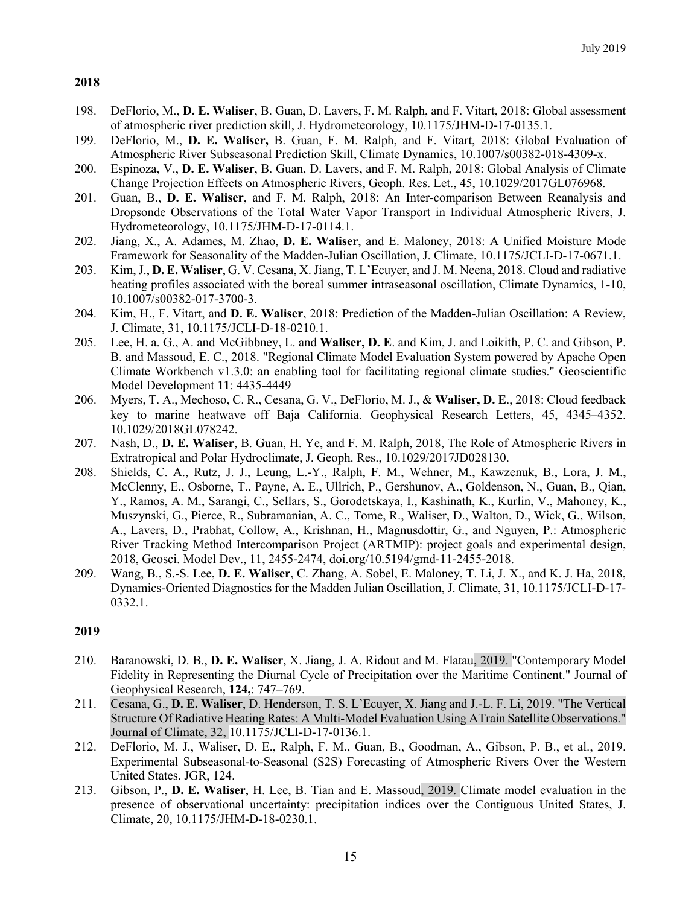- 198. DeFlorio, M., **D. E. Waliser**, B. Guan, D. Lavers, F. M. Ralph, and F. Vitart, 2018: Global assessment of atmospheric river prediction skill, J. Hydrometeorology, 10.1175/JHM-D-17-0135.1.
- 199. DeFlorio, M., **D. E. Waliser,** B. Guan, F. M. Ralph, and F. Vitart, 2018: Global Evaluation of Atmospheric River Subseasonal Prediction Skill, Climate Dynamics, 10.1007/s00382-018-4309-x.
- 200. Espinoza, V., **D. E. Waliser**, B. Guan, D. Lavers, and F. M. Ralph, 2018: Global Analysis of Climate Change Projection Effects on Atmospheric Rivers, Geoph. Res. Let., 45, 10.1029/2017GL076968.
- 201. Guan, B., **D. E. Waliser**, and F. M. Ralph, 2018: An Inter-comparison Between Reanalysis and Dropsonde Observations of the Total Water Vapor Transport in Individual Atmospheric Rivers, J. Hydrometeorology, 10.1175/JHM-D-17-0114.1.
- 202. Jiang, X., A. Adames, M. Zhao, **D. E. Waliser**, and E. Maloney, 2018: A Unified Moisture Mode Framework for Seasonality of the Madden-Julian Oscillation, J. Climate, 10.1175/JCLI-D-17-0671.1.
- 203. Kim, J., **D. E. Waliser**, G. V. Cesana, X. Jiang, T. L'Ecuyer, and J. M. Neena, 2018. Cloud and radiative heating profiles associated with the boreal summer intraseasonal oscillation, Climate Dynamics, 1-10, 10.1007/s00382-017-3700-3.
- 204. Kim, H., F. Vitart, and **D. E. Waliser**, 2018: Prediction of the Madden-Julian Oscillation: A Review, J. Climate, 31, 10.1175/JCLI-D-18-0210.1.
- 205. Lee, H. a. G., A. and McGibbney, L. and **Waliser, D. E**. and Kim, J. and Loikith, P. C. and Gibson, P. B. and Massoud, E. C., 2018. "Regional Climate Model Evaluation System powered by Apache Open Climate Workbench v1.3.0: an enabling tool for facilitating regional climate studies." Geoscientific Model Development **11**: 4435-4449
- 206. Myers, T. A., Mechoso, C. R., Cesana, G. V., DeFlorio, M. J., & **Waliser, D. E**., 2018: Cloud feedback key to marine heatwave off Baja California. Geophysical Research Letters, 45, 4345–4352. 10.1029/2018GL078242.
- 207. Nash, D., **D. E. Waliser**, B. Guan, H. Ye, and F. M. Ralph, 2018, The Role of Atmospheric Rivers in Extratropical and Polar Hydroclimate, J. Geoph. Res., 10.1029/2017JD028130.
- 208. Shields, C. A., Rutz, J. J., Leung, L.-Y., Ralph, F. M., Wehner, M., Kawzenuk, B., Lora, J. M., McClenny, E., Osborne, T., Payne, A. E., Ullrich, P., Gershunov, A., Goldenson, N., Guan, B., Qian, Y., Ramos, A. M., Sarangi, C., Sellars, S., Gorodetskaya, I., Kashinath, K., Kurlin, V., Mahoney, K., Muszynski, G., Pierce, R., Subramanian, A. C., Tome, R., Waliser, D., Walton, D., Wick, G., Wilson, A., Lavers, D., Prabhat, Collow, A., Krishnan, H., Magnusdottir, G., and Nguyen, P.: Atmospheric River Tracking Method Intercomparison Project (ARTMIP): project goals and experimental design, 2018, Geosci. Model Dev., 11, 2455-2474, doi.org/10.5194/gmd-11-2455-2018.
- 209. Wang, B., S.-S. Lee, **D. E. Waliser**, C. Zhang, A. Sobel, E. Maloney, T. Li, J. X., and K. J. Ha, 2018, Dynamics-Oriented Diagnostics for the Madden Julian Oscillation, J. Climate, 31, 10.1175/JCLI-D-17- 0332.1.

- 210. Baranowski, D. B., **D. E. Waliser**, X. Jiang, J. A. Ridout and M. Flatau, 2019. "Contemporary Model Fidelity in Representing the Diurnal Cycle of Precipitation over the Maritime Continent." Journal of Geophysical Research, **124,**: 747–769.
- 211. Cesana, G., **D. E. Waliser**, D. Henderson, T. S. L'Ecuyer, X. Jiang and J.-L. F. Li, 2019. "The Vertical Structure Of Radiative Heating Rates: A Multi-Model Evaluation Using ATrain Satellite Observations." Journal of Climate, 32, 10.1175/JCLI-D-17-0136.1.
- 212. DeFlorio, M. J., Waliser, D. E., Ralph, F. M., Guan, B., Goodman, A., Gibson, P. B., et al., 2019. Experimental Subseasonal‐to‐Seasonal (S2S) Forecasting of Atmospheric Rivers Over the Western United States. JGR, 124.
- 213. Gibson, P., **D. E. Waliser**, H. Lee, B. Tian and E. Massoud, 2019. Climate model evaluation in the presence of observational uncertainty: precipitation indices over the Contiguous United States, J. Climate, 20, 10.1175/JHM-D-18-0230.1.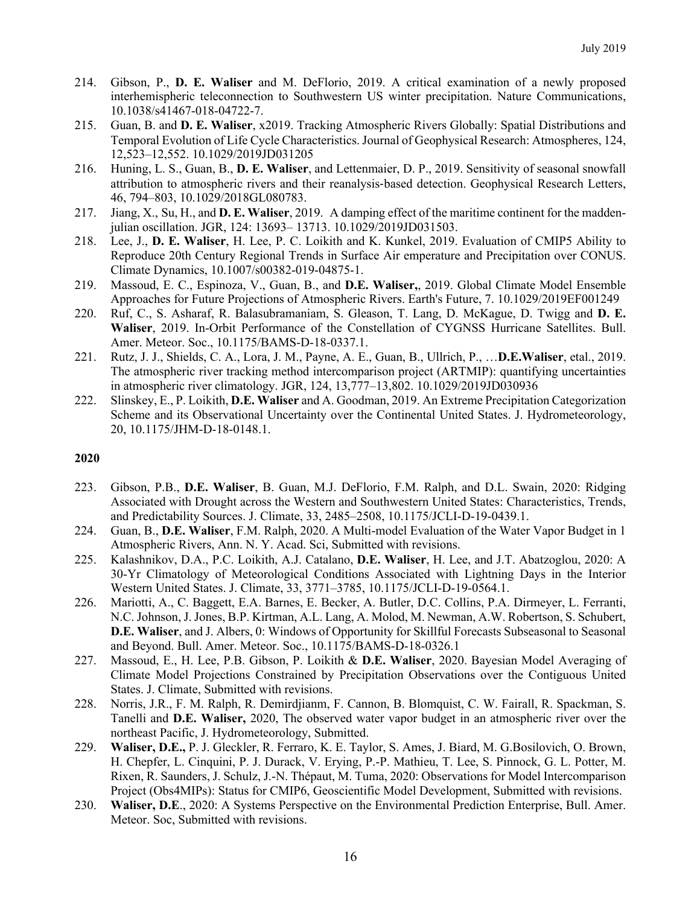- 214. Gibson, P., **D. E. Waliser** and M. DeFlorio, 2019. A critical examination of a newly proposed interhemispheric teleconnection to Southwestern US winter precipitation. Nature Communications, 10.1038/s41467-018-04722-7.
- 215. Guan, B. and **D. E. Waliser**, x2019. Tracking Atmospheric Rivers Globally: Spatial Distributions and Temporal Evolution of Life Cycle Characteristics. Journal of Geophysical Research: Atmospheres, 124, 12,523–12,552. 10.1029/2019JD031205
- 216. Huning, L. S., Guan, B., **D. E. Waliser**, and Lettenmaier, D. P., 2019. Sensitivity of seasonal snowfall attribution to atmospheric rivers and their reanalysis-based detection. Geophysical Research Letters, 46, 794–803, 10.1029/2018GL080783.
- 217. Jiang, X., Su, H., and **D. E. Waliser**, 2019. A damping effect of the maritime continent for the madden‐ julian oscillation. JGR, 124: 13693– 13713. 10.1029/2019JD031503.
- 218. Lee, J., **D. E. Waliser**, H. Lee, P. C. Loikith and K. Kunkel, 2019. Evaluation of CMIP5 Ability to Reproduce 20th Century Regional Trends in Surface Air emperature and Precipitation over CONUS. Climate Dynamics, 10.1007/s00382-019-04875-1.
- 219. Massoud, E. C., Espinoza, V., Guan, B., and **D.E. Waliser,**, 2019. Global Climate Model Ensemble Approaches for Future Projections of Atmospheric Rivers. Earth's Future, 7. 10.1029/2019EF001249
- 220. Ruf, C., S. Asharaf, R. Balasubramaniam, S. Gleason, T. Lang, D. McKague, D. Twigg and **D. E. Waliser**, 2019. In-Orbit Performance of the Constellation of CYGNSS Hurricane Satellites. Bull. Amer. Meteor. Soc., 10.1175/BAMS-D-18-0337.1.
- 221. Rutz, J. J., Shields, C. A., Lora, J. M., Payne, A. E., Guan, B., Ullrich, P., …**D.E.Waliser**, etal., 2019. The atmospheric river tracking method intercomparison project (ARTMIP): quantifying uncertainties in atmospheric river climatology. JGR, 124, 13,777–13,802. 10.1029/2019JD030936
- 222. Slinskey, E., P. Loikith, **D.E. Waliser** and A. Goodman, 2019. An Extreme Precipitation Categorization Scheme and its Observational Uncertainty over the Continental United States. J. Hydrometeorology, 20, 10.1175/JHM-D-18-0148.1.

- 223. Gibson, P.B., **D.E. Waliser**, B. Guan, M.J. DeFlorio, F.M. Ralph, and D.L. Swain, 2020: Ridging Associated with Drought across the Western and Southwestern United States: Characteristics, Trends, and Predictability Sources. J. Climate, 33, 2485–2508, 10.1175/JCLI-D-19-0439.1.
- 224. Guan, B., **D.E. Waliser**, F.M. Ralph, 2020. A Multi-model Evaluation of the Water Vapor Budget in 1 Atmospheric Rivers, Ann. N. Y. Acad. Sci, Submitted with revisions.
- 225. Kalashnikov, D.A., P.C. Loikith, A.J. Catalano, **D.E. Waliser**, H. Lee, and J.T. Abatzoglou, 2020: A 30-Yr Climatology of Meteorological Conditions Associated with Lightning Days in the Interior Western United States. J. Climate, 33, 3771–3785, 10.1175/JCLI-D-19-0564.1.
- 226. Mariotti, A., C. Baggett, E.A. Barnes, E. Becker, A. Butler, D.C. Collins, P.A. Dirmeyer, L. Ferranti, N.C. Johnson, J. Jones, B.P. Kirtman, A.L. Lang, A. Molod, M. Newman, A.W. Robertson, S. Schubert, **D.E. Waliser**, and J. Albers, 0: Windows of Opportunity for Skillful Forecasts Subseasonal to Seasonal and Beyond. Bull. Amer. Meteor. Soc., 10.1175/BAMS-D-18-0326.1
- 227. Massoud, E., H. Lee, P.B. Gibson, P. Loikith & **D.E. Waliser**, 2020. Bayesian Model Averaging of Climate Model Projections Constrained by Precipitation Observations over the Contiguous United States. J. Climate, Submitted with revisions.
- 228. Norris, J.R., F. M. Ralph, R. Demirdjianm, F. Cannon, B. Blomquist, C. W. Fairall, R. Spackman, S. Tanelli and **D.E. Waliser,** 2020, The observed water vapor budget in an atmospheric river over the northeast Pacific, J. Hydrometeorology, Submitted.
- 229. **Waliser, D.E.,** P. J. Gleckler, R. Ferraro, K. E. Taylor, S. Ames, J. Biard, M. G.Bosilovich, O. Brown, H. Chepfer, L. Cinquini, P. J. Durack, V. Erying, P.-P. Mathieu, T. Lee, S. Pinnock, G. L. Potter, M. Rixen, R. Saunders, J. Schulz, J.-N. Thépaut, M. Tuma, 2020: Observations for Model Intercomparison Project (Obs4MIPs): Status for CMIP6, Geoscientific Model Development, Submitted with revisions.
- 230. **Waliser, D.E**., 2020: A Systems Perspective on the Environmental Prediction Enterprise, Bull. Amer. Meteor. Soc, Submitted with revisions.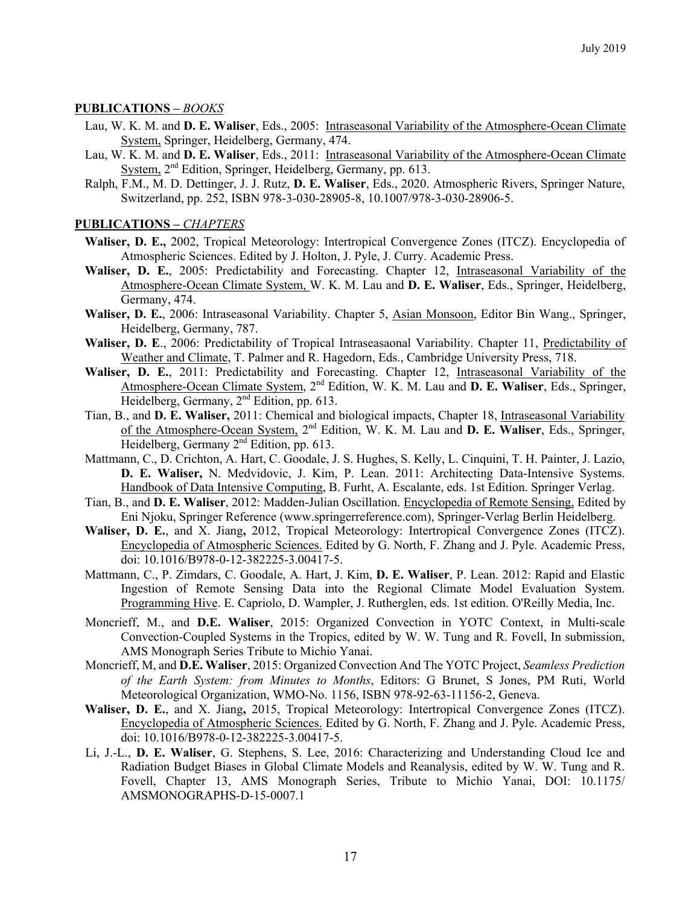#### **PUBLICATIONS –** *BOOKS*

- Lau, W. K. M. and **D. E. Waliser**, Eds., 2005: Intraseasonal Variability of the Atmosphere-Ocean Climate System, Springer, Heidelberg, Germany, 474.
- Lau, W. K. M. and **D. E. Waliser**, Eds., 2011: Intraseasonal Variability of the Atmosphere-Ocean Climate System, 2<sup>nd</sup> Edition, Springer, Heidelberg, Germany, pp. 613.
- Ralph, F.M., M. D. Dettinger, J. J. Rutz, **D. E. Waliser**, Eds., 2020. Atmospheric Rivers, Springer Nature, Switzerland, pp. 252, ISBN 978-3-030-28905-8, 10.1007/978-3-030-28906-5.

#### **PUBLICATIONS –** *CHAPTERS*

- **Waliser, D. E.,** 2002, Tropical Meteorology: Intertropical Convergence Zones (ITCZ). Encyclopedia of Atmospheric Sciences. Edited by J. Holton, J. Pyle, J. Curry. Academic Press.
- **Waliser, D. E.**, 2005: Predictability and Forecasting. Chapter 12, Intraseasonal Variability of the Atmosphere-Ocean Climate System, W. K. M. Lau and **D. E. Waliser**, Eds., Springer, Heidelberg, Germany, 474.
- **Waliser, D. E.**, 2006: Intraseasonal Variability. Chapter 5, Asian Monsoon, Editor Bin Wang., Springer, Heidelberg, Germany, 787.
- **Waliser, D. E**., 2006: Predictability of Tropical Intraseasaonal Variability. Chapter 11, Predictability of Weather and Climate, T. Palmer and R. Hagedorn, Eds., Cambridge University Press, 718.
- **Waliser, D. E.**, 2011: Predictability and Forecasting. Chapter 12, Intraseasonal Variability of the Atmosphere-Ocean Climate System, 2nd Edition, W. K. M. Lau and **D. E. Waliser**, Eds., Springer, Heidelberg, Germany, 2<sup>nd</sup> Edition, pp. 613.
- Tian, B., and **D. E. Waliser,** 2011: Chemical and biological impacts, Chapter 18, Intraseasonal Variability of the Atmosphere-Ocean System, 2nd Edition, W. K. M. Lau and **D. E. Waliser**, Eds., Springer, Heidelberg, Germany 2<sup>nd</sup> Edition, pp. 613.
- Mattmann, C., D. Crichton, A. Hart, C. Goodale, J. S. Hughes, S. Kelly, L. Cinquini, T. H. Painter, J. Lazio, **D. E. Waliser,** N. Medvidovic, J. Kim, P. Lean. 2011: Architecting Data-Intensive Systems. Handbook of Data Intensive Computing, B. Furht, A. Escalante, eds. 1st Edition. Springer Verlag.
- Tian, B., and **D. E. Waliser**, 2012: Madden-Julian Oscillation. Encyclopedia of Remote Sensing, Edited by Eni Njoku, Springer Reference (www.springerreference.com), Springer-Verlag Berlin Heidelberg.
- **Waliser, D. E.**, and X. Jiang**,** 2012, Tropical Meteorology: Intertropical Convergence Zones (ITCZ). Encyclopedia of Atmospheric Sciences. Edited by G. North, F. Zhang and J. Pyle. Academic Press, doi: 10.1016/B978-0-12-382225-3.00417-5.
- Mattmann, C., P. Zimdars, C. Goodale, A. Hart, J. Kim, **D. E. Waliser**, P. Lean. 2012: Rapid and Elastic Ingestion of Remote Sensing Data into the Regional Climate Model Evaluation System. Programming Hive. E. Capriolo, D. Wampler, J. Rutherglen, eds. 1st edition. O'Reilly Media, Inc.
- Moncrieff, M., and **D.E. Waliser**, 2015: Organized Convection in YOTC Context, in Multi-scale Convection-Coupled Systems in the Tropics, edited by W. W. Tung and R. Fovell, In submission, AMS Monograph Series Tribute to Michio Yanai.
- Moncrieff, M, and **D.E. Waliser**, 2015: Organized Convection And The YOTC Project, *Seamless Prediction of the Earth System: from Minutes to Months*, Editors: G Brunet, S Jones, PM Ruti, World Meteorological Organization, WMO-No. 1156, ISBN 978-92-63-11156-2, Geneva.
- **Waliser, D. E.**, and X. Jiang**,** 2015, Tropical Meteorology: Intertropical Convergence Zones (ITCZ). Encyclopedia of Atmospheric Sciences. Edited by G. North, F. Zhang and J. Pyle. Academic Press, doi: 10.1016/B978-0-12-382225-3.00417-5.
- Li, J.-L., **D. E. Waliser**, G. Stephens, S. Lee, 2016: Characterizing and Understanding Cloud Ice and Radiation Budget Biases in Global Climate Models and Reanalysis, edited by W. W. Tung and R. Fovell, Chapter 13, AMS Monograph Series, Tribute to Michio Yanai, DOI: 10.1175/ AMSMONOGRAPHS-D-15-0007.1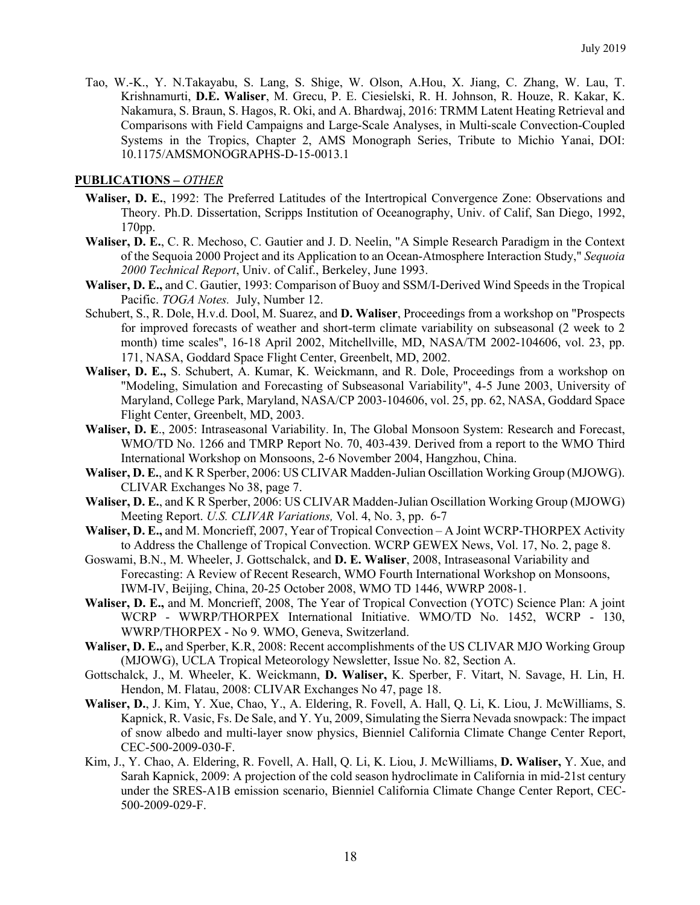Tao, W.-K., Y. N.Takayabu, S. Lang, S. Shige, W. Olson, A.Hou, X. Jiang, C. Zhang, W. Lau, T. Krishnamurti, **D.E. Waliser**, M. Grecu, P. E. Ciesielski, R. H. Johnson, R. Houze, R. Kakar, K. Nakamura, S. Braun, S. Hagos, R. Oki, and A. Bhardwaj, 2016: TRMM Latent Heating Retrieval and Comparisons with Field Campaigns and Large-Scale Analyses, in Multi-scale Convection-Coupled Systems in the Tropics, Chapter 2, AMS Monograph Series, Tribute to Michio Yanai, DOI: 10.1175/AMSMONOGRAPHS-D-15-0013.1

#### **PUBLICATIONS –** *OTHER*

- **Waliser, D. E.**, 1992: The Preferred Latitudes of the Intertropical Convergence Zone: Observations and Theory. Ph.D. Dissertation, Scripps Institution of Oceanography, Univ. of Calif, San Diego, 1992, 170pp.
- **Waliser, D. E.**, C. R. Mechoso, C. Gautier and J. D. Neelin, "A Simple Research Paradigm in the Context of the Sequoia 2000 Project and its Application to an Ocean-Atmosphere Interaction Study," *Sequoia 2000 Technical Report*, Univ. of Calif., Berkeley, June 1993.
- **Waliser, D. E.,** and C. Gautier, 1993: Comparison of Buoy and SSM/I-Derived Wind Speeds in the Tropical Pacific. *TOGA Notes.* July, Number 12.
- Schubert, S., R. Dole, H.v.d. Dool, M. Suarez, and **D. Waliser**, Proceedings from a workshop on "Prospects for improved forecasts of weather and short-term climate variability on subseasonal (2 week to 2 month) time scales", 16-18 April 2002, Mitchellville, MD, NASA/TM 2002-104606, vol. 23, pp. 171, NASA, Goddard Space Flight Center, Greenbelt, MD, 2002.
- **Waliser, D. E.,** S. Schubert, A. Kumar, K. Weickmann, and R. Dole, Proceedings from a workshop on "Modeling, Simulation and Forecasting of Subseasonal Variability", 4-5 June 2003, University of Maryland, College Park, Maryland, NASA/CP 2003-104606, vol. 25, pp. 62, NASA, Goddard Space Flight Center, Greenbelt, MD, 2003.
- **Waliser, D. E**., 2005: Intraseasonal Variability. In, The Global Monsoon System: Research and Forecast, WMO/TD No. 1266 and TMRP Report No. 70, 403-439. Derived from a report to the WMO Third International Workshop on Monsoons, 2-6 November 2004, Hangzhou, China.
- **Waliser, D. E.**, and K R Sperber, 2006: US CLIVAR Madden-Julian Oscillation Working Group (MJOWG). CLIVAR Exchanges No 38, page 7.
- **Waliser, D. E.**, and K R Sperber, 2006: US CLIVAR Madden-Julian Oscillation Working Group (MJOWG) Meeting Report. *U.S. CLIVAR Variations,* Vol. 4, No. 3, pp. 6-7
- **Waliser, D. E.,** and M. Moncrieff, 2007, Year of Tropical Convection A Joint WCRP-THORPEX Activity to Address the Challenge of Tropical Convection. WCRP GEWEX News, Vol. 17, No. 2, page 8.
- Goswami, B.N., M. Wheeler, J. Gottschalck, and **D. E. Waliser**, 2008, Intraseasonal Variability and Forecasting: A Review of Recent Research, WMO Fourth International Workshop on Monsoons, IWM-IV, Beijing, China, 20-25 October 2008, WMO TD 1446, WWRP 2008-1.
- **Waliser, D. E.,** and M. Moncrieff, 2008, The Year of Tropical Convection (YOTC) Science Plan: A joint WCRP - WWRP/THORPEX International Initiative. WMO/TD No. 1452, WCRP - 130, WWRP/THORPEX - No 9. WMO, Geneva, Switzerland.
- **Waliser, D. E.,** and Sperber, K.R, 2008: Recent accomplishments of the US CLIVAR MJO Working Group (MJOWG), UCLA Tropical Meteorology Newsletter, Issue No. 82, Section A.
- Gottschalck, J., M. Wheeler, K. Weickmann, **D. Waliser,** K. Sperber, F. Vitart, N. Savage, H. Lin, H. Hendon, M. Flatau, 2008: CLIVAR Exchanges No 47, page 18.
- **Waliser, D.**, J. Kim, Y. Xue, Chao, Y., A. Eldering, R. Fovell, A. Hall, Q. Li, K. Liou, J. McWilliams, S. Kapnick, R. Vasic, Fs. De Sale, and Y. Yu, 2009, Simulating the Sierra Nevada snowpack: The impact of snow albedo and multi-layer snow physics, Bienniel California Climate Change Center Report, CEC-500-2009-030-F.
- Kim, J., Y. Chao, A. Eldering, R. Fovell, A. Hall, Q. Li, K. Liou, J. McWilliams, **D. Waliser,** Y. Xue, and Sarah Kapnick, 2009: A projection of the cold season hydroclimate in California in mid-21st century under the SRES-A1B emission scenario, Bienniel California Climate Change Center Report, CEC-500-2009-029-F.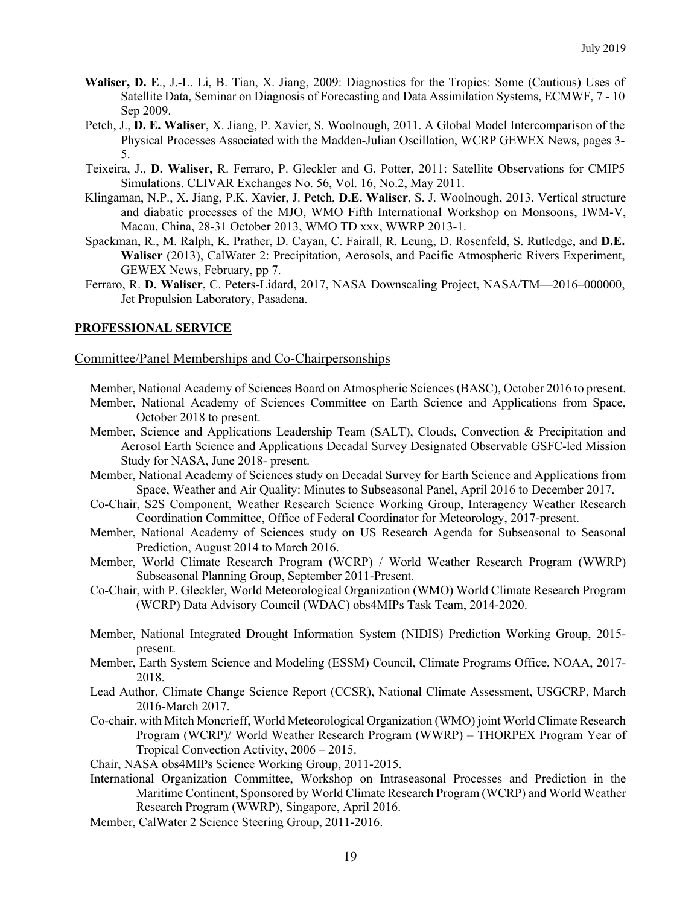- **Waliser, D. E**., J.-L. Li, B. Tian, X. Jiang, 2009: Diagnostics for the Tropics: Some (Cautious) Uses of Satellite Data, Seminar on Diagnosis of Forecasting and Data Assimilation Systems, ECMWF, 7 - 10 Sep 2009.
- Petch, J., **D. E. Waliser**, X. Jiang, P. Xavier, S. Woolnough, 2011. A Global Model Intercomparison of the Physical Processes Associated with the Madden-Julian Oscillation, WCRP GEWEX News, pages 3- 5.
- Teixeira, J., **D. Waliser,** R. Ferraro, P. Gleckler and G. Potter, 2011: Satellite Observations for CMIP5 Simulations. CLIVAR Exchanges No. 56, Vol. 16, No.2, May 2011.
- Klingaman, N.P., X. Jiang, P.K. Xavier, J. Petch, **D.E. Waliser**, S. J. Woolnough, 2013, Vertical structure and diabatic processes of the MJO, WMO Fifth International Workshop on Monsoons, IWM-V, Macau, China, 28-31 October 2013, WMO TD xxx, WWRP 2013-1.
- Spackman, R., M. Ralph, K. Prather, D. Cayan, C. Fairall, R. Leung, D. Rosenfeld, S. Rutledge, and **D.E. Waliser** (2013), CalWater 2: Precipitation, Aerosols, and Pacific Atmospheric Rivers Experiment, GEWEX News, February, pp 7.
- Ferraro, R. **D. Waliser**, C. Peters-Lidard, 2017, NASA Downscaling Project, NASA/TM—2016–000000, Jet Propulsion Laboratory, Pasadena.

#### **PROFESSIONAL SERVICE**

#### Committee/Panel Memberships and Co-Chairpersonships

- Member, National Academy of Sciences Board on Atmospheric Sciences (BASC), October 2016 to present.
- Member, National Academy of Sciences Committee on Earth Science and Applications from Space, October 2018 to present.
- Member, Science and Applications Leadership Team (SALT), Clouds, Convection & Precipitation and Aerosol Earth Science and Applications Decadal Survey Designated Observable GSFC-led Mission Study for NASA, June 2018- present.
- Member, National Academy of Sciences study on Decadal Survey for Earth Science and Applications from Space, Weather and Air Quality: Minutes to Subseasonal Panel, April 2016 to December 2017.
- Co-Chair, S2S Component, Weather Research Science Working Group, Interagency Weather Research Coordination Committee, Office of Federal Coordinator for Meteorology, 2017-present.
- Member, National Academy of Sciences study on US Research Agenda for Subseasonal to Seasonal Prediction, August 2014 to March 2016.
- Member, World Climate Research Program (WCRP) / World Weather Research Program (WWRP) Subseasonal Planning Group, September 2011-Present.
- Co-Chair, with P. Gleckler, World Meteorological Organization (WMO) World Climate Research Program (WCRP) Data Advisory Council (WDAC) obs4MIPs Task Team, 2014-2020.
- Member, National Integrated Drought Information System (NIDIS) Prediction Working Group, 2015 present.
- Member, Earth System Science and Modeling (ESSM) Council, Climate Programs Office, NOAA, 2017- 2018.
- Lead Author, Climate Change Science Report (CCSR), National Climate Assessment, USGCRP, March 2016-March 2017.
- Co-chair, with Mitch Moncrieff, World Meteorological Organization (WMO) joint World Climate Research Program (WCRP)/ World Weather Research Program (WWRP) – THORPEX Program Year of Tropical Convection Activity, 2006 – 2015.
- Chair, NASA obs4MIPs Science Working Group, 2011-2015.
- International Organization Committee, Workshop on Intraseasonal Processes and Prediction in the Maritime Continent, Sponsored by World Climate Research Program (WCRP) and World Weather Research Program (WWRP), Singapore, April 2016.
- Member, CalWater 2 Science Steering Group, 2011-2016.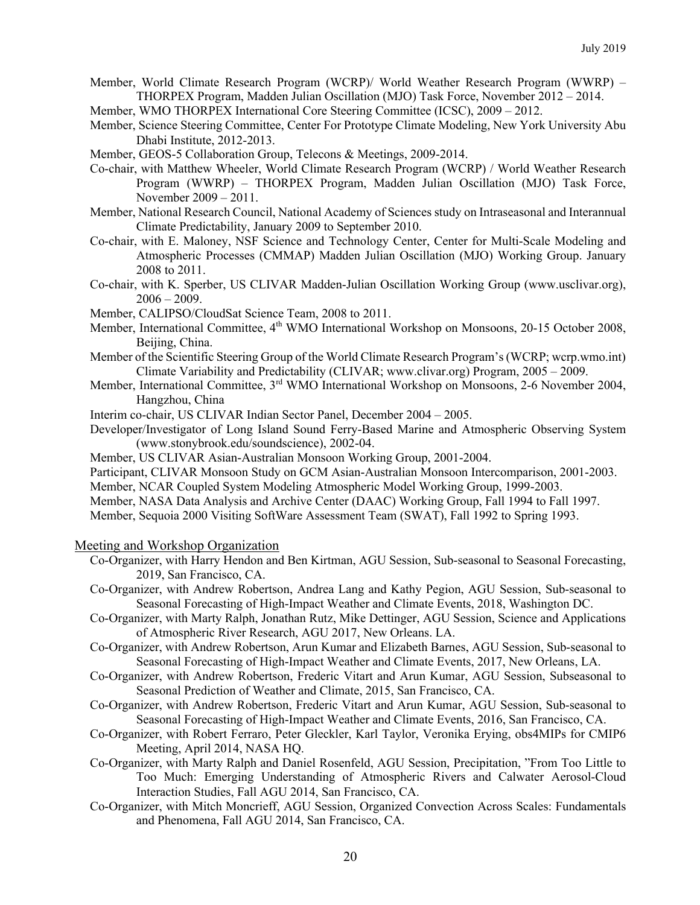- Member, World Climate Research Program (WCRP)/ World Weather Research Program (WWRP) THORPEX Program, Madden Julian Oscillation (MJO) Task Force, November 2012 – 2014.
- Member, WMO THORPEX International Core Steering Committee (ICSC), 2009 2012.
- Member, Science Steering Committee, Center For Prototype Climate Modeling, New York University Abu Dhabi Institute, 2012-2013.
- Member, GEOS-5 Collaboration Group, Telecons & Meetings, 2009-2014.
- Co-chair, with Matthew Wheeler, World Climate Research Program (WCRP) / World Weather Research Program (WWRP) – THORPEX Program, Madden Julian Oscillation (MJO) Task Force, November 2009 – 2011.
- Member, National Research Council, National Academy of Sciences study on Intraseasonal and Interannual Climate Predictability, January 2009 to September 2010.
- Co-chair, with E. Maloney, NSF Science and Technology Center, Center for Multi-Scale Modeling and Atmospheric Processes (CMMAP) Madden Julian Oscillation (MJO) Working Group. January 2008 to 2011.
- Co-chair, with K. Sperber, US CLIVAR Madden-Julian Oscillation Working Group (www.usclivar.org),  $2006 - 2009$ .
- Member, CALIPSO/CloudSat Science Team, 2008 to 2011.
- Member, International Committee, 4<sup>th</sup> WMO International Workshop on Monsoons, 20-15 October 2008, Beijing, China.
- Member of the Scientific Steering Group of the World Climate Research Program's (WCRP; wcrp.wmo.int) Climate Variability and Predictability (CLIVAR; www.clivar.org) Program, 2005 – 2009.
- Member, International Committee, 3<sup>rd</sup> WMO International Workshop on Monsoons, 2-6 November 2004, Hangzhou, China
- Interim co-chair, US CLIVAR Indian Sector Panel, December 2004 2005.
- Developer/Investigator of Long Island Sound Ferry-Based Marine and Atmospheric Observing System (www.stonybrook.edu/soundscience), 2002-04.
- Member, US CLIVAR Asian-Australian Monsoon Working Group, 2001-2004.
- Participant, CLIVAR Monsoon Study on GCM Asian-Australian Monsoon Intercomparison, 2001-2003.
- Member, NCAR Coupled System Modeling Atmospheric Model Working Group, 1999-2003.
- Member, NASA Data Analysis and Archive Center (DAAC) Working Group, Fall 1994 to Fall 1997.
- Member, Sequoia 2000 Visiting SoftWare Assessment Team (SWAT), Fall 1992 to Spring 1993.

#### Meeting and Workshop Organization

- Co-Organizer, with Harry Hendon and Ben Kirtman, AGU Session, Sub-seasonal to Seasonal Forecasting, 2019, San Francisco, CA.
- Co-Organizer, with Andrew Robertson, Andrea Lang and Kathy Pegion, AGU Session, Sub-seasonal to Seasonal Forecasting of High-Impact Weather and Climate Events, 2018, Washington DC.
- Co-Organizer, with Marty Ralph, Jonathan Rutz, Mike Dettinger, AGU Session, Science and Applications of Atmospheric River Research, AGU 2017, New Orleans. LA.
- Co-Organizer, with Andrew Robertson, Arun Kumar and Elizabeth Barnes, AGU Session, Sub-seasonal to Seasonal Forecasting of High-Impact Weather and Climate Events, 2017, New Orleans, LA.
- Co-Organizer, with Andrew Robertson, Frederic Vitart and Arun Kumar, AGU Session, Subseasonal to Seasonal Prediction of Weather and Climate, 2015, San Francisco, CA.
- Co-Organizer, with Andrew Robertson, Frederic Vitart and Arun Kumar, AGU Session, Sub-seasonal to Seasonal Forecasting of High-Impact Weather and Climate Events, 2016, San Francisco, CA.
- Co-Organizer, with Robert Ferraro, Peter Gleckler, Karl Taylor, Veronika Erying, obs4MIPs for CMIP6 Meeting, April 2014, NASA HQ.
- Co-Organizer, with Marty Ralph and Daniel Rosenfeld, AGU Session, Precipitation, "From Too Little to Too Much: Emerging Understanding of Atmospheric Rivers and Calwater Aerosol-Cloud Interaction Studies, Fall AGU 2014, San Francisco, CA.
- Co-Organizer, with Mitch Moncrieff, AGU Session, Organized Convection Across Scales: Fundamentals and Phenomena, Fall AGU 2014, San Francisco, CA.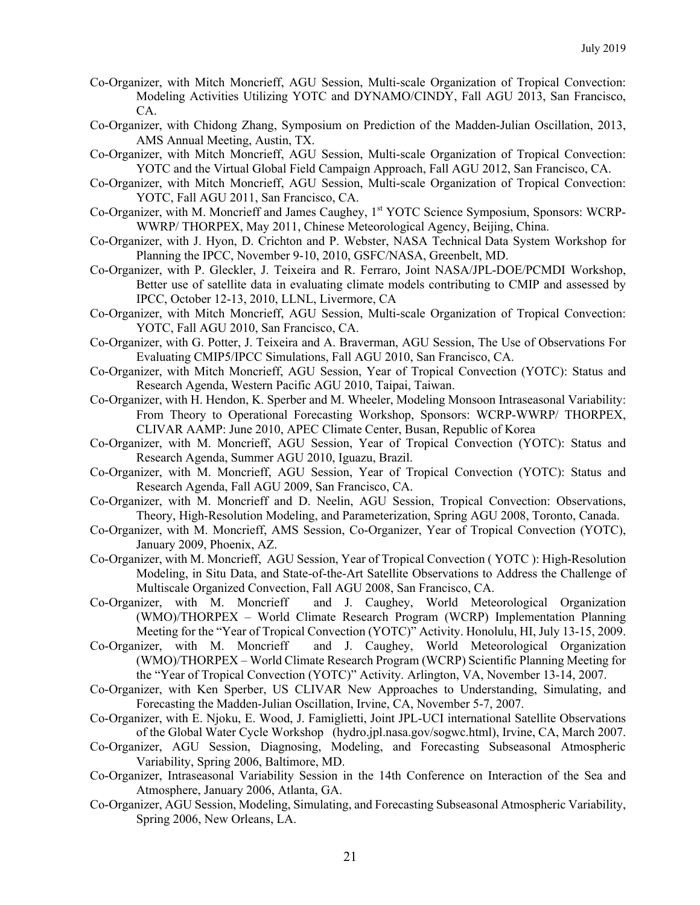- Co-Organizer, with Mitch Moncrieff, AGU Session, Multi-scale Organization of Tropical Convection: Modeling Activities Utilizing YOTC and DYNAMO/CINDY, Fall AGU 2013, San Francisco, CA.
- Co-Organizer, with Chidong Zhang, Symposium on Prediction of the Madden-Julian Oscillation, 2013, AMS Annual Meeting, Austin, TX.
- Co-Organizer, with Mitch Moncrieff, AGU Session, Multi-scale Organization of Tropical Convection: YOTC and the Virtual Global Field Campaign Approach, Fall AGU 2012, San Francisco, CA.
- Co-Organizer, with Mitch Moncrieff, AGU Session, Multi-scale Organization of Tropical Convection: YOTC, Fall AGU 2011, San Francisco, CA.
- Co-Organizer, with M. Moncrieff and James Caughey, 1<sup>st</sup> YOTC Science Symposium, Sponsors: WCRP-WWRP/ THORPEX, May 2011, Chinese Meteorological Agency, Beijing, China.
- Co-Organizer, with J. Hyon, D. Crichton and P. Webster, NASA Technical Data System Workshop for Planning the IPCC, November 9-10, 2010, GSFC/NASA, Greenbelt, MD.
- Co-Organizer, with P. Gleckler, J. Teixeira and R. Ferraro, Joint NASA/JPL-DOE/PCMDI Workshop, Better use of satellite data in evaluating climate models contributing to CMIP and assessed by IPCC, October 12-13, 2010, LLNL, Livermore, CA
- Co-Organizer, with Mitch Moncrieff, AGU Session, Multi-scale Organization of Tropical Convection: YOTC, Fall AGU 2010, San Francisco, CA.
- Co-Organizer, with G. Potter, J. Teixeira and A. Braverman, AGU Session, The Use of Observations For Evaluating CMIP5/IPCC Simulations, Fall AGU 2010, San Francisco, CA.
- Co-Organizer, with Mitch Moncrieff, AGU Session, Year of Tropical Convection (YOTC): Status and Research Agenda, Western Pacific AGU 2010, Taipai, Taiwan.
- Co-Organizer, with H. Hendon, K. Sperber and M. Wheeler, Modeling Monsoon Intraseasonal Variability: From Theory to Operational Forecasting Workshop, Sponsors: WCRP-WWRP/ THORPEX, CLIVAR AAMP: June 2010, APEC Climate Center, Busan, Republic of Korea
- Co-Organizer, with M. Moncrieff, AGU Session, Year of Tropical Convection (YOTC): Status and Research Agenda, Summer AGU 2010, Iguazu, Brazil.
- Co-Organizer, with M. Moncrieff, AGU Session, Year of Tropical Convection (YOTC): Status and Research Agenda, Fall AGU 2009, San Francisco, CA.
- Co-Organizer, with M. Moncrieff and D. Neelin, AGU Session, Tropical Convection: Observations, Theory, High-Resolution Modeling, and Parameterization, Spring AGU 2008, Toronto, Canada.
- Co-Organizer, with M. Moncrieff, AMS Session, Co-Organizer, Year of Tropical Convection (YOTC), January 2009, Phoenix, AZ.
- Co-Organizer, with M. Moncrieff, AGU Session, Year of Tropical Convection ( YOTC ): High-Resolution Modeling, in Situ Data, and State-of-the-Art Satellite Observations to Address the Challenge of Multiscale Organized Convection, Fall AGU 2008, San Francisco, CA.
- Co-Organizer, with M. Moncrieff and J. Caughey, World Meteorological Organization (WMO)/THORPEX – World Climate Research Program (WCRP) Implementation Planning Meeting for the "Year of Tropical Convection (YOTC)" Activity. Honolulu, HI, July 13-15, 2009.
- Co-Organizer, with M. Moncrieff and J. Caughey, World Meteorological Organization (WMO)/THORPEX – World Climate Research Program (WCRP) Scientific Planning Meeting for the "Year of Tropical Convection (YOTC)" Activity. Arlington, VA, November 13-14, 2007.
- Co-Organizer, with Ken Sperber, US CLIVAR New Approaches to Understanding, Simulating, and Forecasting the Madden-Julian Oscillation, Irvine, CA, November 5-7, 2007.
- Co-Organizer, with E. Njoku, E. Wood, J. Famiglietti, Joint JPL-UCI international Satellite Observations of the Global Water Cycle Workshop (hydro.jpl.nasa.gov/sogwc.html), Irvine, CA, March 2007.
- Co-Organizer, AGU Session, Diagnosing, Modeling, and Forecasting Subseasonal Atmospheric Variability, Spring 2006, Baltimore, MD.
- Co-Organizer, Intraseasonal Variability Session in the 14th Conference on Interaction of the Sea and Atmosphere, January 2006, Atlanta, GA.
- Co-Organizer, AGU Session, Modeling, Simulating, and Forecasting Subseasonal Atmospheric Variability, Spring 2006, New Orleans, LA.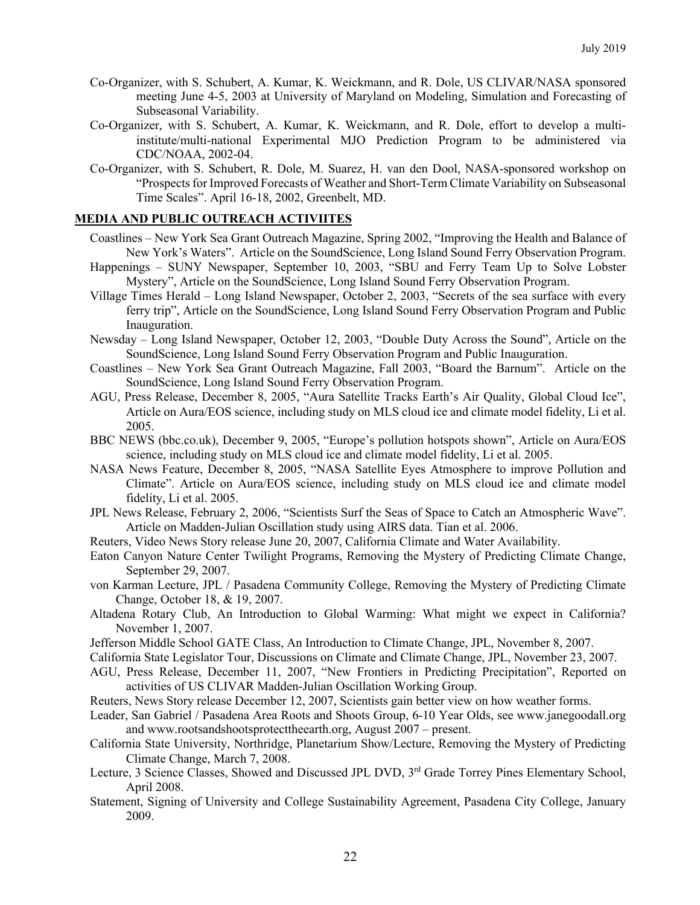- Co-Organizer, with S. Schubert, A. Kumar, K. Weickmann, and R. Dole, US CLIVAR/NASA sponsored meeting June 4-5, 2003 at University of Maryland on Modeling, Simulation and Forecasting of Subseasonal Variability.
- Co-Organizer, with S. Schubert, A. Kumar, K. Weickmann, and R. Dole, effort to develop a multiinstitute/multi-national Experimental MJO Prediction Program to be administered via CDC/NOAA, 2002-04.
- Co-Organizer, with S. Schubert, R. Dole, M. Suarez, H. van den Dool, NASA-sponsored workshop on "Prospects for Improved Forecasts of Weather and Short-Term Climate Variability on Subseasonal Time Scales". April 16-18, 2002, Greenbelt, MD.

#### **MEDIA AND PUBLIC OUTREACH ACTIVIITES**

- Coastlines New York Sea Grant Outreach Magazine, Spring 2002, "Improving the Health and Balance of New York's Waters". Article on the SoundScience, Long Island Sound Ferry Observation Program.
- Happenings SUNY Newspaper, September 10, 2003, "SBU and Ferry Team Up to Solve Lobster Mystery", Article on the SoundScience, Long Island Sound Ferry Observation Program.
- Village Times Herald Long Island Newspaper, October 2, 2003, "Secrets of the sea surface with every ferry trip", Article on the SoundScience, Long Island Sound Ferry Observation Program and Public Inauguration.
- Newsday Long Island Newspaper, October 12, 2003, "Double Duty Across the Sound", Article on the SoundScience, Long Island Sound Ferry Observation Program and Public Inauguration.
- Coastlines New York Sea Grant Outreach Magazine, Fall 2003, "Board the Barnum". Article on the SoundScience, Long Island Sound Ferry Observation Program.
- AGU, Press Release, December 8, 2005, "Aura Satellite Tracks Earth's Air Quality, Global Cloud Ice", Article on Aura/EOS science, including study on MLS cloud ice and climate model fidelity, Li et al. 2005.
- BBC NEWS (bbc.co.uk), December 9, 2005, "Europe's pollution hotspots shown", Article on Aura/EOS science, including study on MLS cloud ice and climate model fidelity, Li et al. 2005.
- NASA News Feature, December 8, 2005, "NASA Satellite Eyes Atmosphere to improve Pollution and Climate". Article on Aura/EOS science, including study on MLS cloud ice and climate model fidelity, Li et al. 2005.
- JPL News Release, February 2, 2006, "Scientists Surf the Seas of Space to Catch an Atmospheric Wave". Article on Madden-Julian Oscillation study using AIRS data. Tian et al. 2006.
- Reuters, Video News Story release June 20, 2007, California Climate and Water Availability.
- Eaton Canyon Nature Center Twilight Programs, Removing the Mystery of Predicting Climate Change, September 29, 2007.
- von Karman Lecture, JPL / Pasadena Community College, Removing the Mystery of Predicting Climate Change, October 18, & 19, 2007.
- Altadena Rotary Club, An Introduction to Global Warming: What might we expect in California? November 1, 2007.
- Jefferson Middle School GATE Class, An Introduction to Climate Change, JPL, November 8, 2007.
- California State Legislator Tour, Discussions on Climate and Climate Change, JPL, November 23, 2007.
- AGU, Press Release, December 11, 2007, "New Frontiers in Predicting Precipitation", Reported on activities of US CLIVAR Madden-Julian Oscillation Working Group.
- Reuters, News Story release December 12, 2007, Scientists gain better view on how weather forms.
- Leader, San Gabriel / Pasadena Area Roots and Shoots Group, 6-10 Year Olds, see www.janegoodall.org and www.rootsandshootsprotecttheearth.org, August 2007 – present.
- California State University, Northridge, Planetarium Show/Lecture, Removing the Mystery of Predicting Climate Change, March 7, 2008.
- Lecture, 3 Science Classes, Showed and Discussed JPL DVD, 3<sup>rd</sup> Grade Torrey Pines Elementary School, April 2008.
- Statement, Signing of University and College Sustainability Agreement, Pasadena City College, January 2009.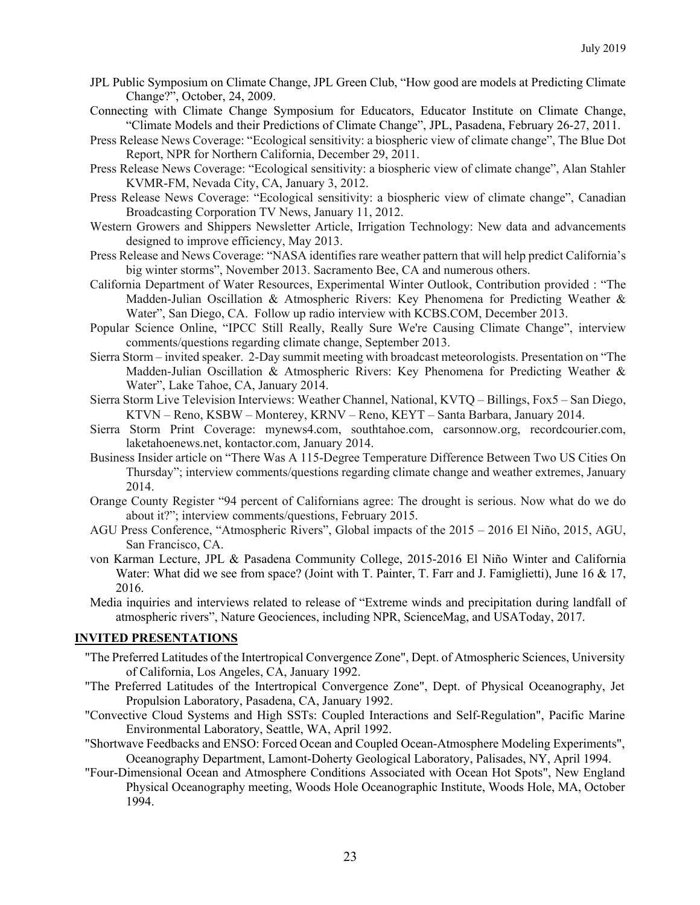- JPL Public Symposium on Climate Change, JPL Green Club, "How good are models at Predicting Climate Change?", October, 24, 2009.
- Connecting with Climate Change Symposium for Educators, Educator Institute on Climate Change, "Climate Models and their Predictions of Climate Change", JPL, Pasadena, February 26-27, 2011.
- Press Release News Coverage: "Ecological sensitivity: a biospheric view of climate change", The Blue Dot Report, NPR for Northern California, December 29, 2011.
- Press Release News Coverage: "Ecological sensitivity: a biospheric view of climate change", Alan Stahler KVMR-FM, Nevada City, CA, January 3, 2012.
- Press Release News Coverage: "Ecological sensitivity: a biospheric view of climate change", Canadian Broadcasting Corporation TV News, January 11, 2012.
- Western Growers and Shippers Newsletter Article, Irrigation Technology: New data and advancements designed to improve efficiency, May 2013.
- Press Release and News Coverage: "NASA identifies rare weather pattern that will help predict California's big winter storms", November 2013. Sacramento Bee, CA and numerous others.
- California Department of Water Resources, Experimental Winter Outlook, Contribution provided : "The Madden-Julian Oscillation & Atmospheric Rivers: Key Phenomena for Predicting Weather & Water", San Diego, CA. Follow up radio interview with KCBS.COM, December 2013.
- Popular Science Online, "IPCC Still Really, Really Sure We're Causing Climate Change", interview comments/questions regarding climate change, September 2013.
- Sierra Storm invited speaker. 2-Day summit meeting with broadcast meteorologists. Presentation on "The Madden-Julian Oscillation & Atmospheric Rivers: Key Phenomena for Predicting Weather & Water", Lake Tahoe, CA, January 2014.
- Sierra Storm Live Television Interviews: Weather Channel, National, KVTQ Billings, Fox5 San Diego, KTVN – Reno, KSBW – Monterey, KRNV – Reno, KEYT – Santa Barbara, January 2014.
- Sierra Storm Print Coverage: mynews4.com, southtahoe.com, carsonnow.org, recordcourier.com, laketahoenews.net, kontactor.com, January 2014.
- Business Insider article on "There Was A 115-Degree Temperature Difference Between Two US Cities On Thursday"; interview comments/questions regarding climate change and weather extremes, January 2014.
- Orange County Register "94 percent of Californians agree: The drought is serious. Now what do we do about it?"; interview comments/questions, February 2015.
- AGU Press Conference, "Atmospheric Rivers", Global impacts of the 2015 2016 El Niño, 2015, AGU, San Francisco, CA.
- von Karman Lecture, JPL & Pasadena Community College, 2015-2016 El Niño Winter and California Water: What did we see from space? (Joint with T. Painter, T. Farr and J. Famiglietti), June 16 & 17, 2016.
- Media inquiries and interviews related to release of "Extreme winds and precipitation during landfall of atmospheric rivers", Nature Geociences, including NPR, ScienceMag, and USAToday, 2017.

### **INVITED PRESENTATIONS**

- "The Preferred Latitudes of the Intertropical Convergence Zone", Dept. of Atmospheric Sciences, University of California, Los Angeles, CA, January 1992.
- "The Preferred Latitudes of the Intertropical Convergence Zone", Dept. of Physical Oceanography, Jet Propulsion Laboratory, Pasadena, CA, January 1992.
- "Convective Cloud Systems and High SSTs: Coupled Interactions and Self-Regulation", Pacific Marine Environmental Laboratory, Seattle, WA, April 1992.
- "Shortwave Feedbacks and ENSO: Forced Ocean and Coupled Ocean-Atmosphere Modeling Experiments", Oceanography Department, Lamont-Doherty Geological Laboratory, Palisades, NY, April 1994.
- "Four-Dimensional Ocean and Atmosphere Conditions Associated with Ocean Hot Spots", New England Physical Oceanography meeting, Woods Hole Oceanographic Institute, Woods Hole, MA, October 1994.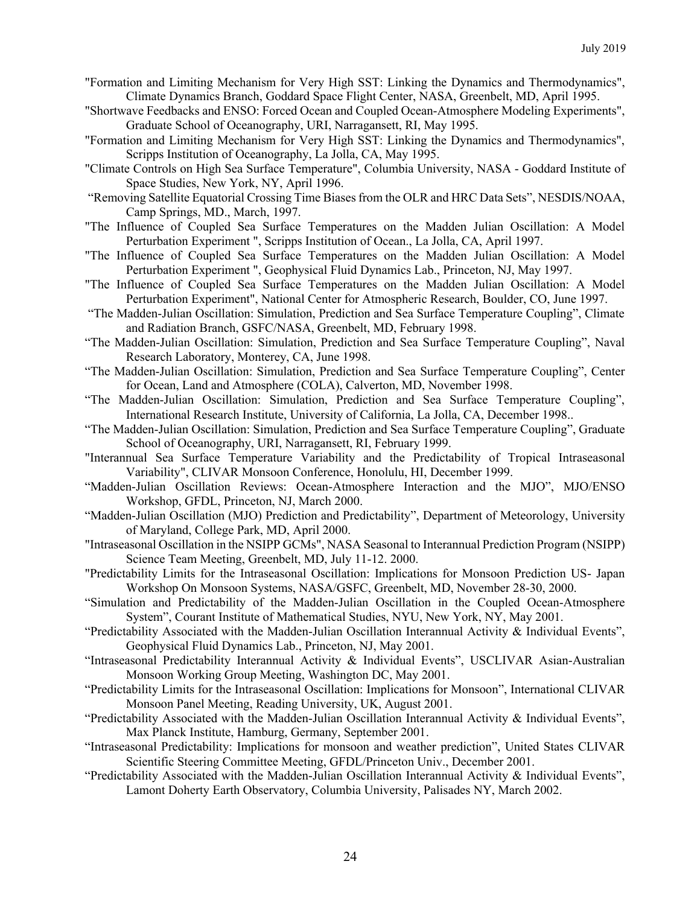- "Formation and Limiting Mechanism for Very High SST: Linking the Dynamics and Thermodynamics", Climate Dynamics Branch, Goddard Space Flight Center, NASA, Greenbelt, MD, April 1995.
- "Shortwave Feedbacks and ENSO: Forced Ocean and Coupled Ocean-Atmosphere Modeling Experiments", Graduate School of Oceanography, URI, Narragansett, RI, May 1995.
- "Formation and Limiting Mechanism for Very High SST: Linking the Dynamics and Thermodynamics", Scripps Institution of Oceanography, La Jolla, CA, May 1995.
- "Climate Controls on High Sea Surface Temperature", Columbia University, NASA Goddard Institute of Space Studies, New York, NY, April 1996.
- "Removing Satellite Equatorial Crossing Time Biasesfrom the OLR and HRC Data Sets", NESDIS/NOAA, Camp Springs, MD., March, 1997.
- "The Influence of Coupled Sea Surface Temperatures on the Madden Julian Oscillation: A Model Perturbation Experiment ", Scripps Institution of Ocean., La Jolla, CA, April 1997.
- "The Influence of Coupled Sea Surface Temperatures on the Madden Julian Oscillation: A Model Perturbation Experiment ", Geophysical Fluid Dynamics Lab., Princeton, NJ, May 1997.
- "The Influence of Coupled Sea Surface Temperatures on the Madden Julian Oscillation: A Model Perturbation Experiment", National Center for Atmospheric Research, Boulder, CO, June 1997.
- "The Madden-Julian Oscillation: Simulation, Prediction and Sea Surface Temperature Coupling", Climate and Radiation Branch, GSFC/NASA, Greenbelt, MD, February 1998.
- "The Madden-Julian Oscillation: Simulation, Prediction and Sea Surface Temperature Coupling", Naval Research Laboratory, Monterey, CA, June 1998.
- "The Madden-Julian Oscillation: Simulation, Prediction and Sea Surface Temperature Coupling", Center for Ocean, Land and Atmosphere (COLA), Calverton, MD, November 1998.
- "The Madden-Julian Oscillation: Simulation, Prediction and Sea Surface Temperature Coupling", International Research Institute, University of California, La Jolla, CA, December 1998..
- "The Madden-Julian Oscillation: Simulation, Prediction and Sea Surface Temperature Coupling", Graduate School of Oceanography, URI, Narragansett, RI, February 1999.
- "Interannual Sea Surface Temperature Variability and the Predictability of Tropical Intraseasonal Variability", CLIVAR Monsoon Conference, Honolulu, HI, December 1999.
- "Madden-Julian Oscillation Reviews: Ocean-Atmosphere Interaction and the MJO", MJO/ENSO Workshop, GFDL, Princeton, NJ, March 2000.
- "Madden-Julian Oscillation (MJO) Prediction and Predictability", Department of Meteorology, University of Maryland, College Park, MD, April 2000.
- "Intraseasonal Oscillation in the NSIPP GCMs", NASA Seasonal to Interannual Prediction Program (NSIPP) Science Team Meeting, Greenbelt, MD, July 11-12. 2000.
- "Predictability Limits for the Intraseasonal Oscillation: Implications for Monsoon Prediction US- Japan Workshop On Monsoon Systems, NASA/GSFC, Greenbelt, MD, November 28-30, 2000.
- "Simulation and Predictability of the Madden-Julian Oscillation in the Coupled Ocean-Atmosphere System", Courant Institute of Mathematical Studies, NYU, New York, NY, May 2001.
- "Predictability Associated with the Madden-Julian Oscillation Interannual Activity & Individual Events", Geophysical Fluid Dynamics Lab., Princeton, NJ, May 2001.
- "Intraseasonal Predictability Interannual Activity & Individual Events", USCLIVAR Asian-Australian Monsoon Working Group Meeting, Washington DC, May 2001.
- "Predictability Limits for the Intraseasonal Oscillation: Implications for Monsoon", International CLIVAR Monsoon Panel Meeting, Reading University, UK, August 2001.
- "Predictability Associated with the Madden-Julian Oscillation Interannual Activity & Individual Events", Max Planck Institute, Hamburg, Germany, September 2001.
- "Intraseasonal Predictability: Implications for monsoon and weather prediction", United States CLIVAR Scientific Steering Committee Meeting, GFDL/Princeton Univ., December 2001.
- "Predictability Associated with the Madden-Julian Oscillation Interannual Activity & Individual Events", Lamont Doherty Earth Observatory, Columbia University, Palisades NY, March 2002.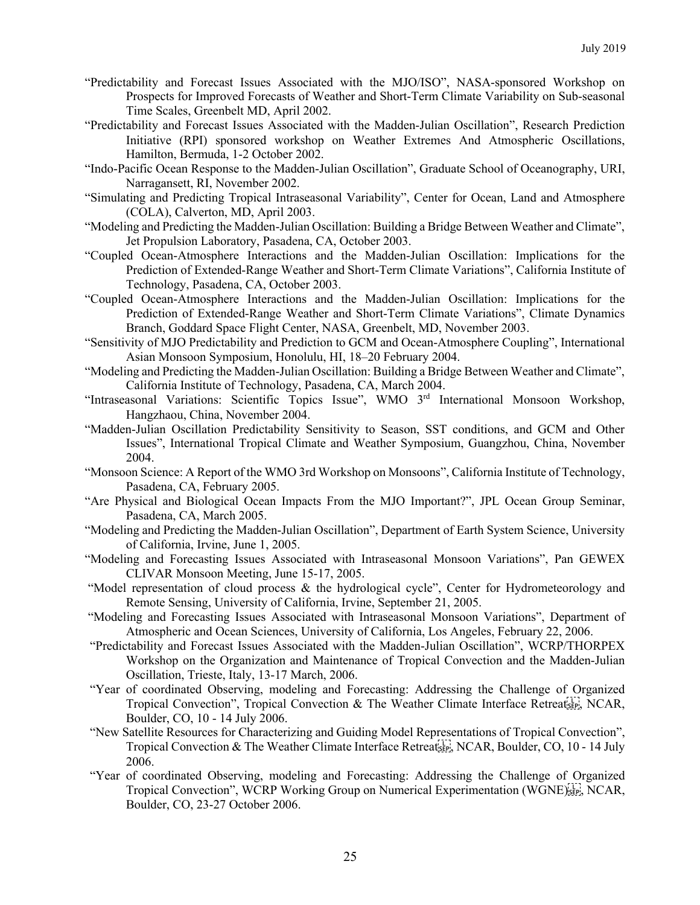- "Predictability and Forecast Issues Associated with the MJO/ISO", NASA-sponsored Workshop on Prospects for Improved Forecasts of Weather and Short-Term Climate Variability on Sub-seasonal Time Scales, Greenbelt MD, April 2002.
- "Predictability and Forecast Issues Associated with the Madden-Julian Oscillation", Research Prediction Initiative (RPI) sponsored workshop on Weather Extremes And Atmospheric Oscillations, Hamilton, Bermuda, 1-2 October 2002.
- "Indo-Pacific Ocean Response to the Madden-Julian Oscillation", Graduate School of Oceanography, URI, Narragansett, RI, November 2002.
- "Simulating and Predicting Tropical Intraseasonal Variability", Center for Ocean, Land and Atmosphere (COLA), Calverton, MD, April 2003.
- "Modeling and Predicting the Madden-Julian Oscillation: Building a Bridge Between Weather and Climate", Jet Propulsion Laboratory, Pasadena, CA, October 2003.
- "Coupled Ocean-Atmosphere Interactions and the Madden-Julian Oscillation: Implications for the Prediction of Extended-Range Weather and Short-Term Climate Variations", California Institute of Technology, Pasadena, CA, October 2003.
- "Coupled Ocean-Atmosphere Interactions and the Madden-Julian Oscillation: Implications for the Prediction of Extended-Range Weather and Short-Term Climate Variations", Climate Dynamics Branch, Goddard Space Flight Center, NASA, Greenbelt, MD, November 2003.
- "Sensitivity of MJO Predictability and Prediction to GCM and Ocean-Atmosphere Coupling", International Asian Monsoon Symposium, Honolulu, HI, 18–20 February 2004.
- "Modeling and Predicting the Madden-Julian Oscillation: Building a Bridge Between Weather and Climate", California Institute of Technology, Pasadena, CA, March 2004.
- "Intraseasonal Variations: Scientific Topics Issue", WMO 3<sup>rd</sup> International Monsoon Workshop, Hangzhaou, China, November 2004.
- "Madden-Julian Oscillation Predictability Sensitivity to Season, SST conditions, and GCM and Other Issues", International Tropical Climate and Weather Symposium, Guangzhou, China, November 2004.
- "Monsoon Science: A Report of the WMO 3rd Workshop on Monsoons", California Institute of Technology, Pasadena, CA, February 2005.
- "Are Physical and Biological Ocean Impacts From the MJO Important?", JPL Ocean Group Seminar, Pasadena, CA, March 2005.
- "Modeling and Predicting the Madden-Julian Oscillation", Department of Earth System Science, University of California, Irvine, June 1, 2005.
- "Modeling and Forecasting Issues Associated with Intraseasonal Monsoon Variations", Pan GEWEX CLIVAR Monsoon Meeting, June 15-17, 2005.
- "Model representation of cloud process & the hydrological cycle", Center for Hydrometeorology and Remote Sensing, University of California, Irvine, September 21, 2005.
- "Modeling and Forecasting Issues Associated with Intraseasonal Monsoon Variations", Department of Atmospheric and Ocean Sciences, University of California, Los Angeles, February 22, 2006.
- "Predictability and Forecast Issues Associated with the Madden-Julian Oscillation", WCRP/THORPEX Workshop on the Organization and Maintenance of Tropical Convection and the Madden-Julian Oscillation, Trieste, Italy, 13-17 March, 2006.
- "Year of coordinated Observing, modeling and Forecasting: Addressing the Challenge of Organized Tropical Convection", Tropical Convection & The Weather Climate Interface Retreat<sub>stry</sub>, NCAR, Boulder, CO, 10 - 14 July 2006.
- "New Satellite Resources for Characterizing and Guiding Model Representations of Tropical Convection", Tropical Convection & The Weather Climate Interface Retreatistic, NCAR, Boulder, CO, 10 - 14 July 2006.
- "Year of coordinated Observing, modeling and Forecasting: Addressing the Challenge of Organized Tropical Convection", WCRP Working Group on Numerical Experimentation (WGNE)<sup>[17]</sup>, NCAR, Boulder, CO, 23-27 October 2006.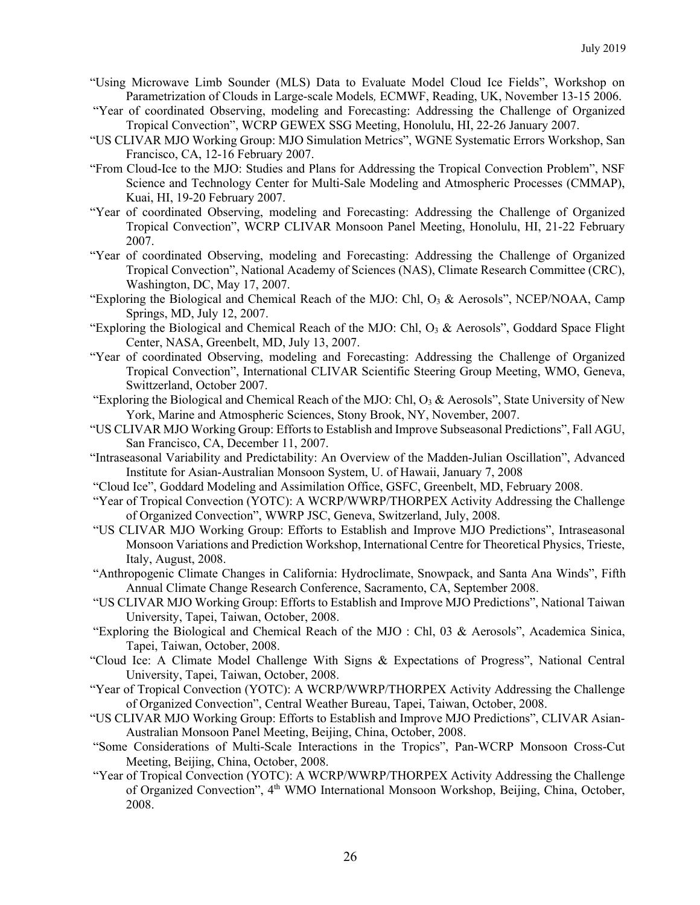- "Using Microwave Limb Sounder (MLS) Data to Evaluate Model Cloud Ice Fields", Workshop on Parametrization of Clouds in Large-scale Models*,* ECMWF, Reading, UK, November 13-15 2006.
- "Year of coordinated Observing, modeling and Forecasting: Addressing the Challenge of Organized Tropical Convection", WCRP GEWEX SSG Meeting, Honolulu, HI, 22-26 January 2007.
- "US CLIVAR MJO Working Group: MJO Simulation Metrics", WGNE Systematic Errors Workshop, San Francisco, CA, 12-16 February 2007.
- "From Cloud-Ice to the MJO: Studies and Plans for Addressing the Tropical Convection Problem", NSF Science and Technology Center for Multi-Sale Modeling and Atmospheric Processes (CMMAP), Kuai, HI, 19-20 February 2007.
- "Year of coordinated Observing, modeling and Forecasting: Addressing the Challenge of Organized Tropical Convection", WCRP CLIVAR Monsoon Panel Meeting, Honolulu, HI, 21-22 February 2007.
- "Year of coordinated Observing, modeling and Forecasting: Addressing the Challenge of Organized Tropical Convection", National Academy of Sciences (NAS), Climate Research Committee (CRC), Washington, DC, May 17, 2007.
- "Exploring the Biological and Chemical Reach of the MJO: Chl,  $O<sub>3</sub>$  & Aerosols", NCEP/NOAA, Camp Springs, MD, July 12, 2007.
- "Exploring the Biological and Chemical Reach of the MJO: Chl, O<sub>3</sub> & Aerosols", Goddard Space Flight Center, NASA, Greenbelt, MD, July 13, 2007.
- "Year of coordinated Observing, modeling and Forecasting: Addressing the Challenge of Organized Tropical Convection", International CLIVAR Scientific Steering Group Meeting, WMO, Geneva, Swittzerland, October 2007.
- "Exploring the Biological and Chemical Reach of the MJO: Chl,  $O_3 \&$  Aerosols", State University of New York, Marine and Atmospheric Sciences, Stony Brook, NY, November, 2007.
- "US CLIVAR MJO Working Group: Efforts to Establish and Improve Subseasonal Predictions", Fall AGU, San Francisco, CA, December 11, 2007.
- "Intraseasonal Variability and Predictability: An Overview of the Madden-Julian Oscillation", Advanced Institute for Asian-Australian Monsoon System, U. of Hawaii, January 7, 2008
- "Cloud Ice", Goddard Modeling and Assimilation Office, GSFC, Greenbelt, MD, February 2008.
- "Year of Tropical Convection (YOTC): A WCRP/WWRP/THORPEX Activity Addressing the Challenge of Organized Convection", WWRP JSC, Geneva, Switzerland, July, 2008.
- "US CLIVAR MJO Working Group: Efforts to Establish and Improve MJO Predictions", Intraseasonal Monsoon Variations and Prediction Workshop, International Centre for Theoretical Physics, Trieste, Italy, August, 2008.
- "Anthropogenic Climate Changes in California: Hydroclimate, Snowpack, and Santa Ana Winds", Fifth Annual Climate Change Research Conference, Sacramento, CA, September 2008.
- "US CLIVAR MJO Working Group: Efforts to Establish and Improve MJO Predictions", National Taiwan University, Tapei, Taiwan, October, 2008.
- "Exploring the Biological and Chemical Reach of the MJO : Chl, 03 & Aerosols", Academica Sinica, Tapei, Taiwan, October, 2008.
- "Cloud Ice: A Climate Model Challenge With Signs & Expectations of Progress", National Central University, Tapei, Taiwan, October, 2008.
- "Year of Tropical Convection (YOTC): A WCRP/WWRP/THORPEX Activity Addressing the Challenge of Organized Convection", Central Weather Bureau, Tapei, Taiwan, October, 2008.
- "US CLIVAR MJO Working Group: Efforts to Establish and Improve MJO Predictions", CLIVAR Asian-Australian Monsoon Panel Meeting, Beijing, China, October, 2008.
- "Some Considerations of Multi-Scale Interactions in the Tropics", Pan-WCRP Monsoon Cross-Cut Meeting, Beijing, China, October, 2008.
- "Year of Tropical Convection (YOTC): A WCRP/WWRP/THORPEX Activity Addressing the Challenge of Organized Convection", 4<sup>th</sup> WMO International Monsoon Workshop, Beijing, China, October, 2008.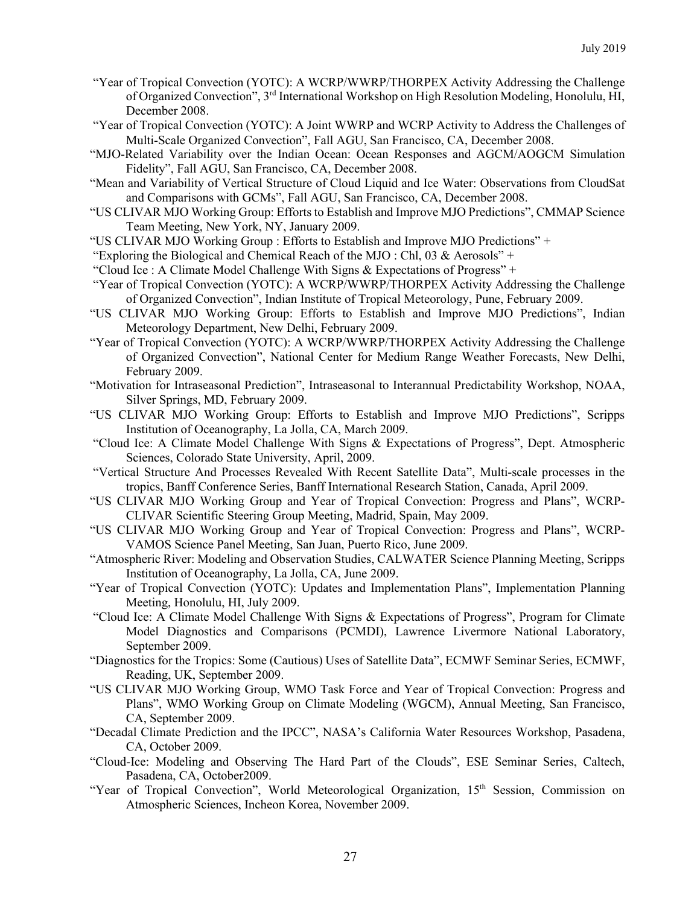- "Year of Tropical Convection (YOTC): A WCRP/WWRP/THORPEX Activity Addressing the Challenge of Organized Convection", 3rd International Workshop on High Resolution Modeling, Honolulu, HI, December 2008.
- "Year of Tropical Convection (YOTC): A Joint WWRP and WCRP Activity to Address the Challenges of Multi-Scale Organized Convection", Fall AGU, San Francisco, CA, December 2008.
- "MJO-Related Variability over the Indian Ocean: Ocean Responses and AGCM/AOGCM Simulation Fidelity", Fall AGU, San Francisco, CA, December 2008.
- "Mean and Variability of Vertical Structure of Cloud Liquid and Ice Water: Observations from CloudSat and Comparisons with GCMs", Fall AGU, San Francisco, CA, December 2008.
- "US CLIVAR MJO Working Group: Efforts to Establish and Improve MJO Predictions", CMMAP Science Team Meeting, New York, NY, January 2009.
- "US CLIVAR MJO Working Group : Efforts to Establish and Improve MJO Predictions" +
- "Exploring the Biological and Chemical Reach of the MJO : Chl, 03 & Aerosols" +
- "Cloud Ice : A Climate Model Challenge With Signs  $&$  Expectations of Progress" +
- "Year of Tropical Convection (YOTC): A WCRP/WWRP/THORPEX Activity Addressing the Challenge of Organized Convection", Indian Institute of Tropical Meteorology, Pune, February 2009.
- "US CLIVAR MJO Working Group: Efforts to Establish and Improve MJO Predictions", Indian Meteorology Department, New Delhi, February 2009.
- "Year of Tropical Convection (YOTC): A WCRP/WWRP/THORPEX Activity Addressing the Challenge of Organized Convection", National Center for Medium Range Weather Forecasts, New Delhi, February 2009.
- "Motivation for Intraseasonal Prediction", Intraseasonal to Interannual Predictability Workshop, NOAA, Silver Springs, MD, February 2009.
- "US CLIVAR MJO Working Group: Efforts to Establish and Improve MJO Predictions", Scripps Institution of Oceanography, La Jolla, CA, March 2009.
- "Cloud Ice: A Climate Model Challenge With Signs & Expectations of Progress", Dept. Atmospheric Sciences, Colorado State University, April, 2009.
- "Vertical Structure And Processes Revealed With Recent Satellite Data", Multi-scale processes in the tropics, Banff Conference Series, Banff International Research Station, Canada, April 2009.
- "US CLIVAR MJO Working Group and Year of Tropical Convection: Progress and Plans", WCRP-CLIVAR Scientific Steering Group Meeting, Madrid, Spain, May 2009.
- "US CLIVAR MJO Working Group and Year of Tropical Convection: Progress and Plans", WCRP-VAMOS Science Panel Meeting, San Juan, Puerto Rico, June 2009.
- "Atmospheric River: Modeling and Observation Studies, CALWATER Science Planning Meeting, Scripps Institution of Oceanography, La Jolla, CA, June 2009.
- "Year of Tropical Convection (YOTC): Updates and Implementation Plans", Implementation Planning Meeting, Honolulu, HI, July 2009.
- "Cloud Ice: A Climate Model Challenge With Signs & Expectations of Progress", Program for Climate Model Diagnostics and Comparisons (PCMDI), Lawrence Livermore National Laboratory, September 2009.
- "Diagnostics for the Tropics: Some (Cautious) Uses of Satellite Data", ECMWF Seminar Series, ECMWF, Reading, UK, September 2009.
- "US CLIVAR MJO Working Group, WMO Task Force and Year of Tropical Convection: Progress and Plans", WMO Working Group on Climate Modeling (WGCM), Annual Meeting, San Francisco, CA, September 2009.
- "Decadal Climate Prediction and the IPCC", NASA's California Water Resources Workshop, Pasadena, CA, October 2009.
- "Cloud-Ice: Modeling and Observing The Hard Part of the Clouds", ESE Seminar Series, Caltech, Pasadena, CA, October2009.
- "Year of Tropical Convection", World Meteorological Organization, 15<sup>th</sup> Session, Commission on Atmospheric Sciences, Incheon Korea, November 2009.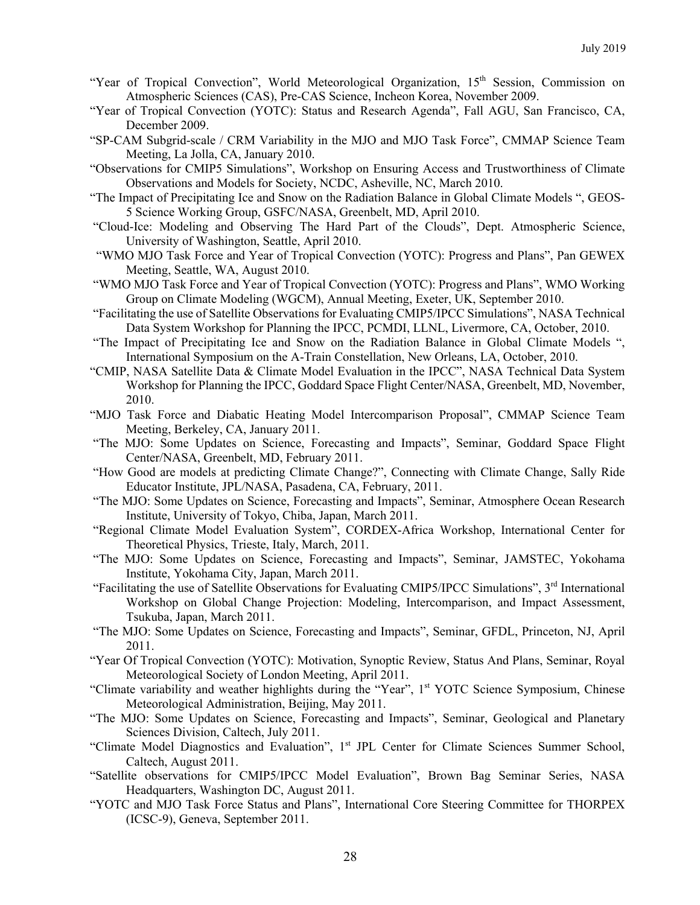- "Year of Tropical Convection", World Meteorological Organization, 15<sup>th</sup> Session, Commission on Atmospheric Sciences (CAS), Pre-CAS Science, Incheon Korea, November 2009.
- "Year of Tropical Convection (YOTC): Status and Research Agenda", Fall AGU, San Francisco, CA, December 2009.
- "SP-CAM Subgrid-scale / CRM Variability in the MJO and MJO Task Force", CMMAP Science Team Meeting, La Jolla, CA, January 2010.
- "Observations for CMIP5 Simulations", Workshop on Ensuring Access and Trustworthiness of Climate Observations and Models for Society, NCDC, Asheville, NC, March 2010.
- "The Impact of Precipitating Ice and Snow on the Radiation Balance in Global Climate Models ", GEOS-5 Science Working Group, GSFC/NASA, Greenbelt, MD, April 2010.
- "Cloud-Ice: Modeling and Observing The Hard Part of the Clouds", Dept. Atmospheric Science, University of Washington, Seattle, April 2010.
- "WMO MJO Task Force and Year of Tropical Convection (YOTC): Progress and Plans", Pan GEWEX Meeting, Seattle, WA, August 2010.
- "WMO MJO Task Force and Year of Tropical Convection (YOTC): Progress and Plans", WMO Working Group on Climate Modeling (WGCM), Annual Meeting, Exeter, UK, September 2010.
- "Facilitating the use of Satellite Observations for Evaluating CMIP5/IPCC Simulations", NASA Technical Data System Workshop for Planning the IPCC, PCMDI, LLNL, Livermore, CA, October, 2010.
- "The Impact of Precipitating Ice and Snow on the Radiation Balance in Global Climate Models ", International Symposium on the A-Train Constellation, New Orleans, LA, October, 2010.
- "CMIP, NASA Satellite Data & Climate Model Evaluation in the IPCC", NASA Technical Data System Workshop for Planning the IPCC, Goddard Space Flight Center/NASA, Greenbelt, MD, November, 2010.
- "MJO Task Force and Diabatic Heating Model Intercomparison Proposal", CMMAP Science Team Meeting, Berkeley, CA, January 2011.
- "The MJO: Some Updates on Science, Forecasting and Impacts", Seminar, Goddard Space Flight Center/NASA, Greenbelt, MD, February 2011.
- "How Good are models at predicting Climate Change?", Connecting with Climate Change, Sally Ride Educator Institute, JPL/NASA, Pasadena, CA, February, 2011.
- "The MJO: Some Updates on Science, Forecasting and Impacts", Seminar, Atmosphere Ocean Research Institute, University of Tokyo, Chiba, Japan, March 2011.
- "Regional Climate Model Evaluation System", CORDEX-Africa Workshop, International Center for Theoretical Physics, Trieste, Italy, March, 2011.
- "The MJO: Some Updates on Science, Forecasting and Impacts", Seminar, JAMSTEC, Yokohama Institute, Yokohama City, Japan, March 2011.
- "Facilitating the use of Satellite Observations for Evaluating CMIP5/IPCC Simulations", 3<sup>rd</sup> International Workshop on Global Change Projection: Modeling, Intercomparison, and Impact Assessment, Tsukuba, Japan, March 2011.
- "The MJO: Some Updates on Science, Forecasting and Impacts", Seminar, GFDL, Princeton, NJ, April 2011.
- "Year Of Tropical Convection (YOTC): Motivation, Synoptic Review, Status And Plans, Seminar, Royal Meteorological Society of London Meeting, April 2011.
- "Climate variability and weather highlights during the "Year", 1<sup>st</sup> YOTC Science Symposium, Chinese Meteorological Administration, Beijing, May 2011.
- "The MJO: Some Updates on Science, Forecasting and Impacts", Seminar, Geological and Planetary Sciences Division, Caltech, July 2011.
- "Climate Model Diagnostics and Evaluation", 1<sup>st</sup> JPL Center for Climate Sciences Summer School, Caltech, August 2011.
- "Satellite observations for CMIP5/IPCC Model Evaluation", Brown Bag Seminar Series, NASA Headquarters, Washington DC, August 2011.
- "YOTC and MJO Task Force Status and Plans", International Core Steering Committee for THORPEX (ICSC-9), Geneva, September 2011.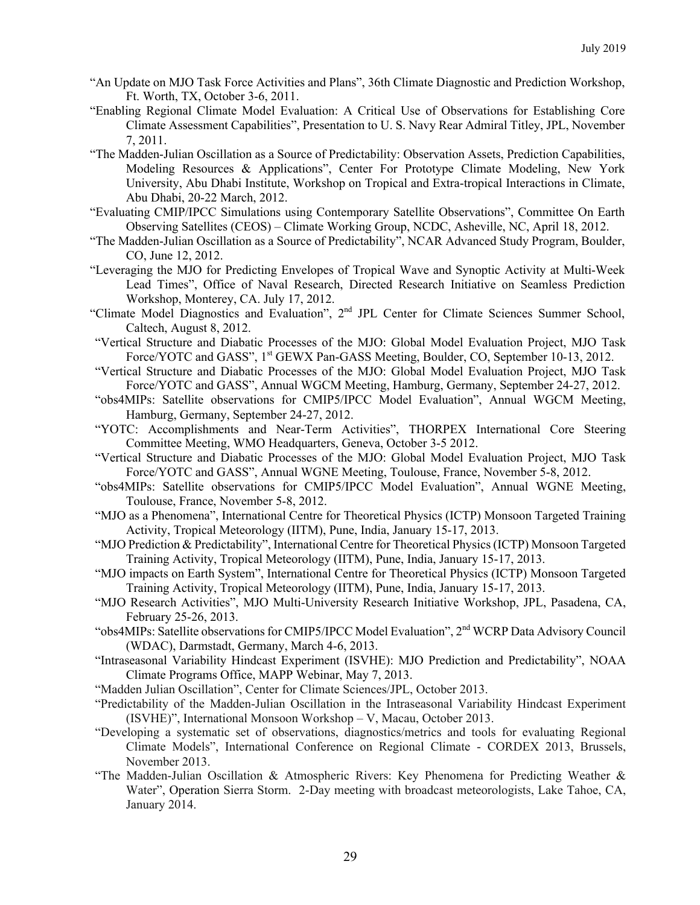- "An Update on MJO Task Force Activities and Plans", 36th Climate Diagnostic and Prediction Workshop, Ft. Worth, TX, October 3-6, 2011.
- "Enabling Regional Climate Model Evaluation: A Critical Use of Observations for Establishing Core Climate Assessment Capabilities", Presentation to U. S. Navy Rear Admiral Titley, JPL, November 7, 2011.
- "The Madden-Julian Oscillation as a Source of Predictability: Observation Assets, Prediction Capabilities, Modeling Resources & Applications", Center For Prototype Climate Modeling, New York University, Abu Dhabi Institute, Workshop on Tropical and Extra-tropical Interactions in Climate, Abu Dhabi, 20-22 March, 2012.
- "Evaluating CMIP/IPCC Simulations using Contemporary Satellite Observations", Committee On Earth Observing Satellites (CEOS) – Climate Working Group, NCDC, Asheville, NC, April 18, 2012.
- "The Madden-Julian Oscillation as a Source of Predictability", NCAR Advanced Study Program, Boulder, CO, June 12, 2012.
- "Leveraging the MJO for Predicting Envelopes of Tropical Wave and Synoptic Activity at Multi-Week Lead Times", Office of Naval Research, Directed Research Initiative on Seamless Prediction Workshop, Monterey, CA. July 17, 2012.
- "Climate Model Diagnostics and Evaluation", 2nd JPL Center for Climate Sciences Summer School, Caltech, August 8, 2012.
- "Vertical Structure and Diabatic Processes of the MJO: Global Model Evaluation Project, MJO Task Force/YOTC and GASS", 1<sup>st</sup> GEWX Pan-GASS Meeting, Boulder, CO, September 10-13, 2012.
- "Vertical Structure and Diabatic Processes of the MJO: Global Model Evaluation Project, MJO Task Force/YOTC and GASS", Annual WGCM Meeting, Hamburg, Germany, September 24-27, 2012.
- "obs4MIPs: Satellite observations for CMIP5/IPCC Model Evaluation", Annual WGCM Meeting, Hamburg, Germany, September 24-27, 2012.
- "YOTC: Accomplishments and Near-Term Activities", THORPEX International Core Steering Committee Meeting, WMO Headquarters, Geneva, October 3-5 2012.
- "Vertical Structure and Diabatic Processes of the MJO: Global Model Evaluation Project, MJO Task Force/YOTC and GASS", Annual WGNE Meeting, Toulouse, France, November 5-8, 2012.
- "obs4MIPs: Satellite observations for CMIP5/IPCC Model Evaluation", Annual WGNE Meeting, Toulouse, France, November 5-8, 2012.
- "MJO as a Phenomena", International Centre for Theoretical Physics (ICTP) Monsoon Targeted Training Activity, Tropical Meteorology (IITM), Pune, India, January 15-17, 2013.
- "MJO Prediction & Predictability", International Centre for Theoretical Physics (ICTP) Monsoon Targeted Training Activity, Tropical Meteorology (IITM), Pune, India, January 15-17, 2013.
- "MJO impacts on Earth System", International Centre for Theoretical Physics (ICTP) Monsoon Targeted Training Activity, Tropical Meteorology (IITM), Pune, India, January 15-17, 2013.
- "MJO Research Activities", MJO Multi-University Research Initiative Workshop, JPL, Pasadena, CA, February 25-26, 2013.
- "obs4MIPs: Satellite observations for CMIP5/IPCC Model Evaluation", 2nd WCRP Data Advisory Council (WDAC), Darmstadt, Germany, March 4-6, 2013.
- "Intraseasonal Variability Hindcast Experiment (ISVHE): MJO Prediction and Predictability", NOAA Climate Programs Office, MAPP Webinar, May 7, 2013.
- "Madden Julian Oscillation", Center for Climate Sciences/JPL, October 2013.
- "Predictability of the Madden-Julian Oscillation in the Intraseasonal Variability Hindcast Experiment (ISVHE)", International Monsoon Workshop – V, Macau, October 2013.
- "Developing a systematic set of observations, diagnostics/metrics and tools for evaluating Regional Climate Models", International Conference on Regional Climate - CORDEX 2013, Brussels, November 2013.
- "The Madden-Julian Oscillation & Atmospheric Rivers: Key Phenomena for Predicting Weather & Water", Operation Sierra Storm. 2-Day meeting with broadcast meteorologists, Lake Tahoe, CA, January 2014.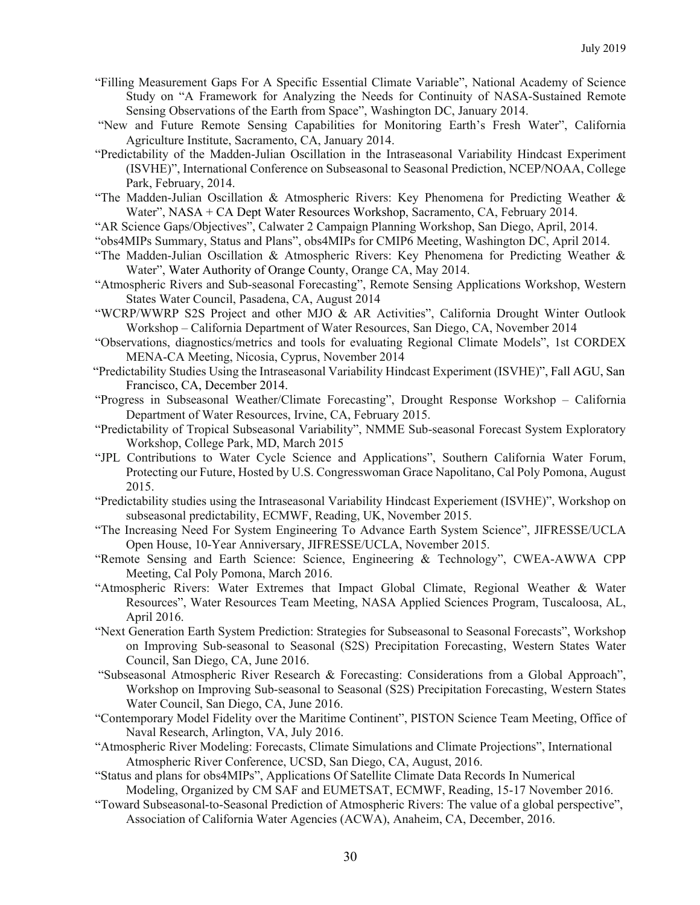- "Filling Measurement Gaps For A Specific Essential Climate Variable", National Academy of Science Study on "A Framework for Analyzing the Needs for Continuity of NASA-Sustained Remote Sensing Observations of the Earth from Space", Washington DC, January 2014.
- "New and Future Remote Sensing Capabilities for Monitoring Earth's Fresh Water", California Agriculture Institute, Sacramento, CA, January 2014.
- "Predictability of the Madden-Julian Oscillation in the Intraseasonal Variability Hindcast Experiment (ISVHE)", International Conference on Subseasonal to Seasonal Prediction, NCEP/NOAA, College Park, February, 2014.
- "The Madden-Julian Oscillation & Atmospheric Rivers: Key Phenomena for Predicting Weather & Water", NASA + CA Dept Water Resources Workshop, Sacramento, CA, February 2014.
- "AR Science Gaps/Objectives", Calwater 2 Campaign Planning Workshop, San Diego, April, 2014.
- "obs4MIPs Summary, Status and Plans", obs4MIPs for CMIP6 Meeting, Washington DC, April 2014.
- "The Madden-Julian Oscillation & Atmospheric Rivers: Key Phenomena for Predicting Weather & Water", Water Authority of Orange County, Orange CA, May 2014.
- "Atmospheric Rivers and Sub-seasonal Forecasting", Remote Sensing Applications Workshop, Western States Water Council, Pasadena, CA, August 2014
- "WCRP/WWRP S2S Project and other MJO & AR Activities", California Drought Winter Outlook Workshop – California Department of Water Resources, San Diego, CA, November 2014
- "Observations, diagnostics/metrics and tools for evaluating Regional Climate Models", 1st CORDEX MENA-CA Meeting, Nicosia, Cyprus, November 2014
- "Predictability Studies Using the Intraseasonal Variability Hindcast Experiment (ISVHE)", Fall AGU, San Francisco, CA, December 2014.
- "Progress in Subseasonal Weather/Climate Forecasting", Drought Response Workshop California Department of Water Resources, Irvine, CA, February 2015.
- "Predictability of Tropical Subseasonal Variability", NMME Sub-seasonal Forecast System Exploratory Workshop, College Park, MD, March 2015
- "JPL Contributions to Water Cycle Science and Applications", Southern California Water Forum, Protecting our Future, Hosted by U.S. Congresswoman Grace Napolitano, Cal Poly Pomona, August 2015.
- "Predictability studies using the Intraseasonal Variability Hindcast Experiement (ISVHE)", Workshop on subseasonal predictability, ECMWF, Reading, UK, November 2015.
- "The Increasing Need For System Engineering To Advance Earth System Science", JIFRESSE/UCLA Open House, 10-Year Anniversary, JIFRESSE/UCLA, November 2015.
- "Remote Sensing and Earth Science: Science, Engineering & Technology", CWEA-AWWA CPP Meeting, Cal Poly Pomona, March 2016.
- "Atmospheric Rivers: Water Extremes that Impact Global Climate, Regional Weather & Water Resources", Water Resources Team Meeting, NASA Applied Sciences Program, Tuscaloosa, AL, April 2016.
- "Next Generation Earth System Prediction: Strategies for Subseasonal to Seasonal Forecasts", Workshop on Improving Sub-seasonal to Seasonal (S2S) Precipitation Forecasting, Western States Water Council, San Diego, CA, June 2016.
- "Subseasonal Atmospheric River Research & Forecasting: Considerations from a Global Approach", Workshop on Improving Sub-seasonal to Seasonal (S2S) Precipitation Forecasting, Western States Water Council, San Diego, CA, June 2016.
- "Contemporary Model Fidelity over the Maritime Continent", PISTON Science Team Meeting, Office of Naval Research, Arlington, VA, July 2016.
- "Atmospheric River Modeling: Forecasts, Climate Simulations and Climate Projections", International Atmospheric River Conference, UCSD, San Diego, CA, August, 2016.
- "Status and plans for obs4MIPs", Applications Of Satellite Climate Data Records In Numerical Modeling, Organized by CM SAF and EUMETSAT, ECMWF, Reading, 15-17 November 2016.
- "Toward Subseasonal-to-Seasonal Prediction of Atmospheric Rivers: The value of a global perspective", Association of California Water Agencies (ACWA), Anaheim, CA, December, 2016.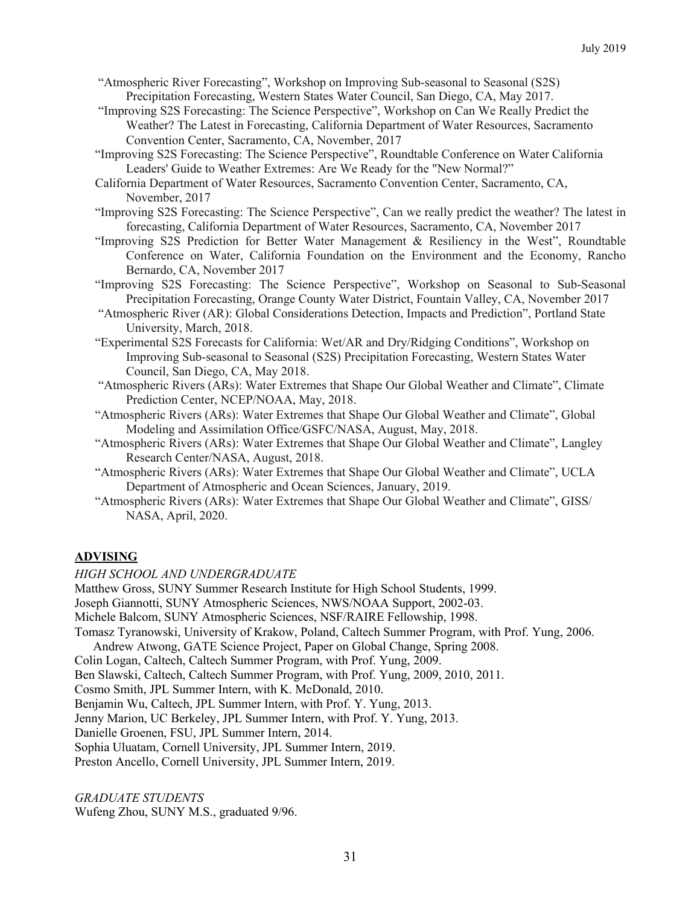- "Atmospheric River Forecasting", Workshop on Improving Sub-seasonal to Seasonal (S2S) Precipitation Forecasting, Western States Water Council, San Diego, CA, May 2017.
- "Improving S2S Forecasting: The Science Perspective", Workshop on Can We Really Predict the Weather? The Latest in Forecasting, California Department of Water Resources, Sacramento Convention Center, Sacramento, CA, November, 2017
- "Improving S2S Forecasting: The Science Perspective", Roundtable Conference on Water California Leaders' Guide to Weather Extremes: Are We Ready for the "New Normal?"
- California Department of Water Resources, Sacramento Convention Center, Sacramento, CA, November, 2017
- "Improving S2S Forecasting: The Science Perspective", Can we really predict the weather? The latest in forecasting, California Department of Water Resources, Sacramento, CA, November 2017
- "Improving S2S Prediction for Better Water Management & Resiliency in the West", Roundtable Conference on Water, California Foundation on the Environment and the Economy, Rancho Bernardo, CA, November 2017
- "Improving S2S Forecasting: The Science Perspective", Workshop on Seasonal to Sub-Seasonal Precipitation Forecasting, Orange County Water District, Fountain Valley, CA, November 2017
- "Atmospheric River (AR): Global Considerations Detection, Impacts and Prediction", Portland State University, March, 2018.
- "Experimental S2S Forecasts for California: Wet/AR and Dry/Ridging Conditions", Workshop on Improving Sub-seasonal to Seasonal (S2S) Precipitation Forecasting, Western States Water Council, San Diego, CA, May 2018.
- "Atmospheric Rivers (ARs): Water Extremes that Shape Our Global Weather and Climate", Climate Prediction Center, NCEP/NOAA, May, 2018.
- "Atmospheric Rivers (ARs): Water Extremes that Shape Our Global Weather and Climate", Global Modeling and Assimilation Office/GSFC/NASA, August, May, 2018.
- "Atmospheric Rivers (ARs): Water Extremes that Shape Our Global Weather and Climate", Langley Research Center/NASA, August, 2018.
- "Atmospheric Rivers (ARs): Water Extremes that Shape Our Global Weather and Climate", UCLA Department of Atmospheric and Ocean Sciences, January, 2019.
- "Atmospheric Rivers (ARs): Water Extremes that Shape Our Global Weather and Climate", GISS/ NASA, April, 2020.

# **ADVISING**

### *HIGH SCHOOL AND UNDERGRADUATE*

Matthew Gross, SUNY Summer Research Institute for High School Students, 1999.

- Joseph Giannotti, SUNY Atmospheric Sciences, NWS/NOAA Support, 2002-03.
- Michele Balcom, SUNY Atmospheric Sciences, NSF/RAIRE Fellowship, 1998.

Tomasz Tyranowski, University of Krakow, Poland, Caltech Summer Program, with Prof. Yung, 2006.

Andrew Atwong, GATE Science Project, Paper on Global Change, Spring 2008.

- Colin Logan, Caltech, Caltech Summer Program, with Prof. Yung, 2009.
- Ben Slawski, Caltech, Caltech Summer Program, with Prof. Yung, 2009, 2010, 2011.
- Cosmo Smith, JPL Summer Intern, with K. McDonald, 2010.
- Benjamin Wu, Caltech, JPL Summer Intern, with Prof. Y. Yung, 2013.

Jenny Marion, UC Berkeley, JPL Summer Intern, with Prof. Y. Yung, 2013.

Danielle Groenen, FSU, JPL Summer Intern, 2014.

Sophia Uluatam, Cornell University, JPL Summer Intern, 2019.

Preston Ancello, Cornell University, JPL Summer Intern, 2019.

### *GRADUATE STUDENTS*

Wufeng Zhou, SUNY M.S., graduated 9/96.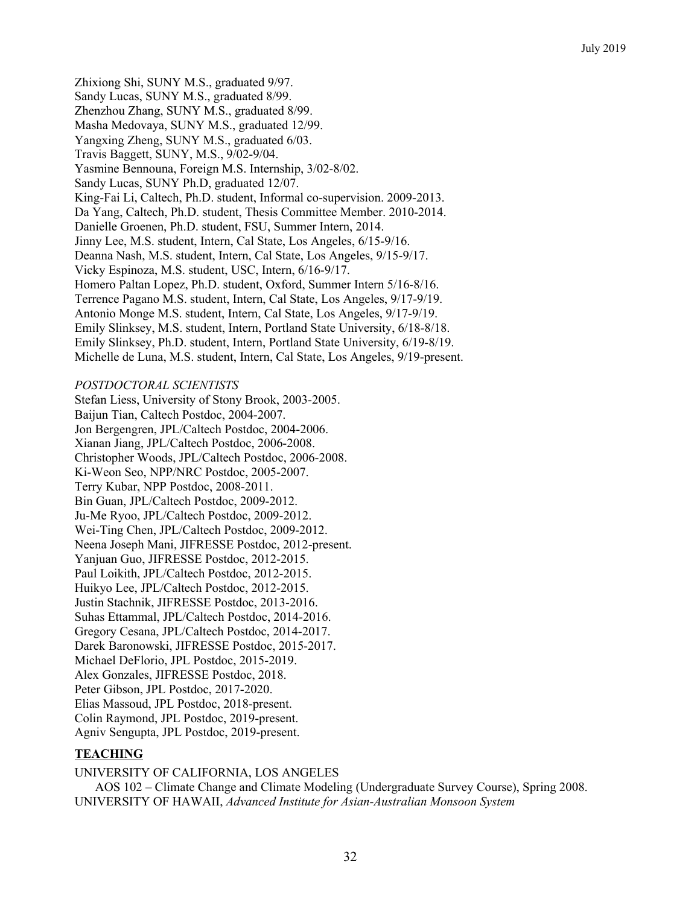Zhixiong Shi, SUNY M.S., graduated 9/97. Sandy Lucas, SUNY M.S., graduated 8/99. Zhenzhou Zhang, SUNY M.S., graduated 8/99. Masha Medovaya, SUNY M.S., graduated 12/99. Yangxing Zheng, SUNY M.S., graduated 6/03. Travis Baggett, SUNY, M.S., 9/02-9/04. Yasmine Bennouna, Foreign M.S. Internship, 3/02-8/02. Sandy Lucas, SUNY Ph.D, graduated 12/07. King-Fai Li, Caltech, Ph.D. student, Informal co-supervision. 2009-2013. Da Yang, Caltech, Ph.D. student, Thesis Committee Member. 2010-2014. Danielle Groenen, Ph.D. student, FSU, Summer Intern, 2014. Jinny Lee, M.S. student, Intern, Cal State, Los Angeles, 6/15-9/16. Deanna Nash, M.S. student, Intern, Cal State, Los Angeles, 9/15-9/17. Vicky Espinoza, M.S. student, USC, Intern, 6/16-9/17. Homero Paltan Lopez, Ph.D. student, Oxford, Summer Intern 5/16-8/16. Terrence Pagano M.S. student, Intern, Cal State, Los Angeles, 9/17-9/19. Antonio Monge M.S. student, Intern, Cal State, Los Angeles, 9/17-9/19. Emily Slinksey, M.S. student, Intern, Portland State University, 6/18-8/18. Emily Slinksey, Ph.D. student, Intern, Portland State University, 6/19-8/19. Michelle de Luna, M.S. student, Intern, Cal State, Los Angeles, 9/19-present.

## *POSTDOCTORAL SCIENTISTS*

Stefan Liess, University of Stony Brook, 2003-2005. Baijun Tian, Caltech Postdoc, 2004-2007. Jon Bergengren, JPL/Caltech Postdoc, 2004-2006. Xianan Jiang, JPL/Caltech Postdoc, 2006-2008. Christopher Woods, JPL/Caltech Postdoc, 2006-2008. Ki-Weon Seo, NPP/NRC Postdoc, 2005-2007. Terry Kubar, NPP Postdoc, 2008-2011. Bin Guan, JPL/Caltech Postdoc, 2009-2012. Ju-Me Ryoo, JPL/Caltech Postdoc, 2009-2012. Wei-Ting Chen, JPL/Caltech Postdoc, 2009-2012. Neena Joseph Mani, JIFRESSE Postdoc, 2012-present. Yanjuan Guo, JIFRESSE Postdoc, 2012-2015. Paul Loikith, JPL/Caltech Postdoc, 2012-2015. Huikyo Lee, JPL/Caltech Postdoc, 2012-2015. Justin Stachnik, JIFRESSE Postdoc, 2013-2016. Suhas Ettammal, JPL/Caltech Postdoc, 2014-2016. Gregory Cesana, JPL/Caltech Postdoc, 2014-2017. Darek Baronowski, JIFRESSE Postdoc, 2015-2017. Michael DeFlorio, JPL Postdoc, 2015-2019. Alex Gonzales, JIFRESSE Postdoc, 2018. Peter Gibson, JPL Postdoc, 2017-2020. Elias Massoud, JPL Postdoc, 2018-present. Colin Raymond, JPL Postdoc, 2019-present. Agniv Sengupta, JPL Postdoc, 2019-present.

# **TEACHING**

UNIVERSITY OF CALIFORNIA, LOS ANGELES AOS 102 – Climate Change and Climate Modeling (Undergraduate Survey Course), Spring 2008. UNIVERSITY OF HAWAII, *Advanced Institute for Asian-Australian Monsoon System*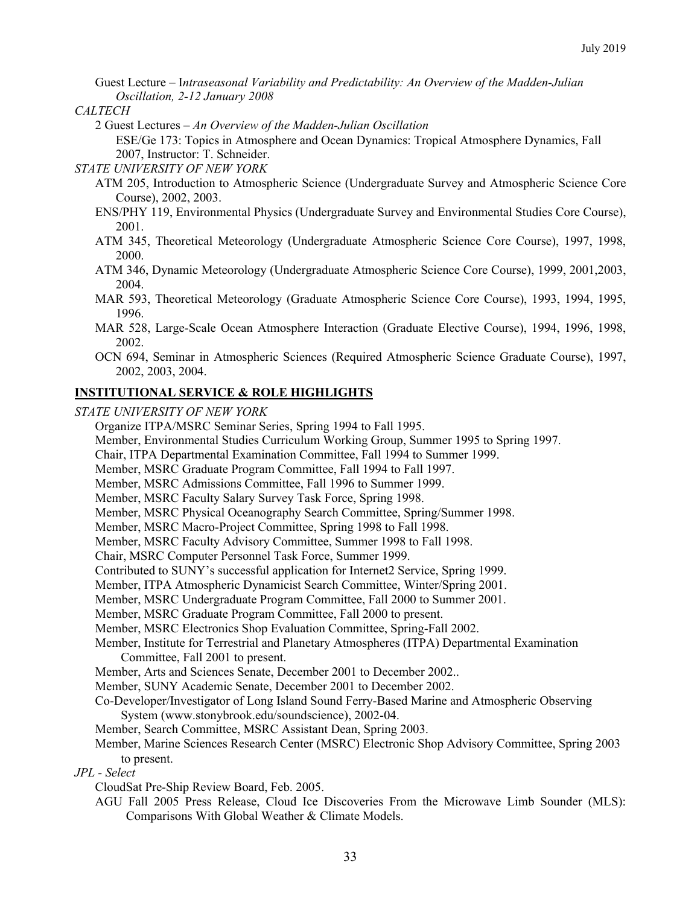Guest Lecture *–* I*ntraseasonal Variability and Predictability: An Overview of the Madden-Julian Oscillation, 2-12 January 2008*

#### *CALTECH*

2 Guest Lectures *– An Overview of the Madden-Julian Oscillation*

ESE/Ge 173: Topics in Atmosphere and Ocean Dynamics: Tropical Atmosphere Dynamics, Fall 2007, Instructor: T. Schneider.

#### *STATE UNIVERSITY OF NEW YORK*

- ATM 205, Introduction to Atmospheric Science (Undergraduate Survey and Atmospheric Science Core Course), 2002, 2003.
- ENS/PHY 119, Environmental Physics (Undergraduate Survey and Environmental Studies Core Course), 2001.
- ATM 345, Theoretical Meteorology (Undergraduate Atmospheric Science Core Course), 1997, 1998, 2000.
- ATM 346, Dynamic Meteorology (Undergraduate Atmospheric Science Core Course), 1999, 2001,2003, 2004.
- MAR 593, Theoretical Meteorology (Graduate Atmospheric Science Core Course), 1993, 1994, 1995, 1996.
- MAR 528, Large-Scale Ocean Atmosphere Interaction (Graduate Elective Course), 1994, 1996, 1998, 2002.
- OCN 694, Seminar in Atmospheric Sciences (Required Atmospheric Science Graduate Course), 1997, 2002, 2003, 2004.

## **INSTITUTIONAL SERVICE & ROLE HIGHLIGHTS**

*STATE UNIVERSITY OF NEW YORK*

Organize ITPA/MSRC Seminar Series, Spring 1994 to Fall 1995. Member, Environmental Studies Curriculum Working Group, Summer 1995 to Spring 1997. Chair, ITPA Departmental Examination Committee, Fall 1994 to Summer 1999. Member, MSRC Graduate Program Committee, Fall 1994 to Fall 1997. Member, MSRC Admissions Committee, Fall 1996 to Summer 1999. Member, MSRC Faculty Salary Survey Task Force, Spring 1998. Member, MSRC Physical Oceanography Search Committee, Spring/Summer 1998. Member, MSRC Macro-Project Committee, Spring 1998 to Fall 1998. Member, MSRC Faculty Advisory Committee, Summer 1998 to Fall 1998. Chair, MSRC Computer Personnel Task Force, Summer 1999. Contributed to SUNY's successful application for Internet2 Service, Spring 1999. Member, ITPA Atmospheric Dynamicist Search Committee, Winter/Spring 2001. Member, MSRC Undergraduate Program Committee, Fall 2000 to Summer 2001. Member, MSRC Graduate Program Committee, Fall 2000 to present. Member, MSRC Electronics Shop Evaluation Committee, Spring-Fall 2002. Member, Institute for Terrestrial and Planetary Atmospheres (ITPA) Departmental Examination Committee, Fall 2001 to present. Member, Arts and Sciences Senate, December 2001 to December 2002.. Member, SUNY Academic Senate, December 2001 to December 2002. Co-Developer/Investigator of Long Island Sound Ferry-Based Marine and Atmospheric Observing System (www.stonybrook.edu/soundscience), 2002-04. Member, Search Committee, MSRC Assistant Dean, Spring 2003. Member, Marine Sciences Research Center (MSRC) Electronic Shop Advisory Committee, Spring 2003 to present. *JPL - Select* CloudSat Pre-Ship Review Board, Feb. 2005. AGU Fall 2005 Press Release, Cloud Ice Discoveries From the Microwave Limb Sounder (MLS): Comparisons With Global Weather & Climate Models.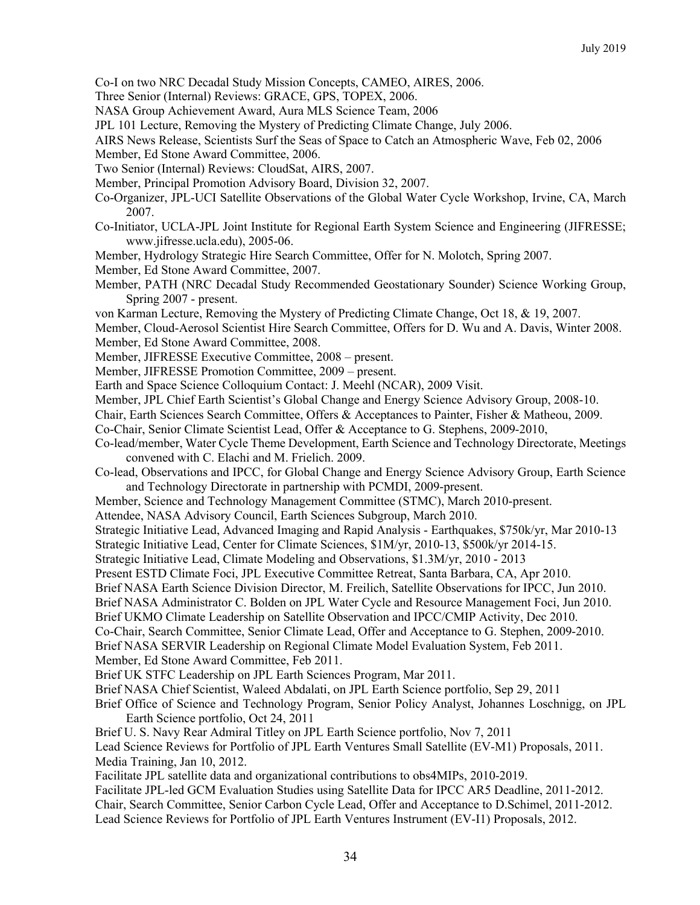- Co-I on two NRC Decadal Study Mission Concepts, CAMEO, AIRES, 2006.
- Three Senior (Internal) Reviews: GRACE, GPS, TOPEX, 2006.
- NASA Group Achievement Award, Aura MLS Science Team, 2006
- JPL 101 Lecture, Removing the Mystery of Predicting Climate Change, July 2006.
- AIRS News Release, Scientists Surf the Seas of Space to Catch an Atmospheric Wave, Feb 02, 2006
- Member, Ed Stone Award Committee, 2006.
- Two Senior (Internal) Reviews: CloudSat, AIRS, 2007.
- Member, Principal Promotion Advisory Board, Division 32, 2007.
- Co-Organizer, JPL-UCI Satellite Observations of the Global Water Cycle Workshop, Irvine, CA, March 2007.
- Co-Initiator, UCLA-JPL Joint Institute for Regional Earth System Science and Engineering (JIFRESSE; www.jifresse.ucla.edu), 2005-06.
- Member, Hydrology Strategic Hire Search Committee, Offer for N. Molotch, Spring 2007.
- Member, Ed Stone Award Committee, 2007.
- Member, PATH (NRC Decadal Study Recommended Geostationary Sounder) Science Working Group, Spring 2007 - present.
- von Karman Lecture, Removing the Mystery of Predicting Climate Change, Oct 18, & 19, 2007.
- Member, Cloud-Aerosol Scientist Hire Search Committee, Offers for D. Wu and A. Davis, Winter 2008. Member, Ed Stone Award Committee, 2008.
- Member, JIFRESSE Executive Committee, 2008 present.
- Member, JIFRESSE Promotion Committee, 2009 present.
- Earth and Space Science Colloquium Contact: J. Meehl (NCAR), 2009 Visit.
- Member, JPL Chief Earth Scientist's Global Change and Energy Science Advisory Group, 2008-10.
- Chair, Earth Sciences Search Committee, Offers & Acceptances to Painter, Fisher & Matheou, 2009.
- Co-Chair, Senior Climate Scientist Lead, Offer & Acceptance to G. Stephens, 2009-2010,
- Co-lead/member, Water Cycle Theme Development, Earth Science and Technology Directorate, Meetings convened with C. Elachi and M. Frielich. 2009.
- Co-lead, Observations and IPCC, for Global Change and Energy Science Advisory Group, Earth Science and Technology Directorate in partnership with PCMDI, 2009-present.
- Member, Science and Technology Management Committee (STMC), March 2010-present.
- Attendee, NASA Advisory Council, Earth Sciences Subgroup, March 2010.
- Strategic Initiative Lead, Advanced Imaging and Rapid Analysis Earthquakes, \$750k/yr, Mar 2010-13
- Strategic Initiative Lead, Center for Climate Sciences, \$1M/yr, 2010-13, \$500k/yr 2014-15.
- Strategic Initiative Lead, Climate Modeling and Observations, \$1.3M/yr, 2010 2013
- Present ESTD Climate Foci, JPL Executive Committee Retreat, Santa Barbara, CA, Apr 2010.
- Brief NASA Earth Science Division Director, M. Freilich, Satellite Observations for IPCC, Jun 2010.
- Brief NASA Administrator C. Bolden on JPL Water Cycle and Resource Management Foci, Jun 2010.
- Brief UKMO Climate Leadership on Satellite Observation and IPCC/CMIP Activity, Dec 2010.
- Co-Chair, Search Committee, Senior Climate Lead, Offer and Acceptance to G. Stephen, 2009-2010.
- Brief NASA SERVIR Leadership on Regional Climate Model Evaluation System, Feb 2011.
- Member, Ed Stone Award Committee, Feb 2011.
- Brief UK STFC Leadership on JPL Earth Sciences Program, Mar 2011.
- Brief NASA Chief Scientist, Waleed Abdalati, on JPL Earth Science portfolio, Sep 29, 2011
- Brief Office of Science and Technology Program, Senior Policy Analyst, Johannes Loschnigg, on JPL Earth Science portfolio, Oct 24, 2011
- Brief U. S. Navy Rear Admiral Titley on JPL Earth Science portfolio, Nov 7, 2011
- Lead Science Reviews for Portfolio of JPL Earth Ventures Small Satellite (EV-M1) Proposals, 2011. Media Training, Jan 10, 2012.
- Facilitate JPL satellite data and organizational contributions to obs4MIPs, 2010-2019.
- Facilitate JPL-led GCM Evaluation Studies using Satellite Data for IPCC AR5 Deadline, 2011-2012. Chair, Search Committee, Senior Carbon Cycle Lead, Offer and Acceptance to D.Schimel, 2011-2012. Lead Science Reviews for Portfolio of JPL Earth Ventures Instrument (EV-I1) Proposals, 2012.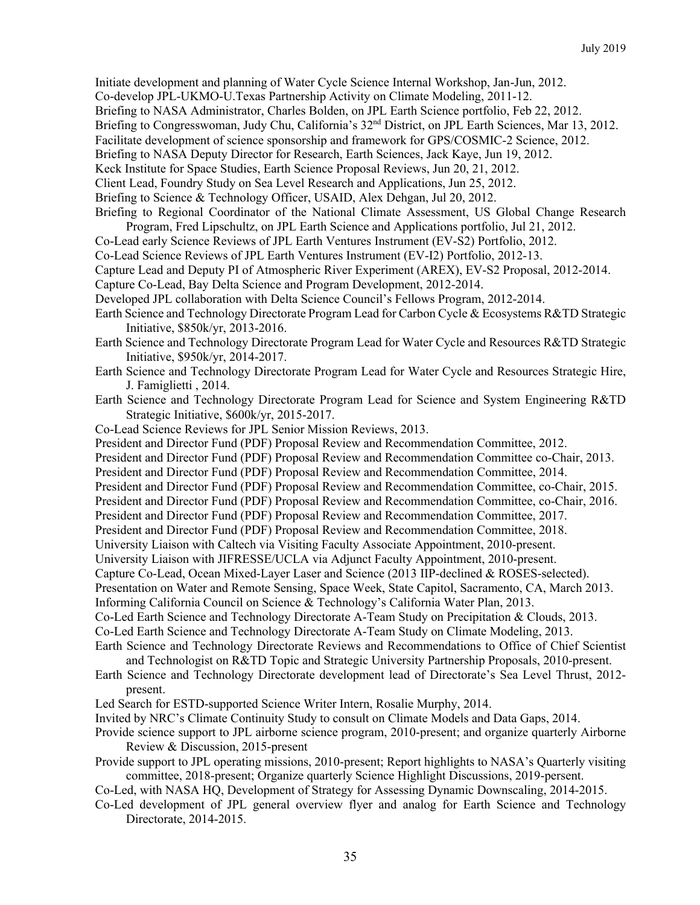Initiate development and planning of Water Cycle Science Internal Workshop, Jan-Jun, 2012. Co-develop JPL-UKMO-U.Texas Partnership Activity on Climate Modeling, 2011-12. Briefing to NASA Administrator, Charles Bolden, on JPL Earth Science portfolio, Feb 22, 2012. Briefing to Congresswoman, Judy Chu, California's 32<sup>nd</sup> District, on JPL Earth Sciences, Mar 13, 2012. Facilitate development of science sponsorship and framework for GPS/COSMIC-2 Science, 2012. Briefing to NASA Deputy Director for Research, Earth Sciences, Jack Kaye, Jun 19, 2012. Keck Institute for Space Studies, Earth Science Proposal Reviews, Jun 20, 21, 2012. Client Lead, Foundry Study on Sea Level Research and Applications, Jun 25, 2012. Briefing to Science & Technology Officer, USAID, Alex Dehgan, Jul 20, 2012. Briefing to Regional Coordinator of the National Climate Assessment, US Global Change Research

- Program, Fred Lipschultz, on JPL Earth Science and Applications portfolio, Jul 21, 2012.
- Co-Lead early Science Reviews of JPL Earth Ventures Instrument (EV-S2) Portfolio, 2012.
- Co-Lead Science Reviews of JPL Earth Ventures Instrument (EV-I2) Portfolio, 2012-13.
- Capture Lead and Deputy PI of Atmospheric River Experiment (AREX), EV-S2 Proposal, 2012-2014.
- Capture Co-Lead, Bay Delta Science and Program Development, 2012-2014.
- Developed JPL collaboration with Delta Science Council's Fellows Program, 2012-2014.
- Earth Science and Technology Directorate Program Lead for Carbon Cycle & Ecosystems R&TD Strategic Initiative, \$850k/yr, 2013-2016.
- Earth Science and Technology Directorate Program Lead for Water Cycle and Resources R&TD Strategic Initiative, \$950k/yr, 2014-2017.
- Earth Science and Technology Directorate Program Lead for Water Cycle and Resources Strategic Hire, J. Famiglietti , 2014.
- Earth Science and Technology Directorate Program Lead for Science and System Engineering R&TD Strategic Initiative, \$600k/yr, 2015-2017.
- Co-Lead Science Reviews for JPL Senior Mission Reviews, 2013.
- President and Director Fund (PDF) Proposal Review and Recommendation Committee, 2012.
- President and Director Fund (PDF) Proposal Review and Recommendation Committee co-Chair, 2013.
- President and Director Fund (PDF) Proposal Review and Recommendation Committee, 2014.
- President and Director Fund (PDF) Proposal Review and Recommendation Committee, co-Chair, 2015.
- President and Director Fund (PDF) Proposal Review and Recommendation Committee, co-Chair, 2016.
- President and Director Fund (PDF) Proposal Review and Recommendation Committee, 2017.
- President and Director Fund (PDF) Proposal Review and Recommendation Committee, 2018.
- University Liaison with Caltech via Visiting Faculty Associate Appointment, 2010-present.
- University Liaison with JIFRESSE/UCLA via Adjunct Faculty Appointment, 2010-present.
- Capture Co-Lead, Ocean Mixed-Layer Laser and Science (2013 IIP-declined & ROSES-selected).
- Presentation on Water and Remote Sensing, Space Week, State Capitol, Sacramento, CA, March 2013.
- Informing California Council on Science & Technology's California Water Plan, 2013.
- Co-Led Earth Science and Technology Directorate A-Team Study on Precipitation & Clouds, 2013.
- Co-Led Earth Science and Technology Directorate A-Team Study on Climate Modeling, 2013.
- Earth Science and Technology Directorate Reviews and Recommendations to Office of Chief Scientist and Technologist on R&TD Topic and Strategic University Partnership Proposals, 2010-present.
- Earth Science and Technology Directorate development lead of Directorate's Sea Level Thrust, 2012 present.
- Led Search for ESTD-supported Science Writer Intern, Rosalie Murphy, 2014.
- Invited by NRC's Climate Continuity Study to consult on Climate Models and Data Gaps, 2014.
- Provide science support to JPL airborne science program, 2010-present; and organize quarterly Airborne Review & Discussion, 2015-present
- Provide support to JPL operating missions, 2010-present; Report highlights to NASA's Quarterly visiting committee, 2018-present; Organize quarterly Science Highlight Discussions, 2019-persent.
- Co-Led, with NASA HQ, Development of Strategy for Assessing Dynamic Downscaling, 2014-2015.
- Co-Led development of JPL general overview flyer and analog for Earth Science and Technology Directorate, 2014-2015.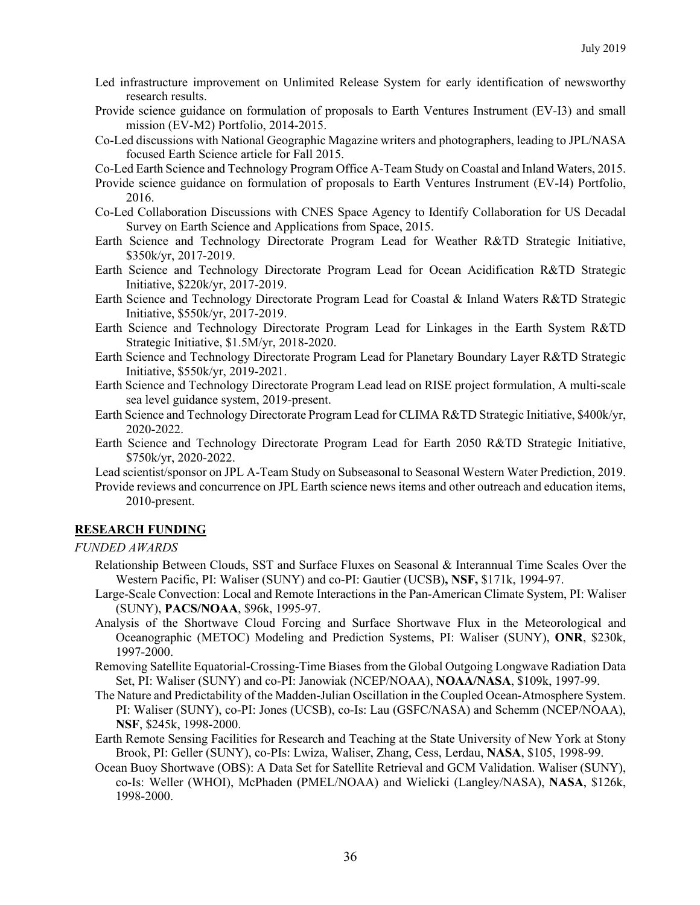- Led infrastructure improvement on Unlimited Release System for early identification of newsworthy research results.
- Provide science guidance on formulation of proposals to Earth Ventures Instrument (EV-I3) and small mission (EV-M2) Portfolio, 2014-2015.
- Co-Led discussions with National Geographic Magazine writers and photographers, leading to JPL/NASA focused Earth Science article for Fall 2015.
- Co-Led Earth Science and Technology Program Office A-Team Study on Coastal and Inland Waters, 2015.
- Provide science guidance on formulation of proposals to Earth Ventures Instrument (EV-I4) Portfolio, 2016.
- Co-Led Collaboration Discussions with CNES Space Agency to Identify Collaboration for US Decadal Survey on Earth Science and Applications from Space, 2015.
- Earth Science and Technology Directorate Program Lead for Weather R&TD Strategic Initiative, \$350k/yr, 2017-2019.
- Earth Science and Technology Directorate Program Lead for Ocean Acidification R&TD Strategic Initiative, \$220k/yr, 2017-2019.
- Earth Science and Technology Directorate Program Lead for Coastal & Inland Waters R&TD Strategic Initiative, \$550k/yr, 2017-2019.
- Earth Science and Technology Directorate Program Lead for Linkages in the Earth System R&TD Strategic Initiative, \$1.5M/yr, 2018-2020.
- Earth Science and Technology Directorate Program Lead for Planetary Boundary Layer R&TD Strategic Initiative, \$550k/yr, 2019-2021.
- Earth Science and Technology Directorate Program Lead lead on RISE project formulation, A multi-scale sea level guidance system, 2019-present.
- Earth Science and Technology Directorate Program Lead for CLIMA R&TD Strategic Initiative, \$400k/yr, 2020-2022.
- Earth Science and Technology Directorate Program Lead for Earth 2050 R&TD Strategic Initiative, \$750k/yr, 2020-2022.
- Lead scientist/sponsor on JPL A-Team Study on Subseasonal to Seasonal Western Water Prediction, 2019.
- Provide reviews and concurrence on JPL Earth science news items and other outreach and education items, 2010-present.

### **RESEARCH FUNDING**

### *FUNDED AWARDS*

- Relationship Between Clouds, SST and Surface Fluxes on Seasonal & Interannual Time Scales Over the Western Pacific, PI: Waliser (SUNY) and co-PI: Gautier (UCSB)**, NSF,** \$171k, 1994-97.
- Large-Scale Convection: Local and Remote Interactions in the Pan-American Climate System, PI: Waliser (SUNY), **PACS/NOAA**, \$96k, 1995-97.
- Analysis of the Shortwave Cloud Forcing and Surface Shortwave Flux in the Meteorological and Oceanographic (METOC) Modeling and Prediction Systems, PI: Waliser (SUNY), **ONR**, \$230k, 1997-2000.
- Removing Satellite Equatorial-Crossing-Time Biases from the Global Outgoing Longwave Radiation Data Set, PI: Waliser (SUNY) and co-PI: Janowiak (NCEP/NOAA), **NOAA/NASA**, \$109k, 1997-99.
- The Nature and Predictability of the Madden-Julian Oscillation in the Coupled Ocean-Atmosphere System. PI: Waliser (SUNY), co-PI: Jones (UCSB), co-Is: Lau (GSFC/NASA) and Schemm (NCEP/NOAA), **NSF**, \$245k, 1998-2000.
- Earth Remote Sensing Facilities for Research and Teaching at the State University of New York at Stony Brook, PI: Geller (SUNY), co-PIs: Lwiza, Waliser, Zhang, Cess, Lerdau, **NASA**, \$105, 1998-99.
- Ocean Buoy Shortwave (OBS): A Data Set for Satellite Retrieval and GCM Validation. Waliser (SUNY), co-Is: Weller (WHOI), McPhaden (PMEL/NOAA) and Wielicki (Langley/NASA), **NASA**, \$126k, 1998-2000.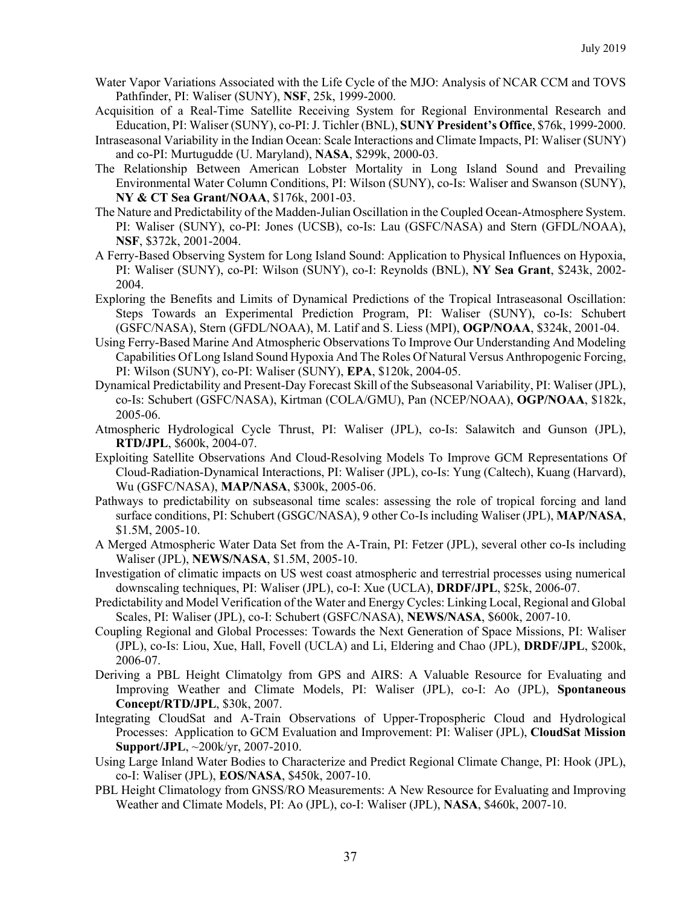- Water Vapor Variations Associated with the Life Cycle of the MJO: Analysis of NCAR CCM and TOVS Pathfinder, PI: Waliser (SUNY), **NSF**, 25k, 1999-2000.
- Acquisition of a Real-Time Satellite Receiving System for Regional Environmental Research and Education, PI: Waliser (SUNY), co-PI: J. Tichler (BNL), **SUNY President's Office**, \$76k, 1999-2000.
- Intraseasonal Variability in the Indian Ocean: Scale Interactions and Climate Impacts, PI: Waliser (SUNY) and co-PI: Murtugudde (U. Maryland), **NASA**, \$299k, 2000-03.
- The Relationship Between American Lobster Mortality in Long Island Sound and Prevailing Environmental Water Column Conditions, PI: Wilson (SUNY), co-Is: Waliser and Swanson (SUNY), **NY & CT Sea Grant/NOAA**, \$176k, 2001-03.
- The Nature and Predictability of the Madden-Julian Oscillation in the Coupled Ocean-Atmosphere System. PI: Waliser (SUNY), co-PI: Jones (UCSB), co-Is: Lau (GSFC/NASA) and Stern (GFDL/NOAA), **NSF**, \$372k, 2001-2004.
- A Ferry-Based Observing System for Long Island Sound: Application to Physical Influences on Hypoxia, PI: Waliser (SUNY), co-PI: Wilson (SUNY), co-I: Reynolds (BNL), **NY Sea Grant**, \$243k, 2002- 2004.
- Exploring the Benefits and Limits of Dynamical Predictions of the Tropical Intraseasonal Oscillation: Steps Towards an Experimental Prediction Program, PI: Waliser (SUNY), co-Is: Schubert (GSFC/NASA), Stern (GFDL/NOAA), M. Latif and S. Liess (MPI), **OGP/NOAA**, \$324k, 2001-04.
- Using Ferry-Based Marine And Atmospheric Observations To Improve Our Understanding And Modeling Capabilities Of Long Island Sound Hypoxia And The Roles Of Natural Versus Anthropogenic Forcing, PI: Wilson (SUNY), co-PI: Waliser (SUNY), **EPA**, \$120k, 2004-05.
- Dynamical Predictability and Present-Day Forecast Skill of the Subseasonal Variability, PI: Waliser (JPL), co-Is: Schubert (GSFC/NASA), Kirtman (COLA/GMU), Pan (NCEP/NOAA), **OGP/NOAA**, \$182k, 2005-06.
- Atmospheric Hydrological Cycle Thrust, PI: Waliser (JPL), co-Is: Salawitch and Gunson (JPL), **RTD/JPL**, \$600k, 2004-07.
- Exploiting Satellite Observations And Cloud-Resolving Models To Improve GCM Representations Of Cloud-Radiation-Dynamical Interactions, PI: Waliser (JPL), co-Is: Yung (Caltech), Kuang (Harvard), Wu (GSFC/NASA), **MAP/NASA**, \$300k, 2005-06.
- Pathways to predictability on subseasonal time scales: assessing the role of tropical forcing and land surface conditions, PI: Schubert (GSGC/NASA), 9 other Co-Is including Waliser (JPL), **MAP/NASA**, \$1.5M, 2005-10.
- A Merged Atmospheric Water Data Set from the A-Train, PI: Fetzer (JPL), several other co-Is including Waliser (JPL), **NEWS/NASA**, \$1.5M, 2005-10.
- Investigation of climatic impacts on US west coast atmospheric and terrestrial processes using numerical downscaling techniques, PI: Waliser (JPL), co-I: Xue (UCLA), **DRDF/JPL**, \$25k, 2006-07.
- Predictability and Model Verification of the Water and Energy Cycles: Linking Local, Regional and Global Scales, PI: Waliser (JPL), co-I: Schubert (GSFC/NASA), **NEWS/NASA**, \$600k, 2007-10.
- Coupling Regional and Global Processes: Towards the Next Generation of Space Missions, PI: Waliser (JPL), co-Is: Liou, Xue, Hall, Fovell (UCLA) and Li, Eldering and Chao (JPL), **DRDF/JPL**, \$200k, 2006-07.
- Deriving a PBL Height Climatolgy from GPS and AIRS: A Valuable Resource for Evaluating and Improving Weather and Climate Models, PI: Waliser (JPL), co-I: Ao (JPL), **Spontaneous Concept/RTD/JPL**, \$30k, 2007.
- Integrating CloudSat and A-Train Observations of Upper-Tropospheric Cloud and Hydrological Processes: Application to GCM Evaluation and Improvement: PI: Waliser (JPL), **CloudSat Mission Support/JPL**, ~200k/yr, 2007-2010.
- Using Large Inland Water Bodies to Characterize and Predict Regional Climate Change, PI: Hook (JPL), co-I: Waliser (JPL), **EOS/NASA**, \$450k, 2007-10.
- PBL Height Climatology from GNSS/RO Measurements: A New Resource for Evaluating and Improving Weather and Climate Models, PI: Ao (JPL), co-I: Waliser (JPL), **NASA**, \$460k, 2007-10.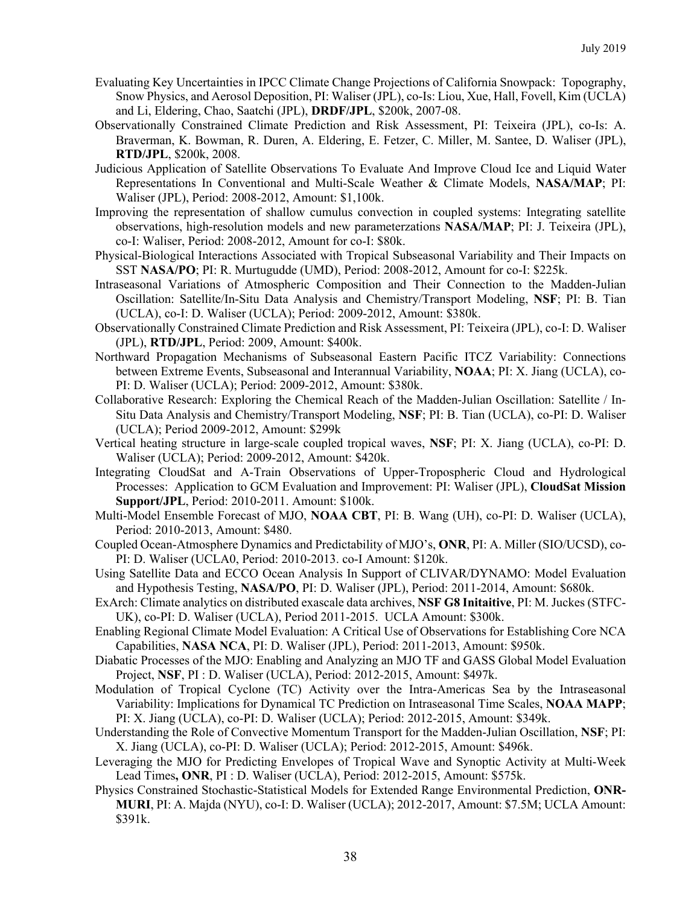- Evaluating Key Uncertainties in IPCC Climate Change Projections of California Snowpack: Topography, Snow Physics, and Aerosol Deposition, PI: Waliser (JPL), co-Is: Liou, Xue, Hall, Fovell, Kim (UCLA) and Li, Eldering, Chao, Saatchi (JPL), **DRDF/JPL**, \$200k, 2007-08.
- Observationally Constrained Climate Prediction and Risk Assessment, PI: Teixeira (JPL), co-Is: A. Braverman, K. Bowman, R. Duren, A. Eldering, E. Fetzer, C. Miller, M. Santee, D. Waliser (JPL), **RTD/JPL**, \$200k, 2008.
- Judicious Application of Satellite Observations To Evaluate And Improve Cloud Ice and Liquid Water Representations In Conventional and Multi-Scale Weather & Climate Models, **NASA/MAP**; PI: Waliser (JPL), Period: 2008-2012, Amount: \$1,100k.
- Improving the representation of shallow cumulus convection in coupled systems: Integrating satellite observations, high-resolution models and new parameterzations **NASA/MAP**; PI: J. Teixeira (JPL), co-I: Waliser, Period: 2008-2012, Amount for co-I: \$80k.
- Physical-Biological Interactions Associated with Tropical Subseasonal Variability and Their Impacts on SST **NASA/PO**; PI: R. Murtugudde (UMD), Period: 2008-2012, Amount for co-I: \$225k.
- Intraseasonal Variations of Atmospheric Composition and Their Connection to the Madden-Julian Oscillation: Satellite/In-Situ Data Analysis and Chemistry/Transport Modeling, **NSF**; PI: B. Tian (UCLA), co-I: D. Waliser (UCLA); Period: 2009-2012, Amount: \$380k.
- Observationally Constrained Climate Prediction and Risk Assessment, PI: Teixeira (JPL), co-I: D. Waliser (JPL), **RTD/JPL**, Period: 2009, Amount: \$400k.
- Northward Propagation Mechanisms of Subseasonal Eastern Pacific ITCZ Variability: Connections between Extreme Events, Subseasonal and Interannual Variability, **NOAA**; PI: X. Jiang (UCLA), co-PI: D. Waliser (UCLA); Period: 2009-2012, Amount: \$380k.
- Collaborative Research: Exploring the Chemical Reach of the Madden-Julian Oscillation: Satellite / In-Situ Data Analysis and Chemistry/Transport Modeling, **NSF**; PI: B. Tian (UCLA), co-PI: D. Waliser (UCLA); Period 2009-2012, Amount: \$299k
- Vertical heating structure in large-scale coupled tropical waves, **NSF**; PI: X. Jiang (UCLA), co-PI: D. Waliser (UCLA); Period: 2009-2012, Amount: \$420k.
- Integrating CloudSat and A-Train Observations of Upper-Tropospheric Cloud and Hydrological Processes: Application to GCM Evaluation and Improvement: PI: Waliser (JPL), **CloudSat Mission Support/JPL**, Period: 2010-2011. Amount: \$100k.
- Multi-Model Ensemble Forecast of MJO, **NOAA CBT**, PI: B. Wang (UH), co-PI: D. Waliser (UCLA), Period: 2010-2013, Amount: \$480.
- Coupled Ocean-Atmosphere Dynamics and Predictability of MJO's, **ONR**, PI: A. Miller (SIO/UCSD), co-PI: D. Waliser (UCLA0, Period: 2010-2013. co-I Amount: \$120k.
- Using Satellite Data and ECCO Ocean Analysis In Support of CLIVAR/DYNAMO: Model Evaluation and Hypothesis Testing, **NASA/PO**, PI: D. Waliser (JPL), Period: 2011-2014, Amount: \$680k.
- ExArch: Climate analytics on distributed exascale data archives, **NSF G8 Initaitive**, PI: M. Juckes (STFC-UK), co-PI: D. Waliser (UCLA), Period 2011-2015. UCLA Amount: \$300k.
- Enabling Regional Climate Model Evaluation: A Critical Use of Observations for Establishing Core NCA Capabilities, **NASA NCA**, PI: D. Waliser (JPL), Period: 2011-2013, Amount: \$950k.
- Diabatic Processes of the MJO: Enabling and Analyzing an MJO TF and GASS Global Model Evaluation Project, **NSF**, PI : D. Waliser (UCLA), Period: 2012-2015, Amount: \$497k.
- Modulation of Tropical Cyclone (TC) Activity over the Intra-Americas Sea by the Intraseasonal Variability: Implications for Dynamical TC Prediction on Intraseasonal Time Scales, **NOAA MAPP**; PI: X. Jiang (UCLA), co-PI: D. Waliser (UCLA); Period: 2012-2015, Amount: \$349k.
- Understanding the Role of Convective Momentum Transport for the Madden-Julian Oscillation, **NSF**; PI: X. Jiang (UCLA), co-PI: D. Waliser (UCLA); Period: 2012-2015, Amount: \$496k.
- Leveraging the MJO for Predicting Envelopes of Tropical Wave and Synoptic Activity at Multi-Week Lead Times**, ONR**, PI : D. Waliser (UCLA), Period: 2012-2015, Amount: \$575k.
- Physics Constrained Stochastic-Statistical Models for Extended Range Environmental Prediction, **ONR-MURI**, PI: A. Majda (NYU), co-I: D. Waliser (UCLA); 2012-2017, Amount: \$7.5M; UCLA Amount: \$391k.